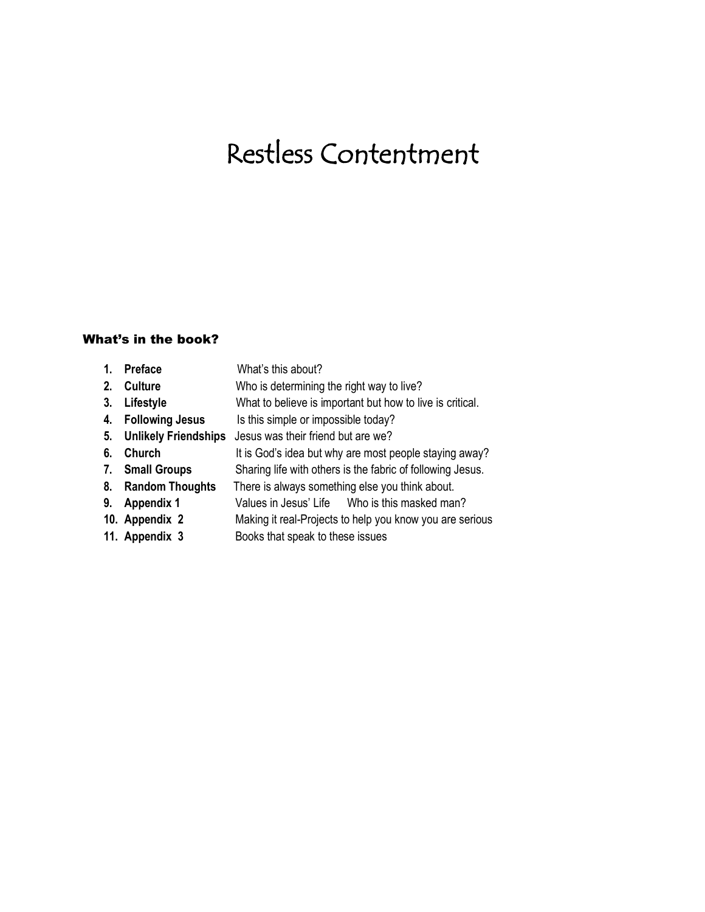# Restless Contentment

## What's in the book?

| 1. | <b>Preface</b>              | What's this about?                                         |
|----|-----------------------------|------------------------------------------------------------|
| 2. | <b>Culture</b>              | Who is determining the right way to live?                  |
| 3. | Lifestyle                   | What to believe is important but how to live is critical.  |
| 4. | <b>Following Jesus</b>      | Is this simple or impossible today?                        |
| 5. | <b>Unlikely Friendships</b> | Jesus was their friend but are we?                         |
| 6. | Church                      | It is God's idea but why are most people staying away?     |
| 7. | <b>Small Groups</b>         | Sharing life with others is the fabric of following Jesus. |
| 8. | <b>Random Thoughts</b>      | There is always something else you think about.            |
| 9. | <b>Appendix 1</b>           | Values in Jesus' Life Who is this masked man?              |
|    | 10. Appendix 2              | Making it real-Projects to help you know you are serious   |
|    | 11. Appendix 3              | Books that speak to these issues                           |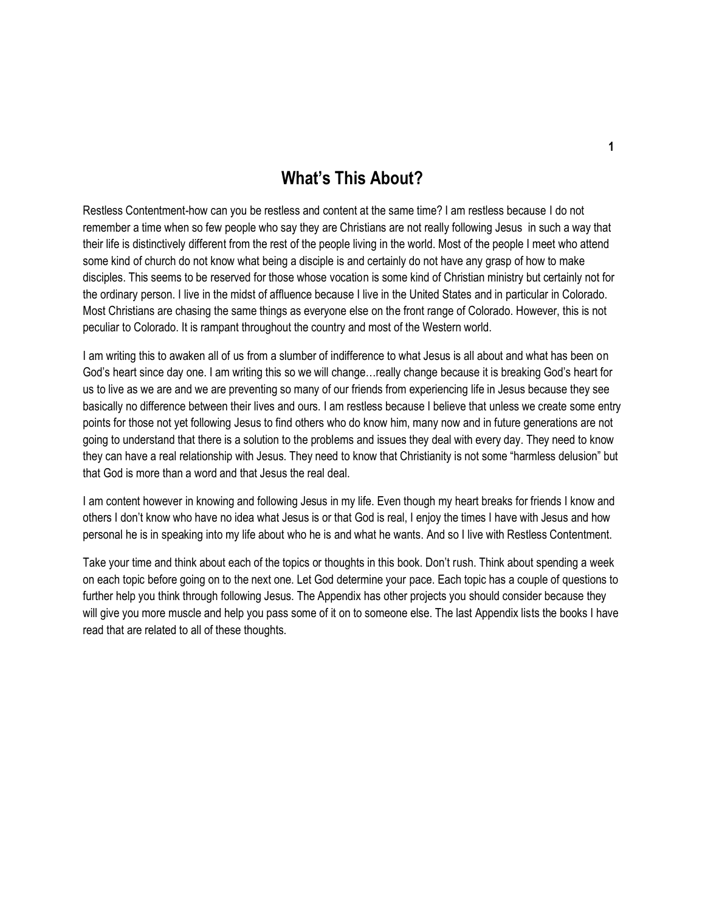# **What's This About?**

Restless Contentment-how can you be restless and content at the same time? I am restless because I do not remember a time when so few people who say they are Christians are not really following Jesus in such a way that their life is distinctively different from the rest of the people living in the world. Most of the people I meet who attend some kind of church do not know what being a disciple is and certainly do not have any grasp of how to make disciples. This seems to be reserved for those whose vocation is some kind of Christian ministry but certainly not for the ordinary person. I live in the midst of affluence because I live in the United States and in particular in Colorado. Most Christians are chasing the same things as everyone else on the front range of Colorado. However, this is not peculiar to Colorado. It is rampant throughout the country and most of the Western world.

I am writing this to awaken all of us from a slumber of indifference to what Jesus is all about and what has been on God's heart since day one. I am writing this so we will change…really change because it is breaking God's heart for us to live as we are and we are preventing so many of our friends from experiencing life in Jesus because they see basically no difference between their lives and ours. I am restless because I believe that unless we create some entry points for those not yet following Jesus to find others who do know him, many now and in future generations are not going to understand that there is a solution to the problems and issues they deal with every day. They need to know they can have a real relationship with Jesus. They need to know that Christianity is not some "harmless delusion" but that God is more than a word and that Jesus the real deal.

I am content however in knowing and following Jesus in my life. Even though my heart breaks for friends I know and others I don't know who have no idea what Jesus is or that God is real, I enjoy the times I have with Jesus and how personal he is in speaking into my life about who he is and what he wants. And so I live with Restless Contentment.

Take your time and think about each of the topics or thoughts in this book. Don't rush. Think about spending a week on each topic before going on to the next one. Let God determine your pace. Each topic has a couple of questions to further help you think through following Jesus. The Appendix has other projects you should consider because they will give you more muscle and help you pass some of it on to someone else. The last Appendix lists the books I have read that are related to all of these thoughts.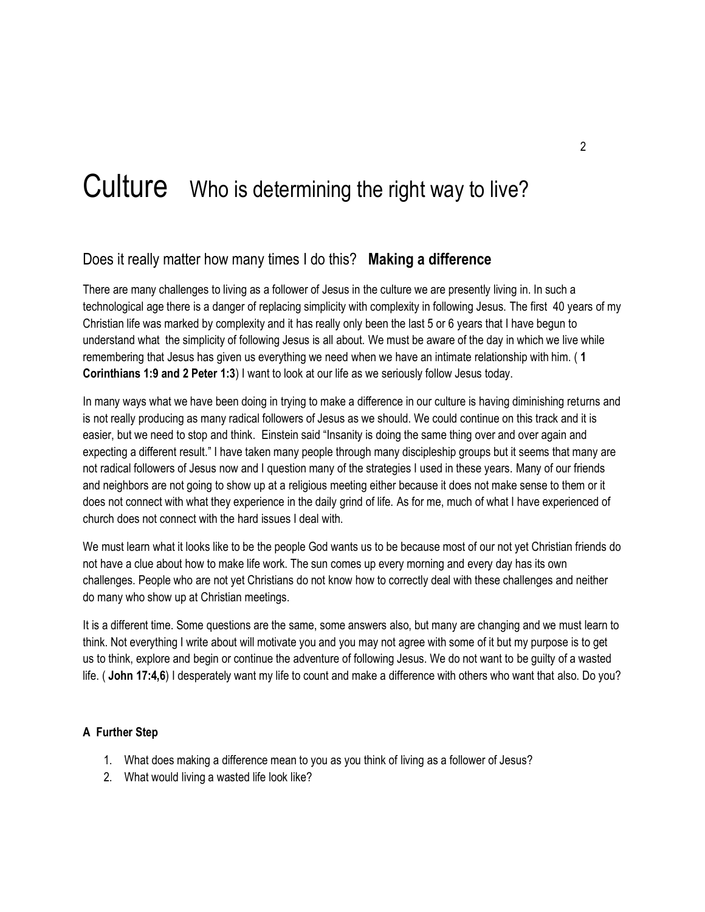# Culture Who is determining the right way to live?

## Does it really matter how many times I do this? **Making a difference**

There are many challenges to living as a follower of Jesus in the culture we are presently living in. In such a technological age there is a danger of replacing simplicity with complexity in following Jesus. The first 40 years of my Christian life was marked by complexity and it has really only been the last 5 or 6 years that I have begun to understand what the simplicity of following Jesus is all about. We must be aware of the day in which we live while remembering that Jesus has given us everything we need when we have an intimate relationship with him. ( **1 Corinthians 1:9 and 2 Peter 1:3**) I want to look at our life as we seriously follow Jesus today.

In many ways what we have been doing in trying to make a difference in our culture is having diminishing returns and is not really producing as many radical followers of Jesus as we should. We could continue on this track and it is easier, but we need to stop and think. Einstein said "Insanity is doing the same thing over and over again and expecting a different result." I have taken many people through many discipleship groups but it seems that many are not radical followers of Jesus now and I question many of the strategies I used in these years. Many of our friends and neighbors are not going to show up at a religious meeting either because it does not make sense to them or it does not connect with what they experience in the daily grind of life. As for me, much of what I have experienced of church does not connect with the hard issues I deal with.

We must learn what it looks like to be the people God wants us to be because most of our not yet Christian friends do not have a clue about how to make life work. The sun comes up every morning and every day has its own challenges. People who are not yet Christians do not know how to correctly deal with these challenges and neither do many who show up at Christian meetings.

It is a different time. Some questions are the same, some answers also, but many are changing and we must learn to think. Not everything I write about will motivate you and you may not agree with some of it but my purpose is to get us to think, explore and begin or continue the adventure of following Jesus. We do not want to be guilty of a wasted life. ( **John 17:4,6**) I desperately want my life to count and make a difference with others who want that also. Do you?

- 1. What does making a difference mean to you as you think of living as a follower of Jesus?
- 2. What would living a wasted life look like?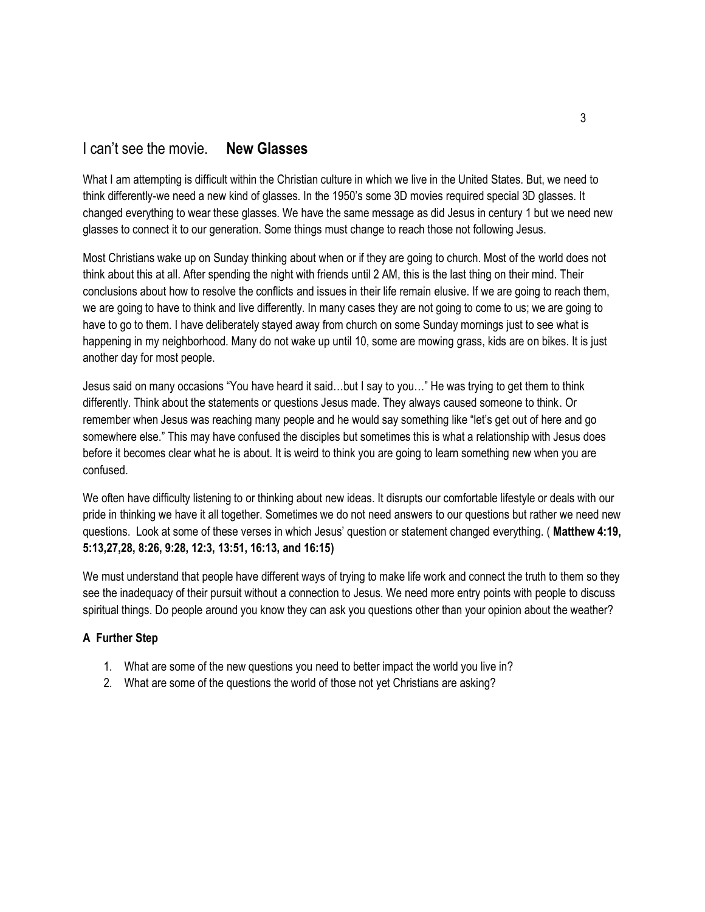## I can't see the movie. **New Glasses**

What I am attempting is difficult within the Christian culture in which we live in the United States. But, we need to think differently-we need a new kind of glasses. In the 1950's some 3D movies required special 3D glasses. It changed everything to wear these glasses. We have the same message as did Jesus in century 1 but we need new glasses to connect it to our generation. Some things must change to reach those not following Jesus.

Most Christians wake up on Sunday thinking about when or if they are going to church. Most of the world does not think about this at all. After spending the night with friends until 2 AM, this is the last thing on their mind. Their conclusions about how to resolve the conflicts and issues in their life remain elusive. If we are going to reach them, we are going to have to think and live differently. In many cases they are not going to come to us; we are going to have to go to them. I have deliberately stayed away from church on some Sunday mornings just to see what is happening in my neighborhood. Many do not wake up until 10, some are mowing grass, kids are on bikes. It is just another day for most people.

Jesus said on many occasions "You have heard it said…but I say to you…" He was trying to get them to think differently. Think about the statements or questions Jesus made. They always caused someone to think. Or remember when Jesus was reaching many people and he would say something like "let's get out of here and go somewhere else." This may have confused the disciples but sometimes this is what a relationship with Jesus does before it becomes clear what he is about. It is weird to think you are going to learn something new when you are confused.

We often have difficulty listening to or thinking about new ideas. It disrupts our comfortable lifestyle or deals with our pride in thinking we have it all together. Sometimes we do not need answers to our questions but rather we need new questions. Look at some of these verses in which Jesus' question or statement changed everything. ( **Matthew 4:19, 5:13,27,28, 8:26, 9:28, 12:3, 13:51, 16:13, and 16:15)**

We must understand that people have different ways of trying to make life work and connect the truth to them so they see the inadequacy of their pursuit without a connection to Jesus. We need more entry points with people to discuss spiritual things. Do people around you know they can ask you questions other than your opinion about the weather?

- 1. What are some of the new questions you need to better impact the world you live in?
- 2. What are some of the questions the world of those not yet Christians are asking?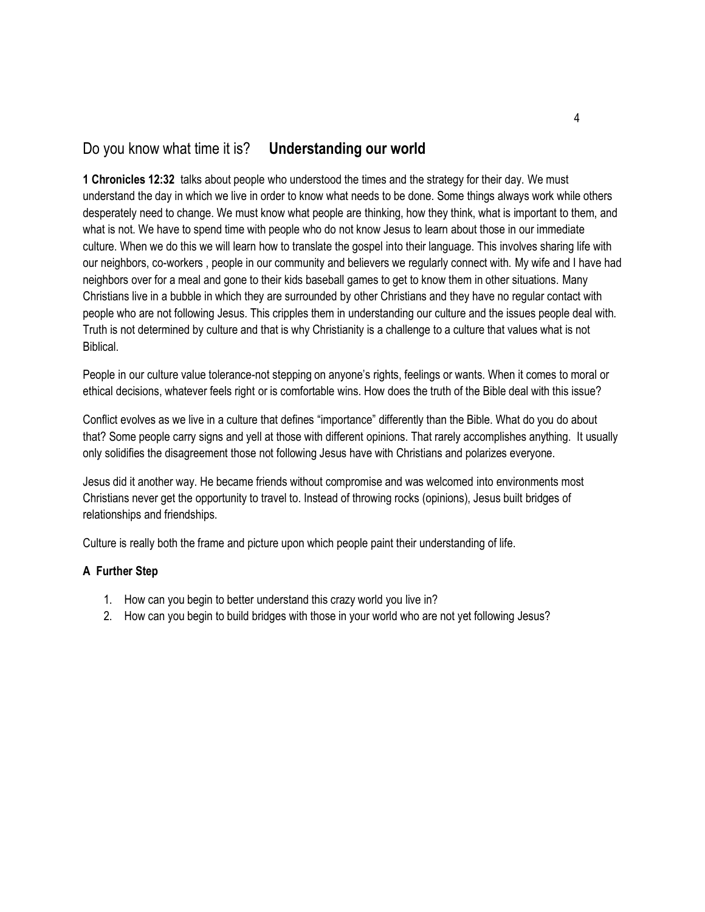## Do you know what time it is? **Understanding our world**

**1 Chronicles 12:32** talks about people who understood the times and the strategy for their day. We must understand the day in which we live in order to know what needs to be done. Some things always work while others desperately need to change. We must know what people are thinking, how they think, what is important to them, and what is not. We have to spend time with people who do not know Jesus to learn about those in our immediate culture. When we do this we will learn how to translate the gospel into their language. This involves sharing life with our neighbors, co-workers , people in our community and believers we regularly connect with. My wife and I have had neighbors over for a meal and gone to their kids baseball games to get to know them in other situations. Many Christians live in a bubble in which they are surrounded by other Christians and they have no regular contact with people who are not following Jesus. This cripples them in understanding our culture and the issues people deal with. Truth is not determined by culture and that is why Christianity is a challenge to a culture that values what is not Biblical.

People in our culture value tolerance-not stepping on anyone's rights, feelings or wants. When it comes to moral or ethical decisions, whatever feels right or is comfortable wins. How does the truth of the Bible deal with this issue?

Conflict evolves as we live in a culture that defines "importance" differently than the Bible. What do you do about that? Some people carry signs and yell at those with different opinions. That rarely accomplishes anything. It usually only solidifies the disagreement those not following Jesus have with Christians and polarizes everyone.

Jesus did it another way. He became friends without compromise and was welcomed into environments most Christians never get the opportunity to travel to. Instead of throwing rocks (opinions), Jesus built bridges of relationships and friendships.

Culture is really both the frame and picture upon which people paint their understanding of life.

- 1. How can you begin to better understand this crazy world you live in?
- 2. How can you begin to build bridges with those in your world who are not yet following Jesus?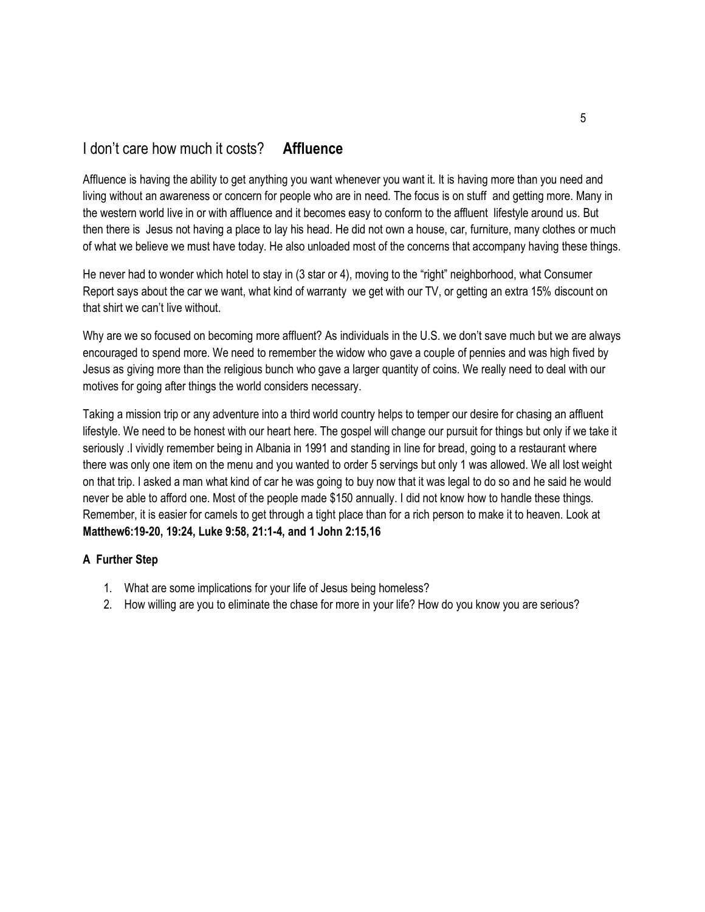# I don't care how much it costs? **Affluence**

Affluence is having the ability to get anything you want whenever you want it. It is having more than you need and living without an awareness or concern for people who are in need. The focus is on stuff and getting more. Many in the western world live in or with affluence and it becomes easy to conform to the affluent lifestyle around us. But then there is Jesus not having a place to lay his head. He did not own a house, car, furniture, many clothes or much of what we believe we must have today. He also unloaded most of the concerns that accompany having these things.

He never had to wonder which hotel to stay in (3 star or 4), moving to the "right" neighborhood, what Consumer Report says about the car we want, what kind of warranty we get with our TV, or getting an extra 15% discount on that shirt we can't live without.

Why are we so focused on becoming more affluent? As individuals in the U.S. we don't save much but we are always encouraged to spend more. We need to remember the widow who gave a couple of pennies and was high fived by Jesus as giving more than the religious bunch who gave a larger quantity of coins. We really need to deal with our motives for going after things the world considers necessary.

Taking a mission trip or any adventure into a third world country helps to temper our desire for chasing an affluent lifestyle. We need to be honest with our heart here. The gospel will change our pursuit for things but only if we take it seriously .I vividly remember being in Albania in 1991 and standing in line for bread, going to a restaurant where there was only one item on the menu and you wanted to order 5 servings but only 1 was allowed. We all lost weight on that trip. I asked a man what kind of car he was going to buy now that it was legal to do so and he said he would never be able to afford one. Most of the people made \$150 annually. I did not know how to handle these things. Remember, it is easier for camels to get through a tight place than for a rich person to make it to heaven. Look at **Matthew6:19-20, 19:24, Luke 9:58, 21:1-4, and 1 John 2:15,16**

- 1. What are some implications for your life of Jesus being homeless?
- 2. How willing are you to eliminate the chase for more in your life? How do you know you are serious?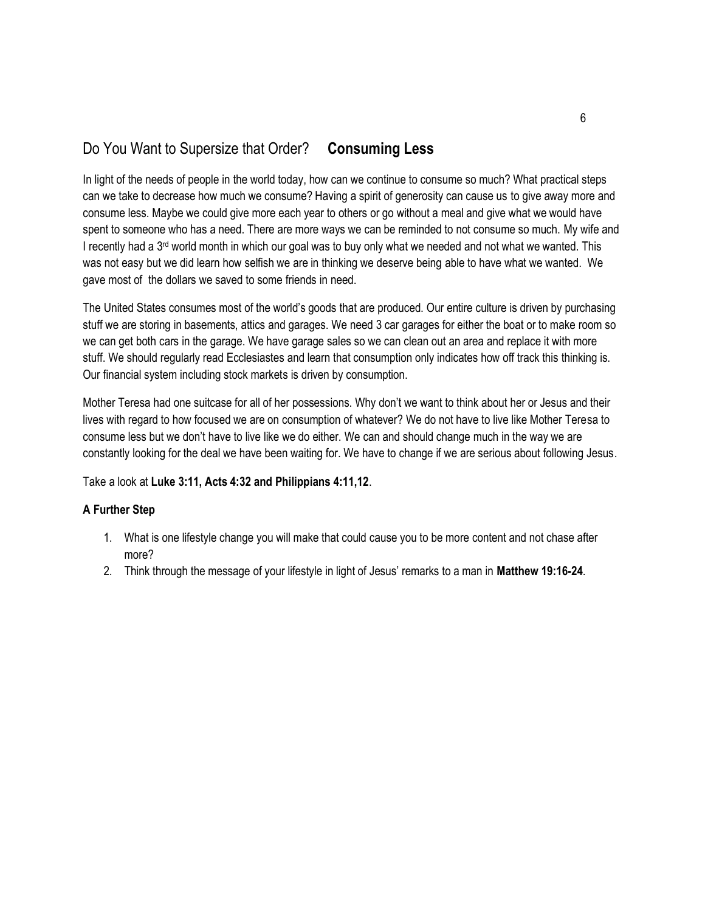# Do You Want to Supersize that Order? **Consuming Less**

In light of the needs of people in the world today, how can we continue to consume so much? What practical steps can we take to decrease how much we consume? Having a spirit of generosity can cause us to give away more and consume less. Maybe we could give more each year to others or go without a meal and give what we would have spent to someone who has a need. There are more ways we can be reminded to not consume so much. My wife and I recently had a 3<sup>rd</sup> world month in which our goal was to buy only what we needed and not what we wanted. This was not easy but we did learn how selfish we are in thinking we deserve being able to have what we wanted. We gave most of the dollars we saved to some friends in need.

The United States consumes most of the world's goods that are produced. Our entire culture is driven by purchasing stuff we are storing in basements, attics and garages. We need 3 car garages for either the boat or to make room so we can get both cars in the garage. We have garage sales so we can clean out an area and replace it with more stuff. We should regularly read Ecclesiastes and learn that consumption only indicates how off track this thinking is. Our financial system including stock markets is driven by consumption.

Mother Teresa had one suitcase for all of her possessions. Why don't we want to think about her or Jesus and their lives with regard to how focused we are on consumption of whatever? We do not have to live like Mother Teresa to consume less but we don't have to live like we do either. We can and should change much in the way we are constantly looking for the deal we have been waiting for. We have to change if we are serious about following Jesus.

Take a look at **Luke 3:11, Acts 4:32 and Philippians 4:11,12**.

- 1. What is one lifestyle change you will make that could cause you to be more content and not chase after more?
- 2. Think through the message of your lifestyle in light of Jesus' remarks to a man in **Matthew 19:16-24**.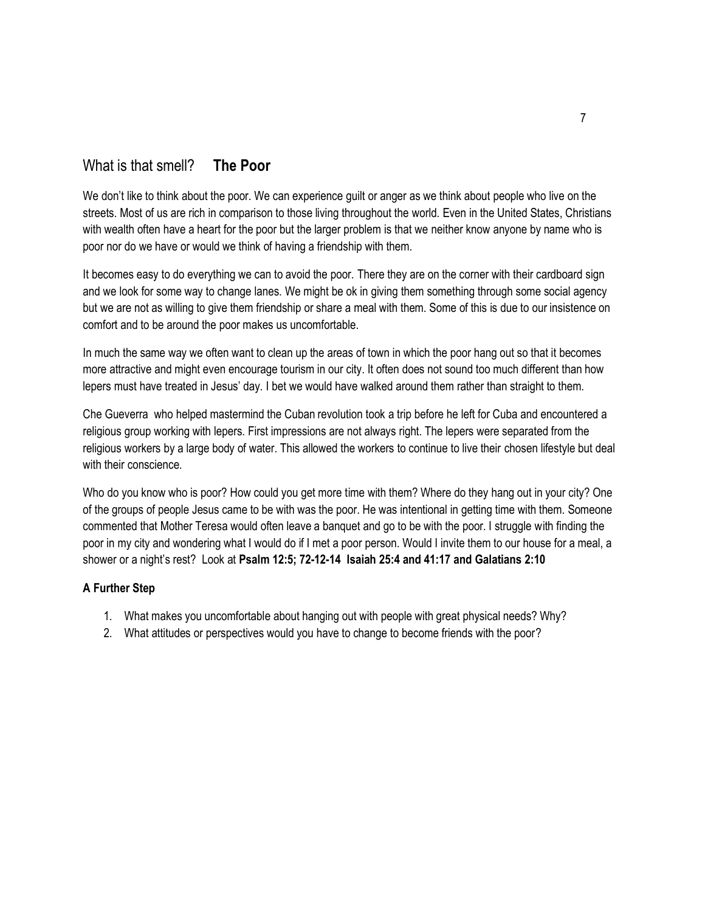# What is that smell? **The Poor**

We don't like to think about the poor. We can experience guilt or anger as we think about people who live on the streets. Most of us are rich in comparison to those living throughout the world. Even in the United States, Christians with wealth often have a heart for the poor but the larger problem is that we neither know anyone by name who is poor nor do we have or would we think of having a friendship with them.

It becomes easy to do everything we can to avoid the poor. There they are on the corner with their cardboard sign and we look for some way to change lanes. We might be ok in giving them something through some social agency but we are not as willing to give them friendship or share a meal with them. Some of this is due to our insistence on comfort and to be around the poor makes us uncomfortable.

In much the same way we often want to clean up the areas of town in which the poor hang out so that it becomes more attractive and might even encourage tourism in our city. It often does not sound too much different than how lepers must have treated in Jesus' day. I bet we would have walked around them rather than straight to them.

Che Gueverra who helped mastermind the Cuban revolution took a trip before he left for Cuba and encountered a religious group working with lepers. First impressions are not always right. The lepers were separated from the religious workers by a large body of water. This allowed the workers to continue to live their chosen lifestyle but deal with their conscience.

Who do you know who is poor? How could you get more time with them? Where do they hang out in your city? One of the groups of people Jesus came to be with was the poor. He was intentional in getting time with them. Someone commented that Mother Teresa would often leave a banquet and go to be with the poor. I struggle with finding the poor in my city and wondering what I would do if I met a poor person. Would I invite them to our house for a meal, a shower or a night's rest? Look at **Psalm 12:5; 72-12-14 Isaiah 25:4 and 41:17 and Galatians 2:10**

- 1. What makes you uncomfortable about hanging out with people with great physical needs? Why?
- 2. What attitudes or perspectives would you have to change to become friends with the poor?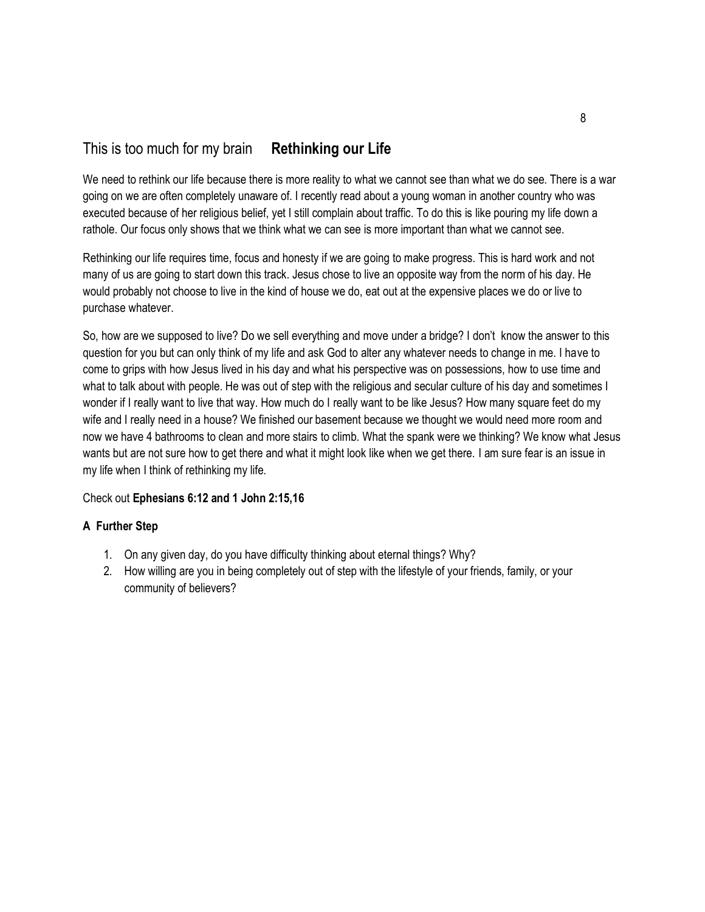# This is too much for my brain **Rethinking our Life**

We need to rethink our life because there is more reality to what we cannot see than what we do see. There is a war going on we are often completely unaware of. I recently read about a young woman in another country who was executed because of her religious belief, yet I still complain about traffic. To do this is like pouring my life down a rathole. Our focus only shows that we think what we can see is more important than what we cannot see.

Rethinking our life requires time, focus and honesty if we are going to make progress. This is hard work and not many of us are going to start down this track. Jesus chose to live an opposite way from the norm of his day. He would probably not choose to live in the kind of house we do, eat out at the expensive places we do or live to purchase whatever.

So, how are we supposed to live? Do we sell everything and move under a bridge? I don't know the answer to this question for you but can only think of my life and ask God to alter any whatever needs to change in me. I have to come to grips with how Jesus lived in his day and what his perspective was on possessions, how to use time and what to talk about with people. He was out of step with the religious and secular culture of his day and sometimes I wonder if I really want to live that way. How much do I really want to be like Jesus? How many square feet do my wife and I really need in a house? We finished our basement because we thought we would need more room and now we have 4 bathrooms to clean and more stairs to climb. What the spank were we thinking? We know what Jesus wants but are not sure how to get there and what it might look like when we get there. I am sure fear is an issue in my life when I think of rethinking my life.

## Check out **Ephesians 6:12 and 1 John 2:15,16**

- 1. On any given day, do you have difficulty thinking about eternal things? Why?
- 2. How willing are you in being completely out of step with the lifestyle of your friends, family, or your community of believers?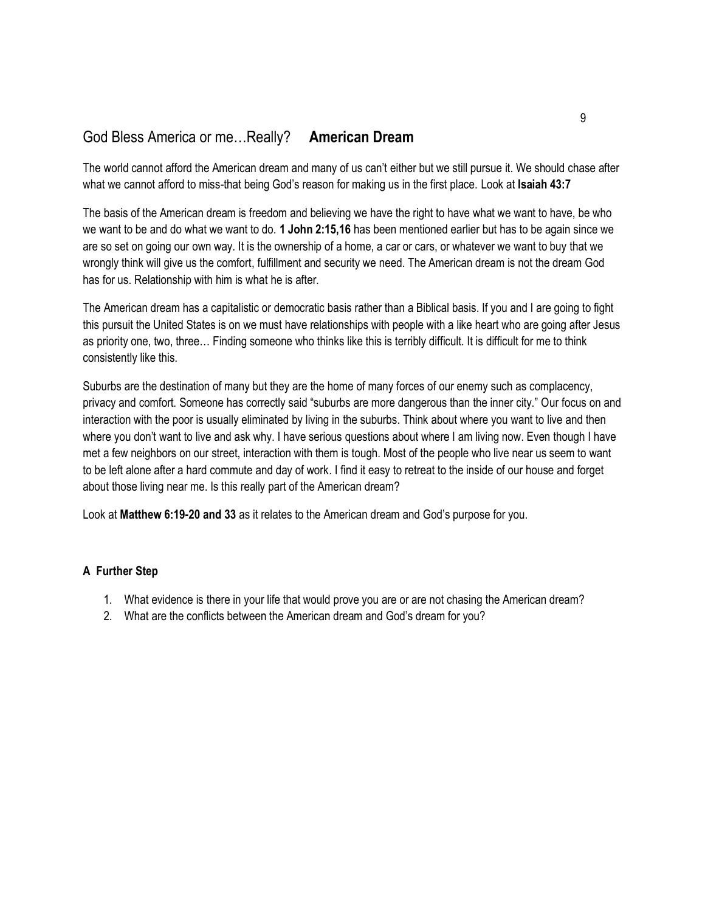# God Bless America or me…Really? **American Dream**

The world cannot afford the American dream and many of us can't either but we still pursue it. We should chase after what we cannot afford to miss-that being God's reason for making us in the first place. Look at **Isaiah 43:7**

The basis of the American dream is freedom and believing we have the right to have what we want to have, be who we want to be and do what we want to do. **1 John 2:15,16** has been mentioned earlier but has to be again since we are so set on going our own way. It is the ownership of a home, a car or cars, or whatever we want to buy that we wrongly think will give us the comfort, fulfillment and security we need. The American dream is not the dream God has for us. Relationship with him is what he is after.

The American dream has a capitalistic or democratic basis rather than a Biblical basis. If you and I are going to fight this pursuit the United States is on we must have relationships with people with a like heart who are going after Jesus as priority one, two, three… Finding someone who thinks like this is terribly difficult. It is difficult for me to think consistently like this.

Suburbs are the destination of many but they are the home of many forces of our enemy such as complacency, privacy and comfort. Someone has correctly said "suburbs are more dangerous than the inner city." Our focus on and interaction with the poor is usually eliminated by living in the suburbs. Think about where you want to live and then where you don't want to live and ask why. I have serious questions about where I am living now. Even though I have met a few neighbors on our street, interaction with them is tough. Most of the people who live near us seem to want to be left alone after a hard commute and day of work. I find it easy to retreat to the inside of our house and forget about those living near me. Is this really part of the American dream?

Look at **Matthew 6:19-20 and 33** as it relates to the American dream and God's purpose for you.

- 1. What evidence is there in your life that would prove you are or are not chasing the American dream?
- 2. What are the conflicts between the American dream and God's dream for you?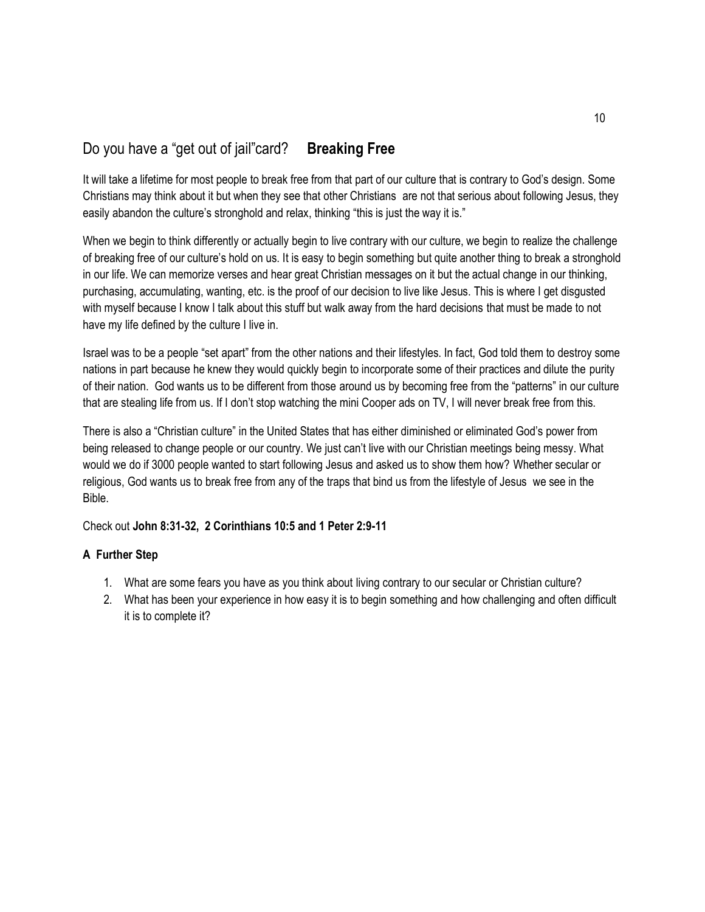# Do you have a "get out of jail"card? **Breaking Free**

It will take a lifetime for most people to break free from that part of our culture that is contrary to God's design. Some Christians may think about it but when they see that other Christians are not that serious about following Jesus, they easily abandon the culture's stronghold and relax, thinking "this is just the way it is."

When we begin to think differently or actually begin to live contrary with our culture, we begin to realize the challenge of breaking free of our culture's hold on us. It is easy to begin something but quite another thing to break a stronghold in our life. We can memorize verses and hear great Christian messages on it but the actual change in our thinking, purchasing, accumulating, wanting, etc. is the proof of our decision to live like Jesus. This is where I get disgusted with myself because I know I talk about this stuff but walk away from the hard decisions that must be made to not have my life defined by the culture I live in.

Israel was to be a people "set apart" from the other nations and their lifestyles. In fact, God told them to destroy some nations in part because he knew they would quickly begin to incorporate some of their practices and dilute the purity of their nation. God wants us to be different from those around us by becoming free from the "patterns" in our culture that are stealing life from us. If I don't stop watching the mini Cooper ads on TV, I will never break free from this.

There is also a "Christian culture" in the United States that has either diminished or eliminated God's power from being released to change people or our country. We just can't live with our Christian meetings being messy. What would we do if 3000 people wanted to start following Jesus and asked us to show them how? Whether secular or religious, God wants us to break free from any of the traps that bind us from the lifestyle of Jesus we see in the Bible.

Check out **John 8:31-32, 2 Corinthians 10:5 and 1 Peter 2:9-11**

- 1. What are some fears you have as you think about living contrary to our secular or Christian culture?
- 2. What has been your experience in how easy it is to begin something and how challenging and often difficult it is to complete it?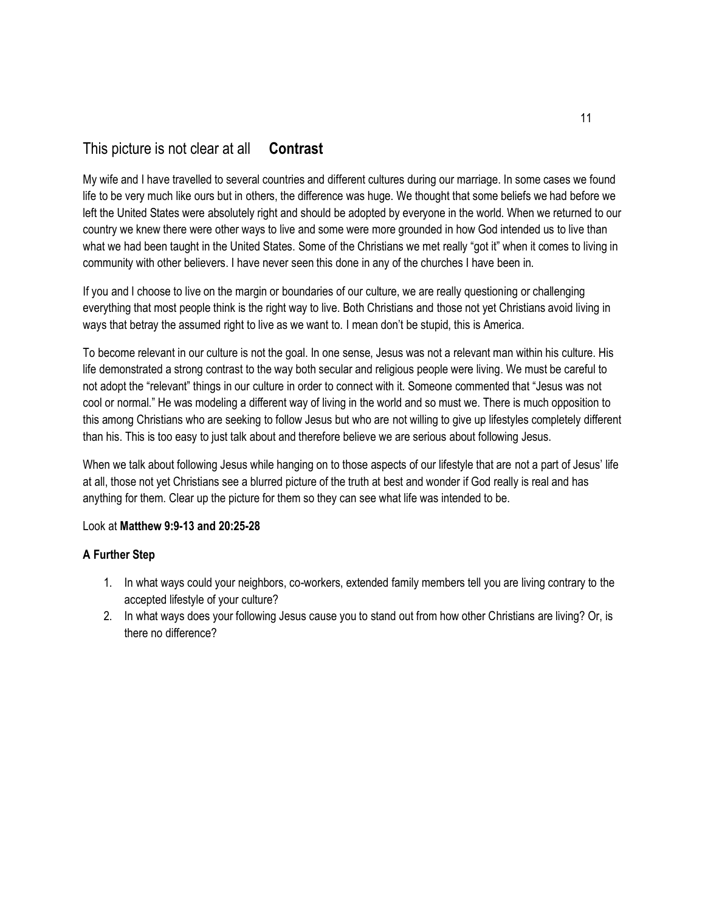# This picture is not clear at all **Contrast**

My wife and I have travelled to several countries and different cultures during our marriage. In some cases we found life to be very much like ours but in others, the difference was huge. We thought that some beliefs we had before we left the United States were absolutely right and should be adopted by everyone in the world. When we returned to our country we knew there were other ways to live and some were more grounded in how God intended us to live than what we had been taught in the United States. Some of the Christians we met really "got it" when it comes to living in community with other believers. I have never seen this done in any of the churches I have been in.

If you and I choose to live on the margin or boundaries of our culture, we are really questioning or challenging everything that most people think is the right way to live. Both Christians and those not yet Christians avoid living in ways that betray the assumed right to live as we want to. I mean don't be stupid, this is America.

To become relevant in our culture is not the goal. In one sense, Jesus was not a relevant man within his culture. His life demonstrated a strong contrast to the way both secular and religious people were living. We must be careful to not adopt the "relevant" things in our culture in order to connect with it. Someone commented that "Jesus was not cool or normal." He was modeling a different way of living in the world and so must we. There is much opposition to this among Christians who are seeking to follow Jesus but who are not willing to give up lifestyles completely different than his. This is too easy to just talk about and therefore believe we are serious about following Jesus.

When we talk about following Jesus while hanging on to those aspects of our lifestyle that are not a part of Jesus' life at all, those not yet Christians see a blurred picture of the truth at best and wonder if God really is real and has anything for them. Clear up the picture for them so they can see what life was intended to be.

## Look at **Matthew 9:9-13 and 20:25-28**

- 1. In what ways could your neighbors, co-workers, extended family members tell you are living contrary to the accepted lifestyle of your culture?
- 2. In what ways does your following Jesus cause you to stand out from how other Christians are living? Or, is there no difference?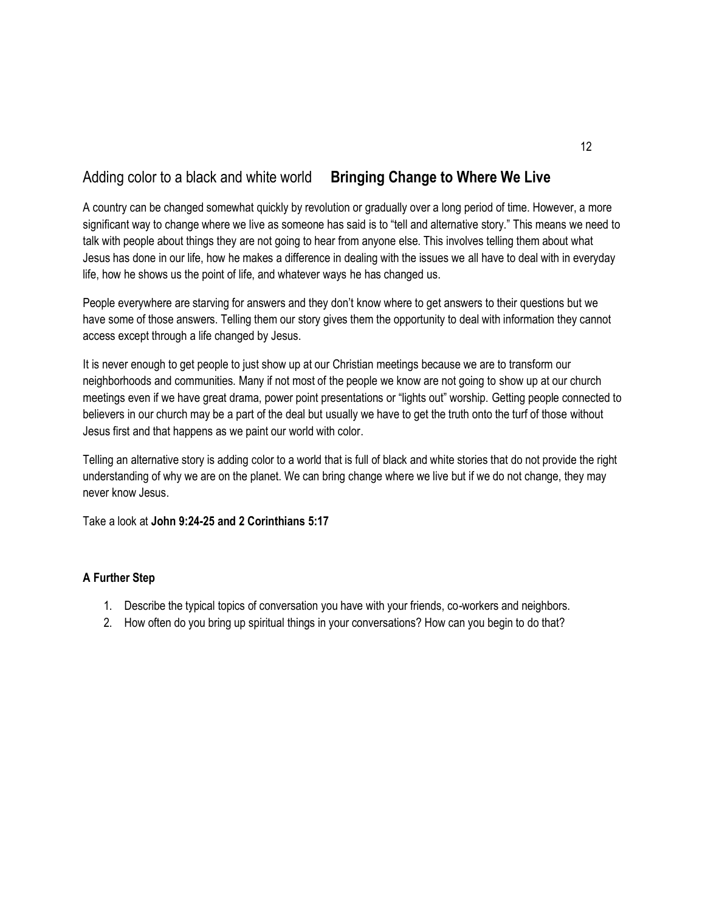# Adding color to a black and white world **Bringing Change to Where We Live**

A country can be changed somewhat quickly by revolution or gradually over a long period of time. However, a more significant way to change where we live as someone has said is to "tell and alternative story." This means we need to talk with people about things they are not going to hear from anyone else. This involves telling them about what Jesus has done in our life, how he makes a difference in dealing with the issues we all have to deal with in everyday life, how he shows us the point of life, and whatever ways he has changed us.

People everywhere are starving for answers and they don't know where to get answers to their questions but we have some of those answers. Telling them our story gives them the opportunity to deal with information they cannot access except through a life changed by Jesus.

It is never enough to get people to just show up at our Christian meetings because we are to transform our neighborhoods and communities. Many if not most of the people we know are not going to show up at our church meetings even if we have great drama, power point presentations or "lights out" worship. Getting people connected to believers in our church may be a part of the deal but usually we have to get the truth onto the turf of those without Jesus first and that happens as we paint our world with color.

Telling an alternative story is adding color to a world that is full of black and white stories that do not provide the right understanding of why we are on the planet. We can bring change where we live but if we do not change, they may never know Jesus.

Take a look at **John 9:24-25 and 2 Corinthians 5:17**

- 1. Describe the typical topics of conversation you have with your friends, co-workers and neighbors.
- 2. How often do you bring up spiritual things in your conversations? How can you begin to do that?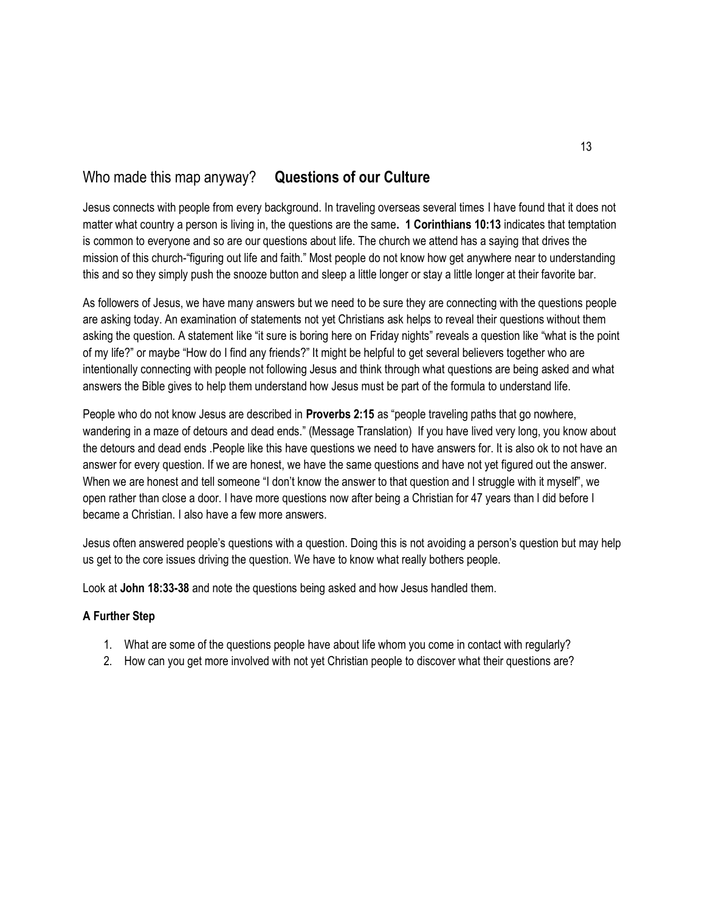# Who made this map anyway? **Questions of our Culture**

Jesus connects with people from every background. In traveling overseas several times I have found that it does not matter what country a person is living in, the questions are the same**. 1 Corinthians 10:13** indicates that temptation is common to everyone and so are our questions about life. The church we attend has a saying that drives the mission of this church-"figuring out life and faith." Most people do not know how get anywhere near to understanding this and so they simply push the snooze button and sleep a little longer or stay a little longer at their favorite bar.

As followers of Jesus, we have many answers but we need to be sure they are connecting with the questions people are asking today. An examination of statements not yet Christians ask helps to reveal their questions without them asking the question. A statement like "it sure is boring here on Friday nights" reveals a question like "what is the point of my life?" or maybe "How do I find any friends?" It might be helpful to get several believers together who are intentionally connecting with people not following Jesus and think through what questions are being asked and what answers the Bible gives to help them understand how Jesus must be part of the formula to understand life.

People who do not know Jesus are described in **Proverbs 2:15** as "people traveling paths that go nowhere, wandering in a maze of detours and dead ends." (Message Translation) If you have lived very long, you know about the detours and dead ends .People like this have questions we need to have answers for. It is also ok to not have an answer for every question. If we are honest, we have the same questions and have not yet figured out the answer. When we are honest and tell someone "I don't know the answer to that question and I struggle with it myself", we open rather than close a door. I have more questions now after being a Christian for 47 years than I did before I became a Christian. I also have a few more answers.

Jesus often answered people's questions with a question. Doing this is not avoiding a person's question but may help us get to the core issues driving the question. We have to know what really bothers people.

Look at **John 18:33-38** and note the questions being asked and how Jesus handled them.

- 1. What are some of the questions people have about life whom you come in contact with regularly?
- 2. How can you get more involved with not yet Christian people to discover what their questions are?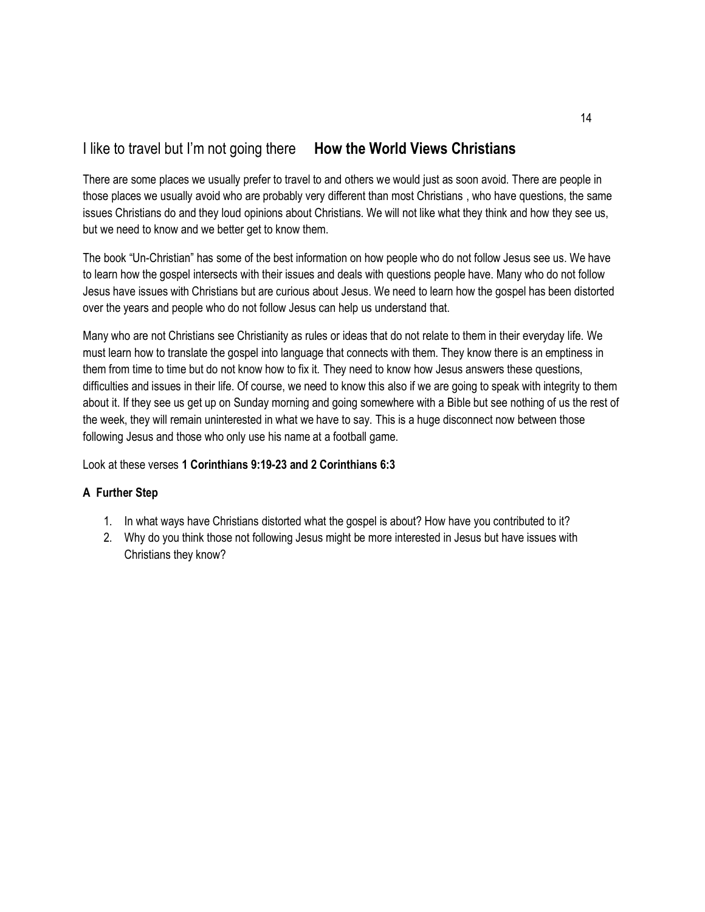# I like to travel but I'm not going there **How the World Views Christians**

There are some places we usually prefer to travel to and others we would just as soon avoid. There are people in those places we usually avoid who are probably very different than most Christians , who have questions, the same issues Christians do and they loud opinions about Christians. We will not like what they think and how they see us, but we need to know and we better get to know them.

The book "Un-Christian" has some of the best information on how people who do not follow Jesus see us. We have to learn how the gospel intersects with their issues and deals with questions people have. Many who do not follow Jesus have issues with Christians but are curious about Jesus. We need to learn how the gospel has been distorted over the years and people who do not follow Jesus can help us understand that.

Many who are not Christians see Christianity as rules or ideas that do not relate to them in their everyday life. We must learn how to translate the gospel into language that connects with them. They know there is an emptiness in them from time to time but do not know how to fix it. They need to know how Jesus answers these questions, difficulties and issues in their life. Of course, we need to know this also if we are going to speak with integrity to them about it. If they see us get up on Sunday morning and going somewhere with a Bible but see nothing of us the rest of the week, they will remain uninterested in what we have to say. This is a huge disconnect now between those following Jesus and those who only use his name at a football game.

Look at these verses **1 Corinthians 9:19-23 and 2 Corinthians 6:3**

- 1. In what ways have Christians distorted what the gospel is about? How have you contributed to it?
- 2. Why do you think those not following Jesus might be more interested in Jesus but have issues with Christians they know?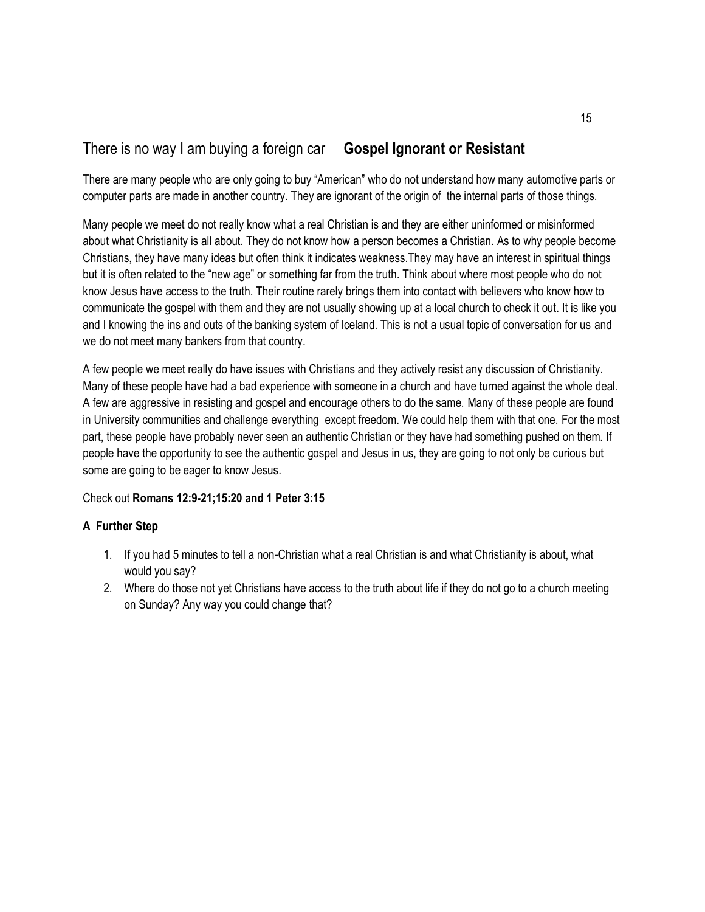# There is no way I am buying a foreign car **Gospel Ignorant or Resistant**

There are many people who are only going to buy "American" who do not understand how many automotive parts or computer parts are made in another country. They are ignorant of the origin of the internal parts of those things.

Many people we meet do not really know what a real Christian is and they are either uninformed or misinformed about what Christianity is all about. They do not know how a person becomes a Christian. As to why people become Christians, they have many ideas but often think it indicates weakness.They may have an interest in spiritual things but it is often related to the "new age" or something far from the truth. Think about where most people who do not know Jesus have access to the truth. Their routine rarely brings them into contact with believers who know how to communicate the gospel with them and they are not usually showing up at a local church to check it out. It is like you and I knowing the ins and outs of the banking system of Iceland. This is not a usual topic of conversation for us and we do not meet many bankers from that country.

A few people we meet really do have issues with Christians and they actively resist any discussion of Christianity. Many of these people have had a bad experience with someone in a church and have turned against the whole deal. A few are aggressive in resisting and gospel and encourage others to do the same. Many of these people are found in University communities and challenge everything except freedom. We could help them with that one. For the most part, these people have probably never seen an authentic Christian or they have had something pushed on them. If people have the opportunity to see the authentic gospel and Jesus in us, they are going to not only be curious but some are going to be eager to know Jesus.

## Check out **Romans 12:9-21;15:20 and 1 Peter 3:15**

- 1. If you had 5 minutes to tell a non-Christian what a real Christian is and what Christianity is about, what would you say?
- 2. Where do those not yet Christians have access to the truth about life if they do not go to a church meeting on Sunday? Any way you could change that?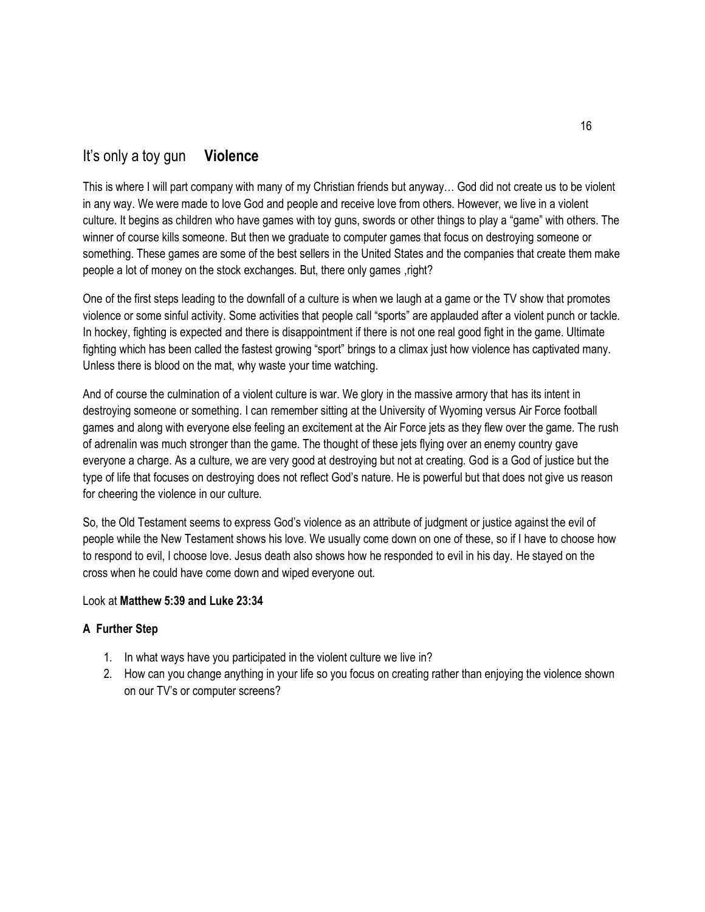# It's only a toy gun **Violence**

This is where I will part company with many of my Christian friends but anyway… God did not create us to be violent in any way. We were made to love God and people and receive love from others. However, we live in a violent culture. It begins as children who have games with toy guns, swords or other things to play a "game" with others. The winner of course kills someone. But then we graduate to computer games that focus on destroying someone or something. These games are some of the best sellers in the United States and the companies that create them make people a lot of money on the stock exchanges. But, there only games ,right?

One of the first steps leading to the downfall of a culture is when we laugh at a game or the TV show that promotes violence or some sinful activity. Some activities that people call "sports" are applauded after a violent punch or tackle. In hockey, fighting is expected and there is disappointment if there is not one real good fight in the game. Ultimate fighting which has been called the fastest growing "sport" brings to a climax just how violence has captivated many. Unless there is blood on the mat, why waste your time watching.

And of course the culmination of a violent culture is war. We glory in the massive armory that has its intent in destroying someone or something. I can remember sitting at the University of Wyoming versus Air Force football games and along with everyone else feeling an excitement at the Air Force jets as they flew over the game. The rush of adrenalin was much stronger than the game. The thought of these jets flying over an enemy country gave everyone a charge. As a culture, we are very good at destroying but not at creating. God is a God of justice but the type of life that focuses on destroying does not reflect God's nature. He is powerful but that does not give us reason for cheering the violence in our culture.

So, the Old Testament seems to express God's violence as an attribute of judgment or justice against the evil of people while the New Testament shows his love. We usually come down on one of these, so if I have to choose how to respond to evil, I choose love. Jesus death also shows how he responded to evil in his day. He stayed on the cross when he could have come down and wiped everyone out.

#### Look at **Matthew 5:39 and Luke 23:34**

- 1. In what ways have you participated in the violent culture we live in?
- 2. How can you change anything in your life so you focus on creating rather than enjoying the violence shown on our TV's or computer screens?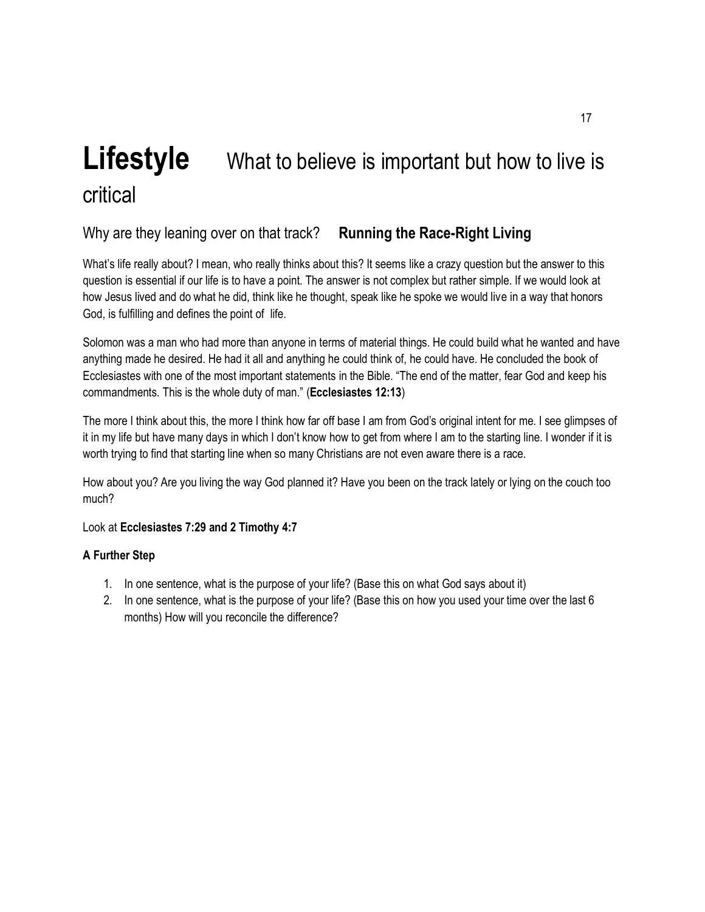# **Lifestyle** What to believe is important but how to live is critical

# Why are they leaning over on that track? **Running the Race-Right Living**

What's life really about? I mean, who really thinks about this? It seems like a crazy question but the answer to this question is essential if our life is to have a point. The answer is not complex but rather simple. If we would look at how Jesus lived and do what he did, think like he thought, speak like he spoke we would live in a way that honors God, is fulfilling and defines the point of life.

Solomon was a man who had more than anyone in terms of material things. He could build what he wanted and have anything made he desired. He had it all and anything he could think of, he could have. He concluded the book of Ecclesiastes with one of the most important statements in the Bible. "The end of the matter, fear God and keep his commandments. This is the whole duty of man." (**Ecclesiastes 12:13**)

The more I think about this, the more I think how far off base I am from God's original intent for me. I see glimpses of it in my life but have many days in which I don't know how to get from where I am to the starting line. I wonder if it is worth trying to find that starting line when so many Christians are not even aware there is a race.

How about you? Are you living the way God planned it? Have you been on the track lately or lying on the couch too much?

Look at **Ecclesiastes 7:29 and 2 Timothy 4:7**

- 1. In one sentence, what is the purpose of your life? (Base this on what God says about it)
- 2. In one sentence, what is the purpose of your life? (Base this on how you used your time over the last 6 months) How will you reconcile the difference?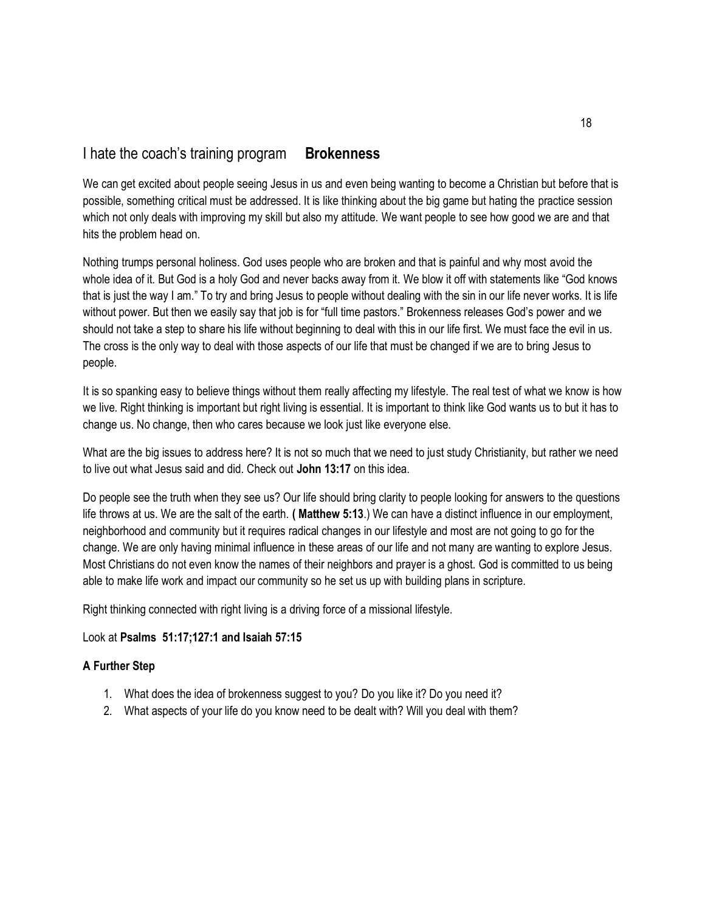## I hate the coach's training program **Brokenness**

We can get excited about people seeing Jesus in us and even being wanting to become a Christian but before that is possible, something critical must be addressed. It is like thinking about the big game but hating the practice session which not only deals with improving my skill but also my attitude. We want people to see how good we are and that hits the problem head on.

Nothing trumps personal holiness. God uses people who are broken and that is painful and why most avoid the whole idea of it. But God is a holy God and never backs away from it. We blow it off with statements like "God knows that is just the way I am." To try and bring Jesus to people without dealing with the sin in our life never works. It is life without power. But then we easily say that job is for "full time pastors." Brokenness releases God's power and we should not take a step to share his life without beginning to deal with this in our life first. We must face the evil in us. The cross is the only way to deal with those aspects of our life that must be changed if we are to bring Jesus to people.

It is so spanking easy to believe things without them really affecting my lifestyle. The real test of what we know is how we live. Right thinking is important but right living is essential. It is important to think like God wants us to but it has to change us. No change, then who cares because we look just like everyone else.

What are the big issues to address here? It is not so much that we need to just study Christianity, but rather we need to live out what Jesus said and did. Check out **John 13:17** on this idea.

Do people see the truth when they see us? Our life should bring clarity to people looking for answers to the questions life throws at us. We are the salt of the earth. **( Matthew 5:13**.) We can have a distinct influence in our employment, neighborhood and community but it requires radical changes in our lifestyle and most are not going to go for the change. We are only having minimal influence in these areas of our life and not many are wanting to explore Jesus. Most Christians do not even know the names of their neighbors and prayer is a ghost. God is committed to us being able to make life work and impact our community so he set us up with building plans in scripture.

Right thinking connected with right living is a driving force of a missional lifestyle.

#### Look at **Psalms 51:17;127:1 and Isaiah 57:15**

- 1. What does the idea of brokenness suggest to you? Do you like it? Do you need it?
- 2. What aspects of your life do you know need to be dealt with? Will you deal with them?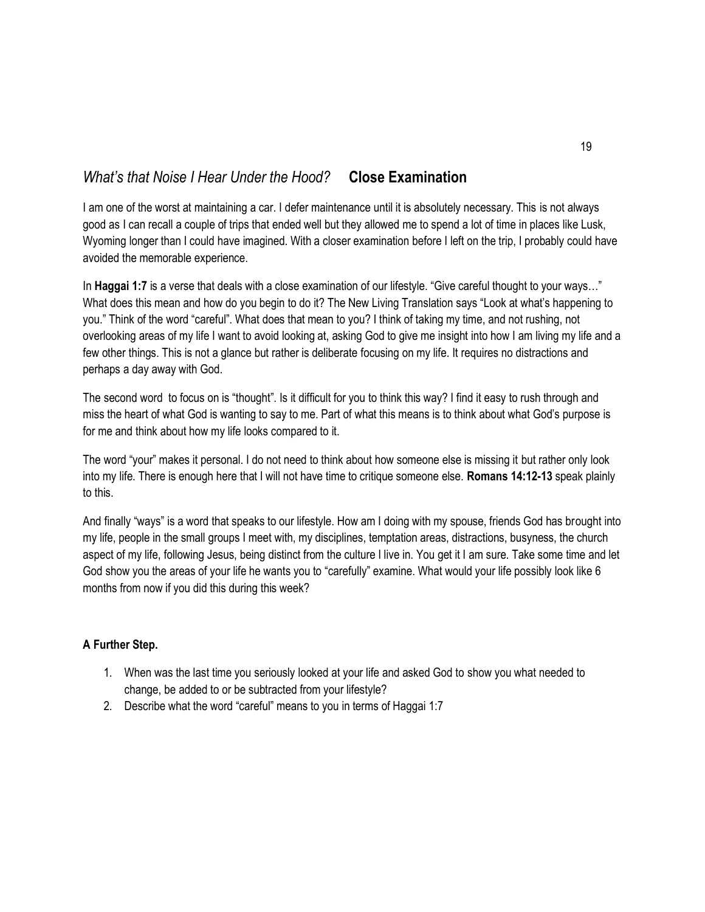# *What's that Noise I Hear Under the Hood?* **Close Examination**

I am one of the worst at maintaining a car. I defer maintenance until it is absolutely necessary. This is not always good as I can recall a couple of trips that ended well but they allowed me to spend a lot of time in places like Lusk, Wyoming longer than I could have imagined. With a closer examination before I left on the trip, I probably could have avoided the memorable experience.

In **Haggai 1:7** is a verse that deals with a close examination of our lifestyle. "Give careful thought to your ways…" What does this mean and how do you begin to do it? The New Living Translation says "Look at what's happening to you." Think of the word "careful". What does that mean to you? I think of taking my time, and not rushing, not overlooking areas of my life I want to avoid looking at, asking God to give me insight into how I am living my life and a few other things. This is not a glance but rather is deliberate focusing on my life. It requires no distractions and perhaps a day away with God.

The second word to focus on is "thought". Is it difficult for you to think this way? I find it easy to rush through and miss the heart of what God is wanting to say to me. Part of what this means is to think about what God's purpose is for me and think about how my life looks compared to it.

The word "your" makes it personal. I do not need to think about how someone else is missing it but rather only look into my life. There is enough here that I will not have time to critique someone else. **Romans 14:12-13** speak plainly to this.

And finally "ways" is a word that speaks to our lifestyle. How am I doing with my spouse, friends God has brought into my life, people in the small groups I meet with, my disciplines, temptation areas, distractions, busyness, the church aspect of my life, following Jesus, being distinct from the culture I live in. You get it I am sure. Take some time and let God show you the areas of your life he wants you to "carefully" examine. What would your life possibly look like 6 months from now if you did this during this week?

- 1. When was the last time you seriously looked at your life and asked God to show you what needed to change, be added to or be subtracted from your lifestyle?
- 2. Describe what the word "careful" means to you in terms of Haggai 1:7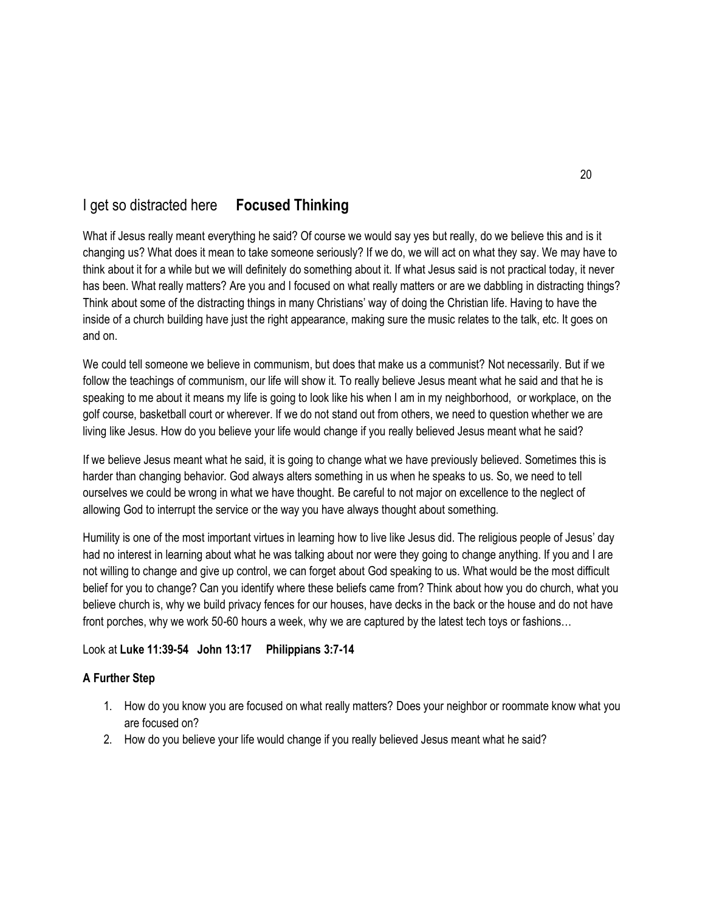# I get so distracted here **Focused Thinking**

What if Jesus really meant everything he said? Of course we would say yes but really, do we believe this and is it changing us? What does it mean to take someone seriously? If we do, we will act on what they say. We may have to think about it for a while but we will definitely do something about it. If what Jesus said is not practical today, it never has been. What really matters? Are you and I focused on what really matters or are we dabbling in distracting things? Think about some of the distracting things in many Christians' way of doing the Christian life. Having to have the inside of a church building have just the right appearance, making sure the music relates to the talk, etc. It goes on and on.

We could tell someone we believe in communism, but does that make us a communist? Not necessarily. But if we follow the teachings of communism, our life will show it. To really believe Jesus meant what he said and that he is speaking to me about it means my life is going to look like his when I am in my neighborhood, or workplace, on the golf course, basketball court or wherever. If we do not stand out from others, we need to question whether we are living like Jesus. How do you believe your life would change if you really believed Jesus meant what he said?

If we believe Jesus meant what he said, it is going to change what we have previously believed. Sometimes this is harder than changing behavior. God always alters something in us when he speaks to us. So, we need to tell ourselves we could be wrong in what we have thought. Be careful to not major on excellence to the neglect of allowing God to interrupt the service or the way you have always thought about something.

Humility is one of the most important virtues in learning how to live like Jesus did. The religious people of Jesus' day had no interest in learning about what he was talking about nor were they going to change anything. If you and I are not willing to change and give up control, we can forget about God speaking to us. What would be the most difficult belief for you to change? Can you identify where these beliefs came from? Think about how you do church, what you believe church is, why we build privacy fences for our houses, have decks in the back or the house and do not have front porches, why we work 50-60 hours a week, why we are captured by the latest tech toys or fashions…

## Look at **Luke 11:39-54 John 13:17 Philippians 3:7-14**

- 1. How do you know you are focused on what really matters? Does your neighbor or roommate know what you are focused on?
- 2. How do you believe your life would change if you really believed Jesus meant what he said?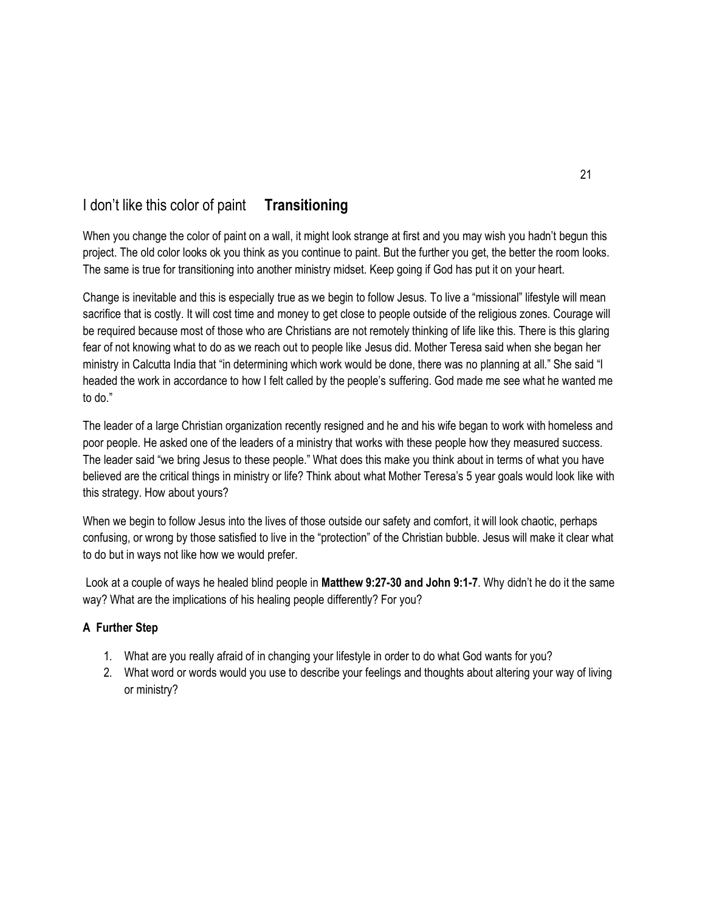# I don't like this color of paint **Transitioning**

When you change the color of paint on a wall, it might look strange at first and you may wish you hadn't begun this project. The old color looks ok you think as you continue to paint. But the further you get, the better the room looks. The same is true for transitioning into another ministry midset. Keep going if God has put it on your heart.

Change is inevitable and this is especially true as we begin to follow Jesus. To live a "missional" lifestyle will mean sacrifice that is costly. It will cost time and money to get close to people outside of the religious zones. Courage will be required because most of those who are Christians are not remotely thinking of life like this. There is this glaring fear of not knowing what to do as we reach out to people like Jesus did. Mother Teresa said when she began her ministry in Calcutta India that "in determining which work would be done, there was no planning at all." She said "I headed the work in accordance to how I felt called by the people's suffering. God made me see what he wanted me to do."

The leader of a large Christian organization recently resigned and he and his wife began to work with homeless and poor people. He asked one of the leaders of a ministry that works with these people how they measured success. The leader said "we bring Jesus to these people." What does this make you think about in terms of what you have believed are the critical things in ministry or life? Think about what Mother Teresa's 5 year goals would look like with this strategy. How about yours?

When we begin to follow Jesus into the lives of those outside our safety and comfort, it will look chaotic, perhaps confusing, or wrong by those satisfied to live in the "protection" of the Christian bubble. Jesus will make it clear what to do but in ways not like how we would prefer.

Look at a couple of ways he healed blind people in **Matthew 9:27-30 and John 9:1-7**. Why didn't he do it the same way? What are the implications of his healing people differently? For you?

- 1. What are you really afraid of in changing your lifestyle in order to do what God wants for you?
- 2. What word or words would you use to describe your feelings and thoughts about altering your way of living or ministry?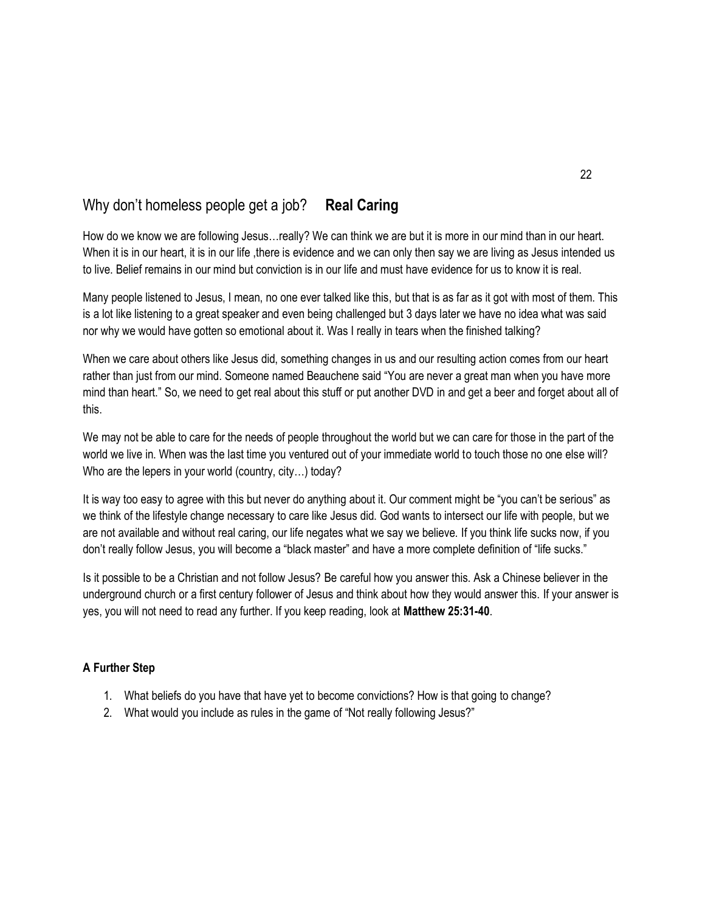# Why don't homeless people get a job? **Real Caring**

How do we know we are following Jesus…really? We can think we are but it is more in our mind than in our heart. When it is in our heart, it is in our life, there is evidence and we can only then say we are living as Jesus intended us to live. Belief remains in our mind but conviction is in our life and must have evidence for us to know it is real.

Many people listened to Jesus, I mean, no one ever talked like this, but that is as far as it got with most of them. This is a lot like listening to a great speaker and even being challenged but 3 days later we have no idea what was said nor why we would have gotten so emotional about it. Was I really in tears when the finished talking?

When we care about others like Jesus did, something changes in us and our resulting action comes from our heart rather than just from our mind. Someone named Beauchene said "You are never a great man when you have more mind than heart." So, we need to get real about this stuff or put another DVD in and get a beer and forget about all of this.

We may not be able to care for the needs of people throughout the world but we can care for those in the part of the world we live in. When was the last time you ventured out of your immediate world to touch those no one else will? Who are the lepers in your world (country, city…) today?

It is way too easy to agree with this but never do anything about it. Our comment might be "you can't be serious" as we think of the lifestyle change necessary to care like Jesus did. God wants to intersect our life with people, but we are not available and without real caring, our life negates what we say we believe. If you think life sucks now, if you don't really follow Jesus, you will become a "black master" and have a more complete definition of "life sucks."

Is it possible to be a Christian and not follow Jesus? Be careful how you answer this. Ask a Chinese believer in the underground church or a first century follower of Jesus and think about how they would answer this. If your answer is yes, you will not need to read any further. If you keep reading, look at **Matthew 25:31-40**.

- 1. What beliefs do you have that have yet to become convictions? How is that going to change?
- 2. What would you include as rules in the game of "Not really following Jesus?"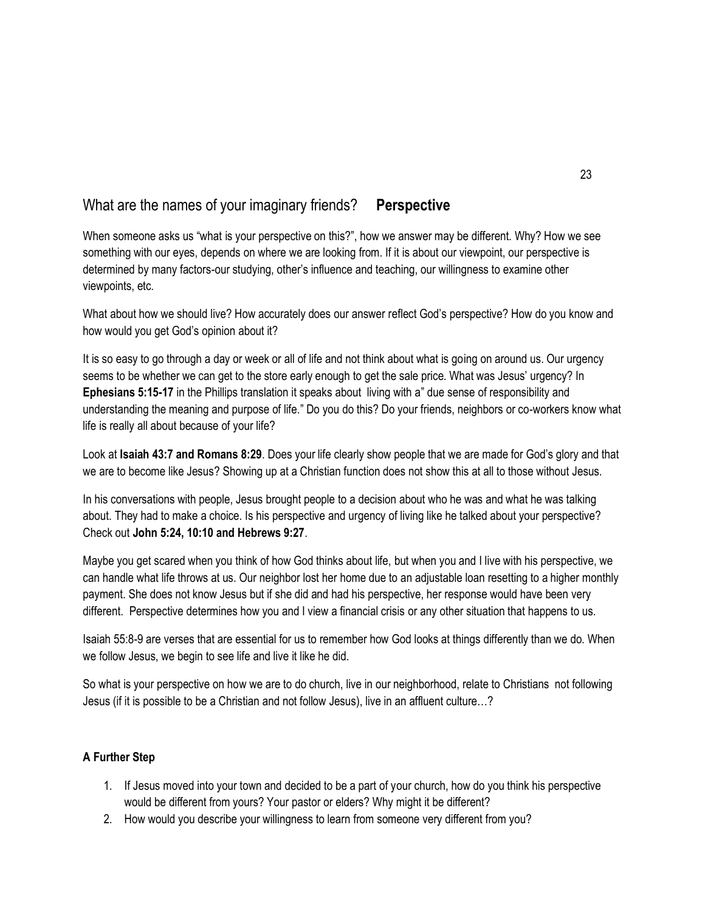# What are the names of your imaginary friends? **Perspective**

When someone asks us "what is your perspective on this?", how we answer may be different. Why? How we see something with our eyes, depends on where we are looking from. If it is about our viewpoint, our perspective is determined by many factors-our studying, other's influence and teaching, our willingness to examine other viewpoints, etc.

What about how we should live? How accurately does our answer reflect God's perspective? How do you know and how would you get God's opinion about it?

It is so easy to go through a day or week or all of life and not think about what is going on around us. Our urgency seems to be whether we can get to the store early enough to get the sale price. What was Jesus' urgency? In **Ephesians 5:15-17** in the Phillips translation it speaks about living with a" due sense of responsibility and understanding the meaning and purpose of life." Do you do this? Do your friends, neighbors or co-workers know what life is really all about because of your life?

Look at **Isaiah 43:7 and Romans 8:29**. Does your life clearly show people that we are made for God's glory and that we are to become like Jesus? Showing up at a Christian function does not show this at all to those without Jesus.

In his conversations with people, Jesus brought people to a decision about who he was and what he was talking about. They had to make a choice. Is his perspective and urgency of living like he talked about your perspective? Check out **John 5:24, 10:10 and Hebrews 9:27**.

Maybe you get scared when you think of how God thinks about life, but when you and I live with his perspective, we can handle what life throws at us. Our neighbor lost her home due to an adjustable loan resetting to a higher monthly payment. She does not know Jesus but if she did and had his perspective, her response would have been very different. Perspective determines how you and I view a financial crisis or any other situation that happens to us.

Isaiah 55:8-9 are verses that are essential for us to remember how God looks at things differently than we do. When we follow Jesus, we begin to see life and live it like he did.

So what is your perspective on how we are to do church, live in our neighborhood, relate to Christians not following Jesus (if it is possible to be a Christian and not follow Jesus), live in an affluent culture…?

- 1. If Jesus moved into your town and decided to be a part of your church, how do you think his perspective would be different from yours? Your pastor or elders? Why might it be different?
- 2. How would you describe your willingness to learn from someone very different from you?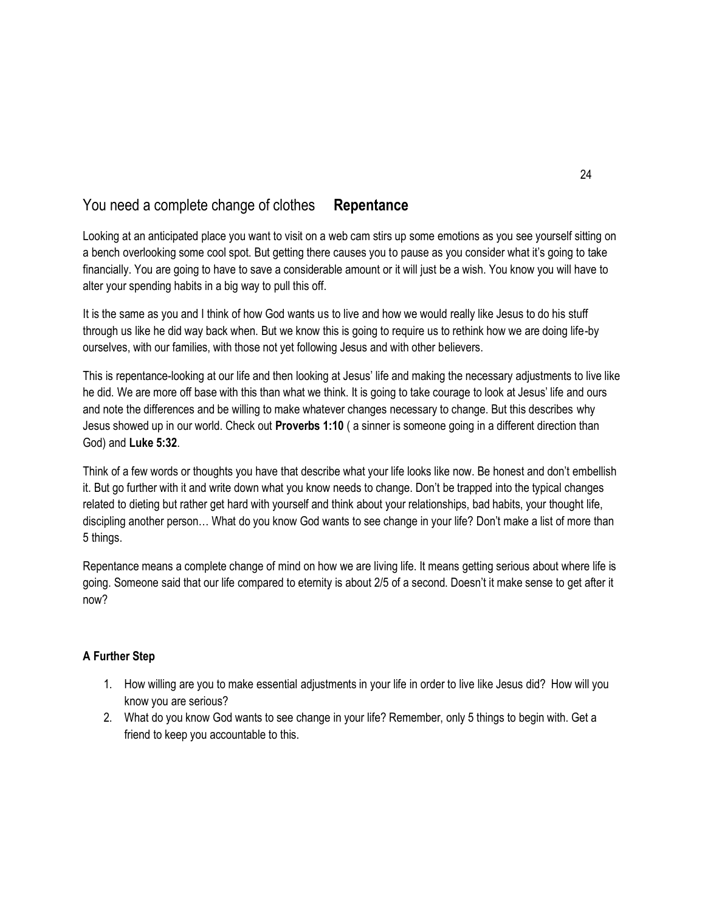# You need a complete change of clothes **Repentance**

Looking at an anticipated place you want to visit on a web cam stirs up some emotions as you see yourself sitting on a bench overlooking some cool spot. But getting there causes you to pause as you consider what it's going to take financially. You are going to have to save a considerable amount or it will just be a wish. You know you will have to alter your spending habits in a big way to pull this off.

It is the same as you and I think of how God wants us to live and how we would really like Jesus to do his stuff through us like he did way back when. But we know this is going to require us to rethink how we are doing life-by ourselves, with our families, with those not yet following Jesus and with other believers.

This is repentance-looking at our life and then looking at Jesus' life and making the necessary adjustments to live like he did. We are more off base with this than what we think. It is going to take courage to look at Jesus' life and ours and note the differences and be willing to make whatever changes necessary to change. But this describes why Jesus showed up in our world. Check out **Proverbs 1:10** ( a sinner is someone going in a different direction than God) and **Luke 5:32**.

Think of a few words or thoughts you have that describe what your life looks like now. Be honest and don't embellish it. But go further with it and write down what you know needs to change. Don't be trapped into the typical changes related to dieting but rather get hard with yourself and think about your relationships, bad habits, your thought life, discipling another person… What do you know God wants to see change in your life? Don't make a list of more than 5 things.

Repentance means a complete change of mind on how we are living life. It means getting serious about where life is going. Someone said that our life compared to eternity is about 2/5 of a second. Doesn't it make sense to get after it now?

- 1. How willing are you to make essential adjustments in your life in order to live like Jesus did? How will you know you are serious?
- 2. What do you know God wants to see change in your life? Remember, only 5 things to begin with. Get a friend to keep you accountable to this.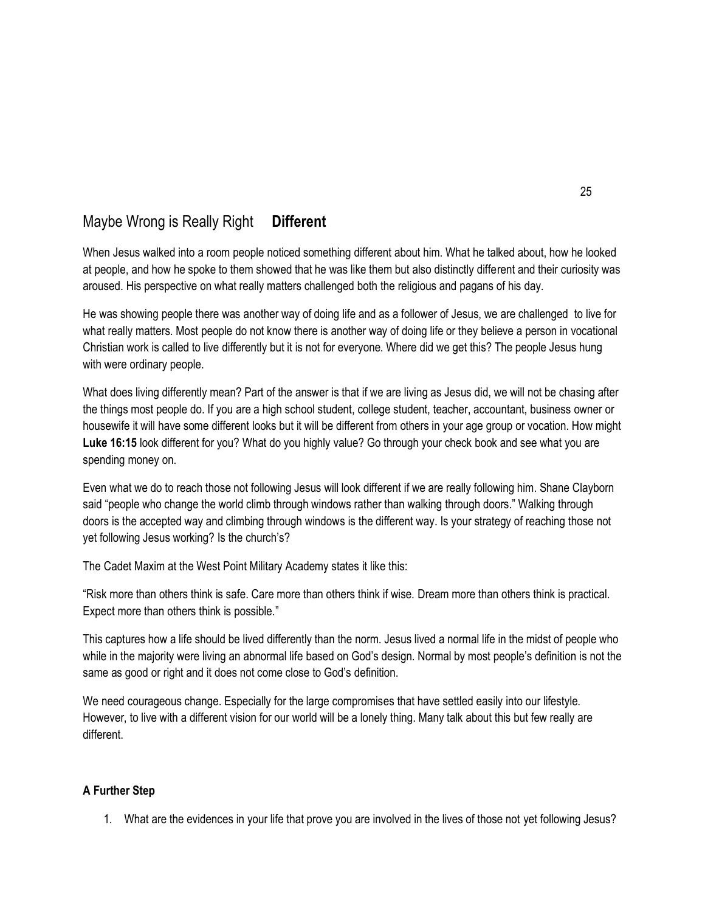# Maybe Wrong is Really Right **Different**

When Jesus walked into a room people noticed something different about him. What he talked about, how he looked at people, and how he spoke to them showed that he was like them but also distinctly different and their curiosity was aroused. His perspective on what really matters challenged both the religious and pagans of his day.

He was showing people there was another way of doing life and as a follower of Jesus, we are challenged to live for what really matters. Most people do not know there is another way of doing life or they believe a person in vocational Christian work is called to live differently but it is not for everyone. Where did we get this? The people Jesus hung with were ordinary people.

What does living differently mean? Part of the answer is that if we are living as Jesus did, we will not be chasing after the things most people do. If you are a high school student, college student, teacher, accountant, business owner or housewife it will have some different looks but it will be different from others in your age group or vocation. How might **Luke 16:15** look different for you? What do you highly value? Go through your check book and see what you are spending money on.

Even what we do to reach those not following Jesus will look different if we are really following him. Shane Clayborn said "people who change the world climb through windows rather than walking through doors." Walking through doors is the accepted way and climbing through windows is the different way. Is your strategy of reaching those not yet following Jesus working? Is the church's?

The Cadet Maxim at the West Point Military Academy states it like this:

"Risk more than others think is safe. Care more than others think if wise. Dream more than others think is practical. Expect more than others think is possible."

This captures how a life should be lived differently than the norm. Jesus lived a normal life in the midst of people who while in the majority were living an abnormal life based on God's design. Normal by most people's definition is not the same as good or right and it does not come close to God's definition.

We need courageous change. Especially for the large compromises that have settled easily into our lifestyle. However, to live with a different vision for our world will be a lonely thing. Many talk about this but few really are different.

#### **A Further Step**

1. What are the evidences in your life that prove you are involved in the lives of those not yet following Jesus?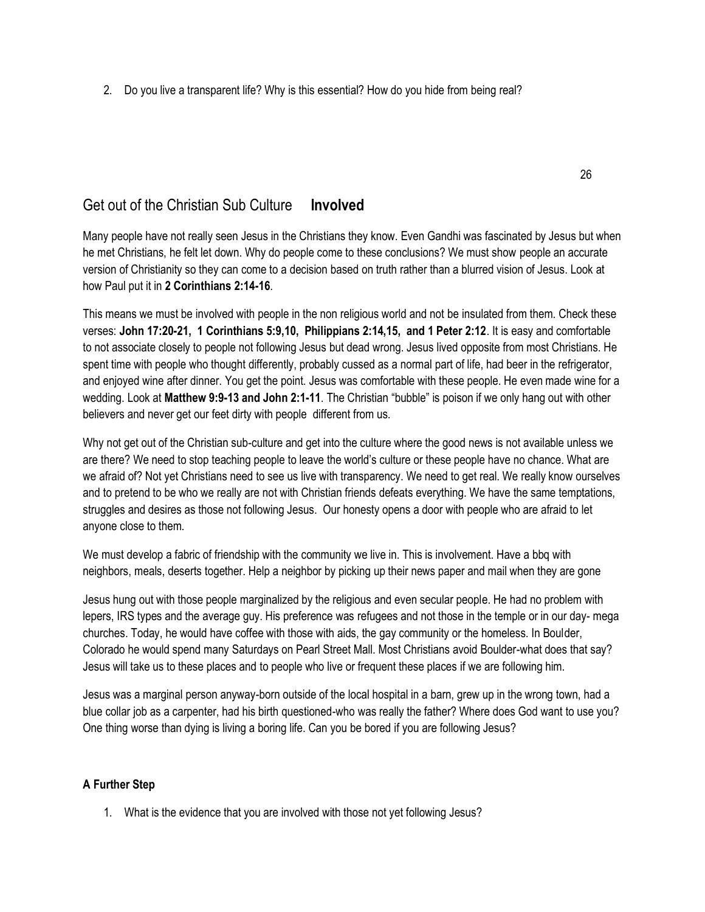2. Do you live a transparent life? Why is this essential? How do you hide from being real?

## Get out of the Christian Sub Culture **Involved**

Many people have not really seen Jesus in the Christians they know. Even Gandhi was fascinated by Jesus but when he met Christians, he felt let down. Why do people come to these conclusions? We must show people an accurate version of Christianity so they can come to a decision based on truth rather than a blurred vision of Jesus. Look at how Paul put it in **2 Corinthians 2:14-16**.

This means we must be involved with people in the non religious world and not be insulated from them. Check these verses: **John 17:20-21, 1 Corinthians 5:9,10, Philippians 2:14,15, and 1 Peter 2:12**. It is easy and comfortable to not associate closely to people not following Jesus but dead wrong. Jesus lived opposite from most Christians. He spent time with people who thought differently, probably cussed as a normal part of life, had beer in the refrigerator, and enjoyed wine after dinner. You get the point. Jesus was comfortable with these people. He even made wine for a wedding. Look at **Matthew 9:9-13 and John 2:1-11**. The Christian "bubble" is poison if we only hang out with other believers and never get our feet dirty with people different from us.

Why not get out of the Christian sub-culture and get into the culture where the good news is not available unless we are there? We need to stop teaching people to leave the world's culture or these people have no chance. What are we afraid of? Not yet Christians need to see us live with transparency. We need to get real. We really know ourselves and to pretend to be who we really are not with Christian friends defeats everything. We have the same temptations, struggles and desires as those not following Jesus. Our honesty opens a door with people who are afraid to let anyone close to them.

We must develop a fabric of friendship with the community we live in. This is involvement. Have a bbq with neighbors, meals, deserts together. Help a neighbor by picking up their news paper and mail when they are gone

Jesus hung out with those people marginalized by the religious and even secular people. He had no problem with lepers, IRS types and the average guy. His preference was refugees and not those in the temple or in our day- mega churches. Today, he would have coffee with those with aids, the gay community or the homeless. In Boulder, Colorado he would spend many Saturdays on Pearl Street Mall. Most Christians avoid Boulder-what does that say? Jesus will take us to these places and to people who live or frequent these places if we are following him.

Jesus was a marginal person anyway-born outside of the local hospital in a barn, grew up in the wrong town, had a blue collar job as a carpenter, had his birth questioned-who was really the father? Where does God want to use you? One thing worse than dying is living a boring life. Can you be bored if you are following Jesus?

#### **A Further Step**

1. What is the evidence that you are involved with those not yet following Jesus?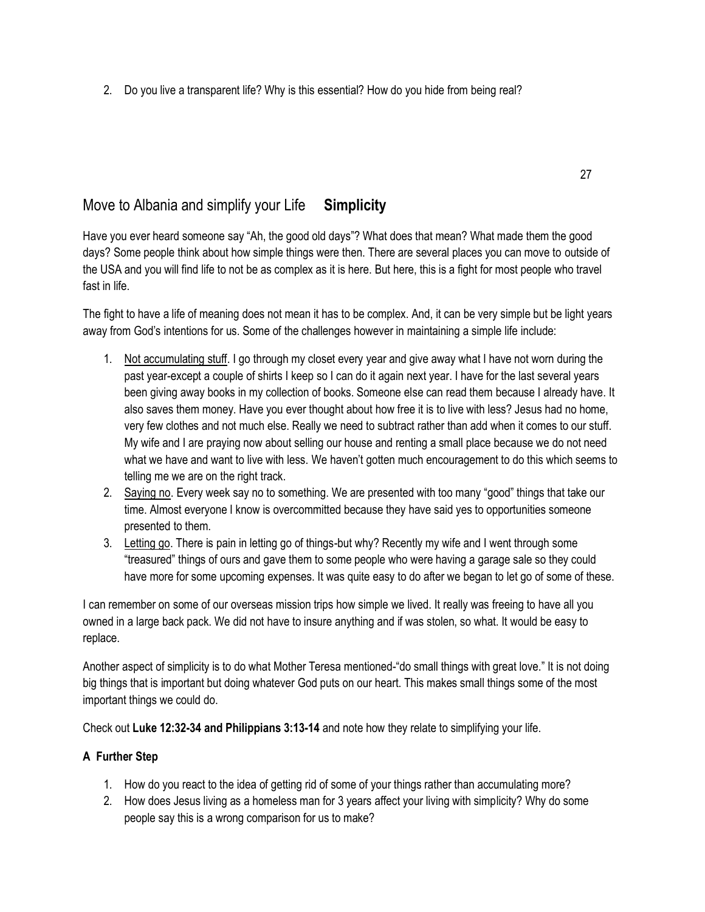2. Do you live a transparent life? Why is this essential? How do you hide from being real?

# Move to Albania and simplify your Life **Simplicity**

Have you ever heard someone say "Ah, the good old days"? What does that mean? What made them the good days? Some people think about how simple things were then. There are several places you can move to outside of the USA and you will find life to not be as complex as it is here. But here, this is a fight for most people who travel fast in life.

The fight to have a life of meaning does not mean it has to be complex. And, it can be very simple but be light years away from God's intentions for us. Some of the challenges however in maintaining a simple life include:

- 1. Not accumulating stuff. I go through my closet every year and give away what I have not worn during the past year-except a couple of shirts I keep so I can do it again next year. I have for the last several years been giving away books in my collection of books. Someone else can read them because I already have. It also saves them money. Have you ever thought about how free it is to live with less? Jesus had no home, very few clothes and not much else. Really we need to subtract rather than add when it comes to our stuff. My wife and I are praying now about selling our house and renting a small place because we do not need what we have and want to live with less. We haven't gotten much encouragement to do this which seems to telling me we are on the right track.
- 2. Saying no. Every week say no to something. We are presented with too many "good" things that take our time. Almost everyone I know is overcommitted because they have said yes to opportunities someone presented to them.
- 3. Letting go. There is pain in letting go of things-but why? Recently my wife and I went through some "treasured" things of ours and gave them to some people who were having a garage sale so they could have more for some upcoming expenses. It was quite easy to do after we began to let go of some of these.

I can remember on some of our overseas mission trips how simple we lived. It really was freeing to have all you owned in a large back pack. We did not have to insure anything and if was stolen, so what. It would be easy to replace.

Another aspect of simplicity is to do what Mother Teresa mentioned-"do small things with great love." It is not doing big things that is important but doing whatever God puts on our heart. This makes small things some of the most important things we could do.

Check out **Luke 12:32-34 and Philippians 3:13-14** and note how they relate to simplifying your life.

- 1. How do you react to the idea of getting rid of some of your things rather than accumulating more?
- 2. How does Jesus living as a homeless man for 3 years affect your living with simplicity? Why do some people say this is a wrong comparison for us to make?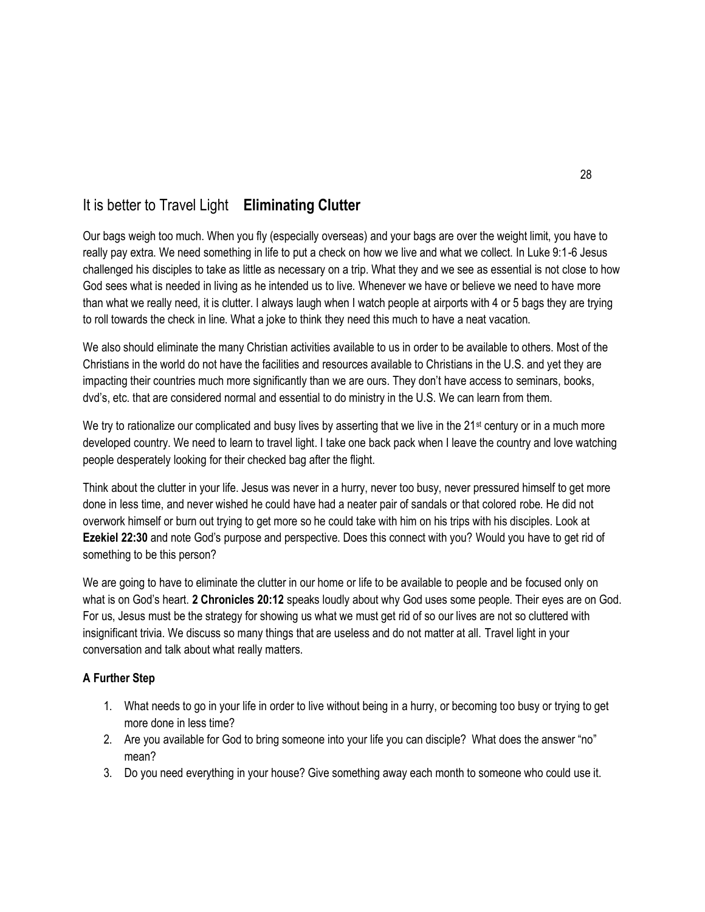# It is better to Travel Light **Eliminating Clutter**

Our bags weigh too much. When you fly (especially overseas) and your bags are over the weight limit, you have to really pay extra. We need something in life to put a check on how we live and what we collect. In Luke 9:1-6 Jesus challenged his disciples to take as little as necessary on a trip. What they and we see as essential is not close to how God sees what is needed in living as he intended us to live. Whenever we have or believe we need to have more than what we really need, it is clutter. I always laugh when I watch people at airports with 4 or 5 bags they are trying to roll towards the check in line. What a joke to think they need this much to have a neat vacation.

We also should eliminate the many Christian activities available to us in order to be available to others. Most of the Christians in the world do not have the facilities and resources available to Christians in the U.S. and yet they are impacting their countries much more significantly than we are ours. They don't have access to seminars, books, dvd's, etc. that are considered normal and essential to do ministry in the U.S. We can learn from them.

We try to rationalize our complicated and busy lives by asserting that we live in the  $21st$  century or in a much more developed country. We need to learn to travel light. I take one back pack when I leave the country and love watching people desperately looking for their checked bag after the flight.

Think about the clutter in your life. Jesus was never in a hurry, never too busy, never pressured himself to get more done in less time, and never wished he could have had a neater pair of sandals or that colored robe. He did not overwork himself or burn out trying to get more so he could take with him on his trips with his disciples. Look at **Ezekiel 22:30** and note God's purpose and perspective. Does this connect with you? Would you have to get rid of something to be this person?

We are going to have to eliminate the clutter in our home or life to be available to people and be focused only on what is on God's heart. **2 Chronicles 20:12** speaks loudly about why God uses some people. Their eyes are on God. For us, Jesus must be the strategy for showing us what we must get rid of so our lives are not so cluttered with insignificant trivia. We discuss so many things that are useless and do not matter at all. Travel light in your conversation and talk about what really matters.

- 1. What needs to go in your life in order to live without being in a hurry, or becoming too busy or trying to get more done in less time?
- 2. Are you available for God to bring someone into your life you can disciple? What does the answer "no" mean?
- 3. Do you need everything in your house? Give something away each month to someone who could use it.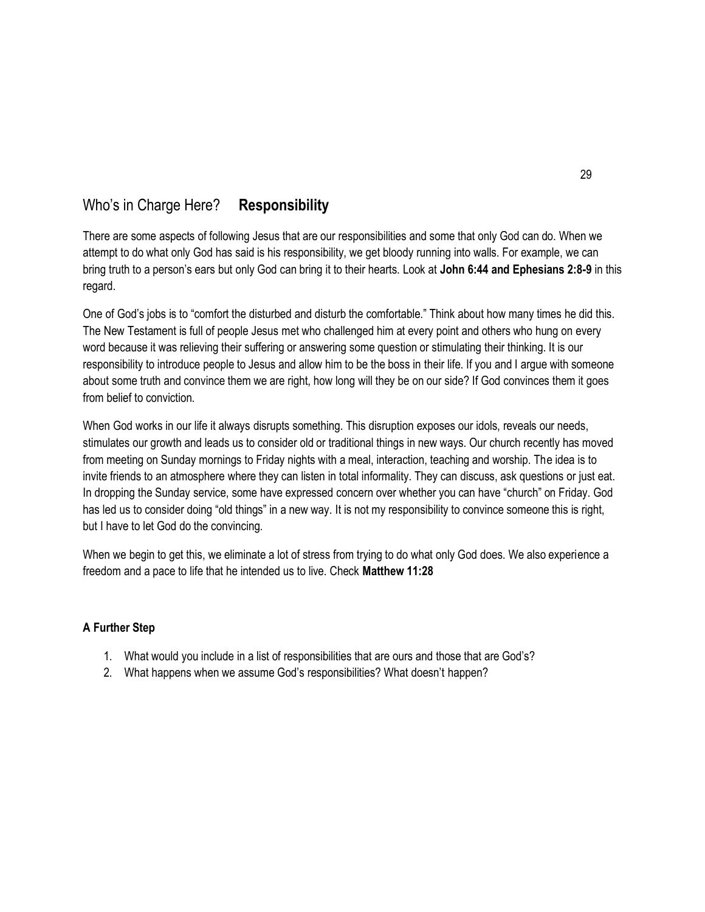# Who's in Charge Here? **Responsibility**

There are some aspects of following Jesus that are our responsibilities and some that only God can do. When we attempt to do what only God has said is his responsibility, we get bloody running into walls. For example, we can bring truth to a person's ears but only God can bring it to their hearts. Look at **John 6:44 and Ephesians 2:8-9** in this regard.

One of God's jobs is to "comfort the disturbed and disturb the comfortable." Think about how many times he did this. The New Testament is full of people Jesus met who challenged him at every point and others who hung on every word because it was relieving their suffering or answering some question or stimulating their thinking. It is our responsibility to introduce people to Jesus and allow him to be the boss in their life. If you and I argue with someone about some truth and convince them we are right, how long will they be on our side? If God convinces them it goes from belief to conviction.

When God works in our life it always disrupts something. This disruption exposes our idols, reveals our needs, stimulates our growth and leads us to consider old or traditional things in new ways. Our church recently has moved from meeting on Sunday mornings to Friday nights with a meal, interaction, teaching and worship. The idea is to invite friends to an atmosphere where they can listen in total informality. They can discuss, ask questions or just eat. In dropping the Sunday service, some have expressed concern over whether you can have "church" on Friday. God has led us to consider doing "old things" in a new way. It is not my responsibility to convince someone this is right, but I have to let God do the convincing.

When we begin to get this, we eliminate a lot of stress from trying to do what only God does. We also experience a freedom and a pace to life that he intended us to live. Check **Matthew 11:28**

- 1. What would you include in a list of responsibilities that are ours and those that are God's?
- 2. What happens when we assume God's responsibilities? What doesn't happen?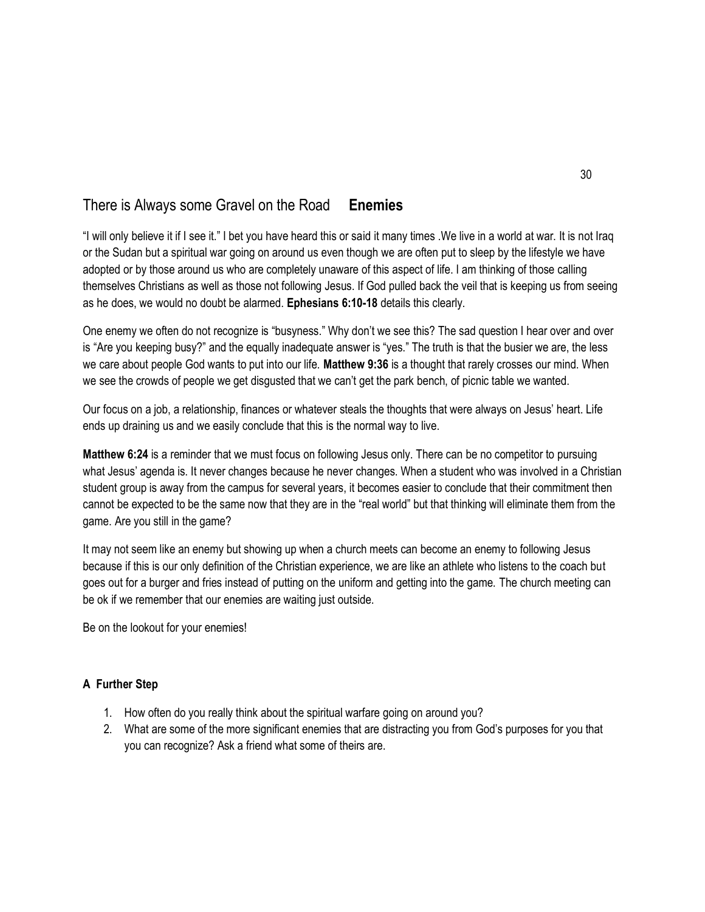# There is Always some Gravel on the Road **Enemies**

"I will only believe it if I see it." I bet you have heard this or said it many times .We live in a world at war. It is not Iraq or the Sudan but a spiritual war going on around us even though we are often put to sleep by the lifestyle we have adopted or by those around us who are completely unaware of this aspect of life. I am thinking of those calling themselves Christians as well as those not following Jesus. If God pulled back the veil that is keeping us from seeing as he does, we would no doubt be alarmed. **Ephesians 6:10-18** details this clearly.

One enemy we often do not recognize is "busyness." Why don't we see this? The sad question I hear over and over is "Are you keeping busy?" and the equally inadequate answer is "yes." The truth is that the busier we are, the less we care about people God wants to put into our life. **Matthew 9:36** is a thought that rarely crosses our mind. When we see the crowds of people we get disgusted that we can't get the park bench, of picnic table we wanted.

Our focus on a job, a relationship, finances or whatever steals the thoughts that were always on Jesus' heart. Life ends up draining us and we easily conclude that this is the normal way to live.

**Matthew 6:24** is a reminder that we must focus on following Jesus only. There can be no competitor to pursuing what Jesus' agenda is. It never changes because he never changes. When a student who was involved in a Christian student group is away from the campus for several years, it becomes easier to conclude that their commitment then cannot be expected to be the same now that they are in the "real world" but that thinking will eliminate them from the game. Are you still in the game?

It may not seem like an enemy but showing up when a church meets can become an enemy to following Jesus because if this is our only definition of the Christian experience, we are like an athlete who listens to the coach but goes out for a burger and fries instead of putting on the uniform and getting into the game. The church meeting can be ok if we remember that our enemies are waiting just outside.

Be on the lookout for your enemies!

- 1. How often do you really think about the spiritual warfare going on around you?
- 2. What are some of the more significant enemies that are distracting you from God's purposes for you that you can recognize? Ask a friend what some of theirs are.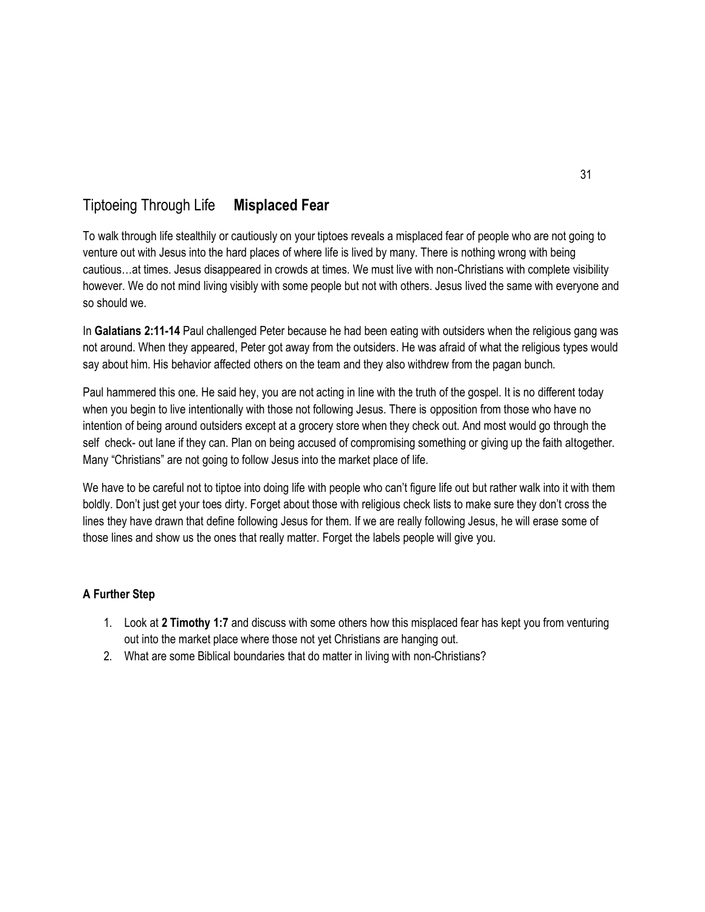# Tiptoeing Through Life **Misplaced Fear**

To walk through life stealthily or cautiously on your tiptoes reveals a misplaced fear of people who are not going to venture out with Jesus into the hard places of where life is lived by many. There is nothing wrong with being cautious…at times. Jesus disappeared in crowds at times. We must live with non-Christians with complete visibility however. We do not mind living visibly with some people but not with others. Jesus lived the same with everyone and so should we.

In **Galatians 2:11-14** Paul challenged Peter because he had been eating with outsiders when the religious gang was not around. When they appeared, Peter got away from the outsiders. He was afraid of what the religious types would say about him. His behavior affected others on the team and they also withdrew from the pagan bunch.

Paul hammered this one. He said hey, you are not acting in line with the truth of the gospel. It is no different today when you begin to live intentionally with those not following Jesus. There is opposition from those who have no intention of being around outsiders except at a grocery store when they check out. And most would go through the self check- out lane if they can. Plan on being accused of compromising something or giving up the faith altogether. Many "Christians" are not going to follow Jesus into the market place of life.

We have to be careful not to tiptoe into doing life with people who can't figure life out but rather walk into it with them boldly. Don't just get your toes dirty. Forget about those with religious check lists to make sure they don't cross the lines they have drawn that define following Jesus for them. If we are really following Jesus, he will erase some of those lines and show us the ones that really matter. Forget the labels people will give you.

- 1. Look at **2 Timothy 1:7** and discuss with some others how this misplaced fear has kept you from venturing out into the market place where those not yet Christians are hanging out.
- 2. What are some Biblical boundaries that do matter in living with non-Christians?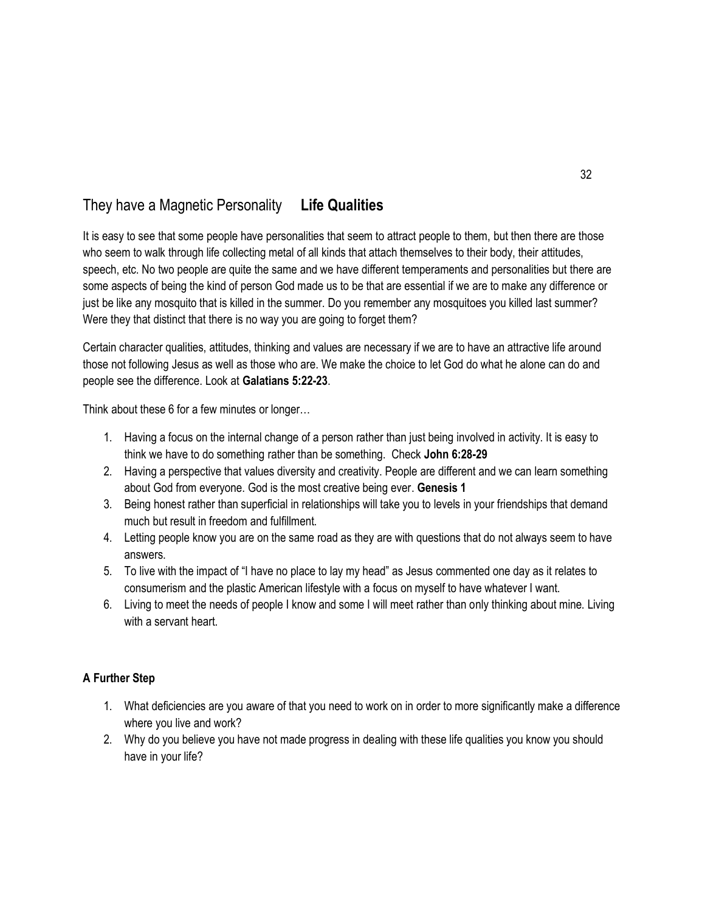# They have a Magnetic Personality **Life Qualities**

It is easy to see that some people have personalities that seem to attract people to them, but then there are those who seem to walk through life collecting metal of all kinds that attach themselves to their body, their attitudes, speech, etc. No two people are quite the same and we have different temperaments and personalities but there are some aspects of being the kind of person God made us to be that are essential if we are to make any difference or just be like any mosquito that is killed in the summer. Do you remember any mosquitoes you killed last summer? Were they that distinct that there is no way you are going to forget them?

Certain character qualities, attitudes, thinking and values are necessary if we are to have an attractive life around those not following Jesus as well as those who are. We make the choice to let God do what he alone can do and people see the difference. Look at **Galatians 5:22-23**.

Think about these 6 for a few minutes or longer…

- 1. Having a focus on the internal change of a person rather than just being involved in activity. It is easy to think we have to do something rather than be something. Check **John 6:28-29**
- 2. Having a perspective that values diversity and creativity. People are different and we can learn something about God from everyone. God is the most creative being ever. **Genesis 1**
- 3. Being honest rather than superficial in relationships will take you to levels in your friendships that demand much but result in freedom and fulfillment.
- 4. Letting people know you are on the same road as they are with questions that do not always seem to have answers.
- 5. To live with the impact of "I have no place to lay my head" as Jesus commented one day as it relates to consumerism and the plastic American lifestyle with a focus on myself to have whatever I want.
- 6. Living to meet the needs of people I know and some I will meet rather than only thinking about mine. Living with a servant heart.

- 1. What deficiencies are you aware of that you need to work on in order to more significantly make a difference where you live and work?
- 2. Why do you believe you have not made progress in dealing with these life qualities you know you should have in your life?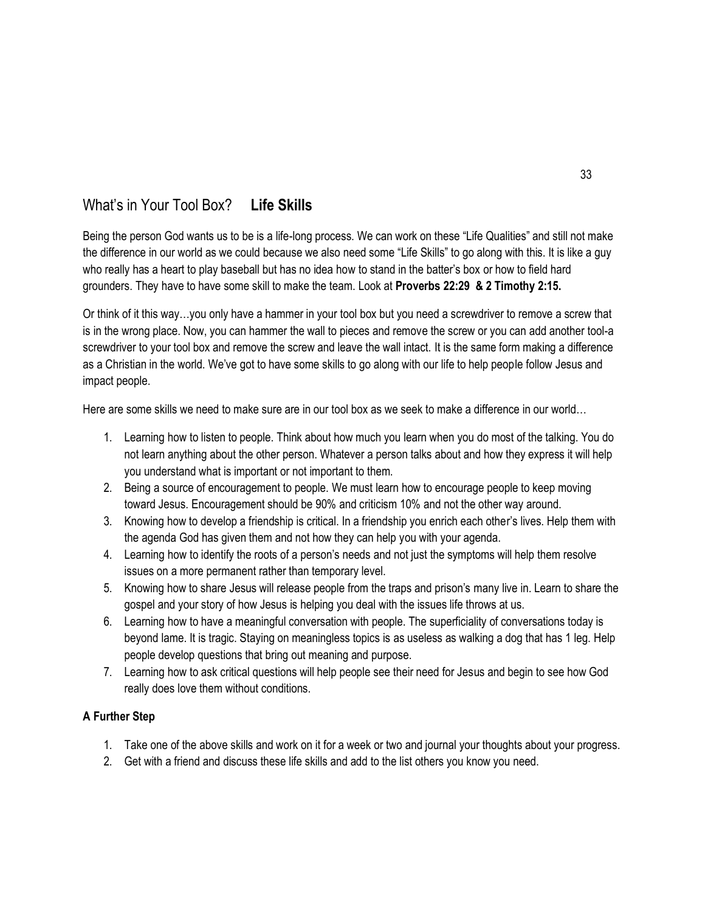# What's in Your Tool Box? **Life Skills**

Being the person God wants us to be is a life-long process. We can work on these "Life Qualities" and still not make the difference in our world as we could because we also need some "Life Skills" to go along with this. It is like a guy who really has a heart to play baseball but has no idea how to stand in the batter's box or how to field hard grounders. They have to have some skill to make the team. Look at **Proverbs 22:29 & 2 Timothy 2:15.**

Or think of it this way…you only have a hammer in your tool box but you need a screwdriver to remove a screw that is in the wrong place. Now, you can hammer the wall to pieces and remove the screw or you can add another tool-a screwdriver to your tool box and remove the screw and leave the wall intact. It is the same form making a difference as a Christian in the world. We've got to have some skills to go along with our life to help people follow Jesus and impact people.

Here are some skills we need to make sure are in our tool box as we seek to make a difference in our world…

- 1. Learning how to listen to people. Think about how much you learn when you do most of the talking. You do not learn anything about the other person. Whatever a person talks about and how they express it will help you understand what is important or not important to them.
- 2. Being a source of encouragement to people. We must learn how to encourage people to keep moving toward Jesus. Encouragement should be 90% and criticism 10% and not the other way around.
- 3. Knowing how to develop a friendship is critical. In a friendship you enrich each other's lives. Help them with the agenda God has given them and not how they can help you with your agenda.
- 4. Learning how to identify the roots of a person's needs and not just the symptoms will help them resolve issues on a more permanent rather than temporary level.
- 5. Knowing how to share Jesus will release people from the traps and prison's many live in. Learn to share the gospel and your story of how Jesus is helping you deal with the issues life throws at us.
- 6. Learning how to have a meaningful conversation with people. The superficiality of conversations today is beyond lame. It is tragic. Staying on meaningless topics is as useless as walking a dog that has 1 leg. Help people develop questions that bring out meaning and purpose.
- 7. Learning how to ask critical questions will help people see their need for Jesus and begin to see how God really does love them without conditions.

- 1. Take one of the above skills and work on it for a week or two and journal your thoughts about your progress.
- 2. Get with a friend and discuss these life skills and add to the list others you know you need.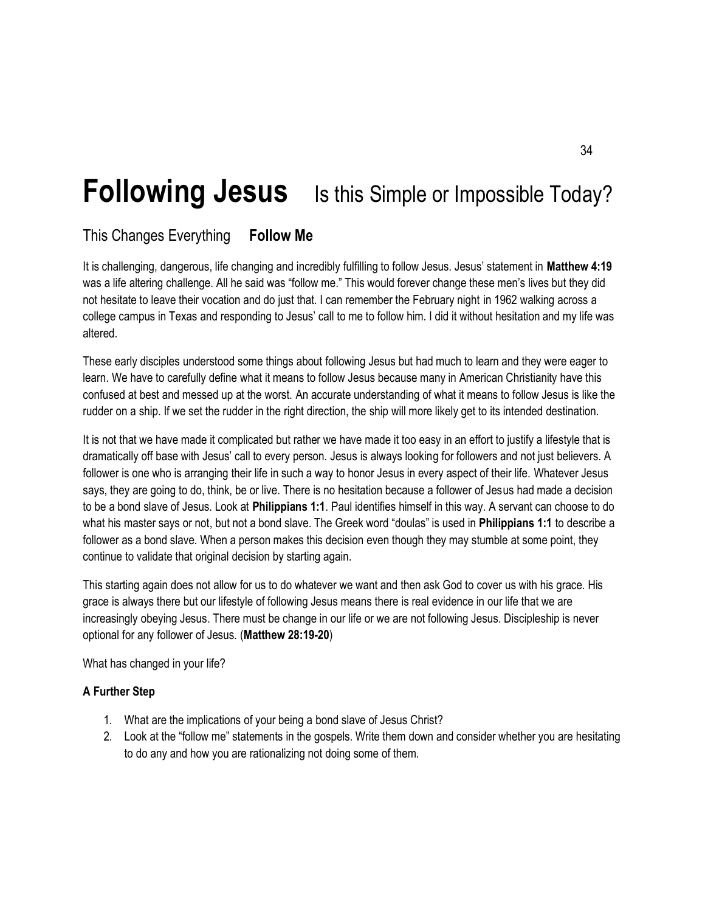# **Following Jesus** Is this Simple or Impossible Today?

# This Changes Everything **Follow Me**

It is challenging, dangerous, life changing and incredibly fulfilling to follow Jesus. Jesus' statement in **Matthew 4:19** was a life altering challenge. All he said was "follow me." This would forever change these men's lives but they did not hesitate to leave their vocation and do just that. I can remember the February night in 1962 walking across a college campus in Texas and responding to Jesus' call to me to follow him. I did it without hesitation and my life was altered.

These early disciples understood some things about following Jesus but had much to learn and they were eager to learn. We have to carefully define what it means to follow Jesus because many in American Christianity have this confused at best and messed up at the worst. An accurate understanding of what it means to follow Jesus is like the rudder on a ship. If we set the rudder in the right direction, the ship will more likely get to its intended destination.

It is not that we have made it complicated but rather we have made it too easy in an effort to justify a lifestyle that is dramatically off base with Jesus' call to every person. Jesus is always looking for followers and not just believers. A follower is one who is arranging their life in such a way to honor Jesus in every aspect of their life. Whatever Jesus says, they are going to do, think, be or live. There is no hesitation because a follower of Jesus had made a decision to be a bond slave of Jesus. Look at **Philippians 1:1**. Paul identifies himself in this way. A servant can choose to do what his master says or not, but not a bond slave. The Greek word "doulas" is used in **Philippians 1:1** to describe a follower as a bond slave. When a person makes this decision even though they may stumble at some point, they continue to validate that original decision by starting again.

This starting again does not allow for us to do whatever we want and then ask God to cover us with his grace. His grace is always there but our lifestyle of following Jesus means there is real evidence in our life that we are increasingly obeying Jesus. There must be change in our life or we are not following Jesus. Discipleship is never optional for any follower of Jesus. (**Matthew 28:19-20**)

What has changed in your life?

- 1. What are the implications of your being a bond slave of Jesus Christ?
- 2. Look at the "follow me" statements in the gospels. Write them down and consider whether you are hesitating to do any and how you are rationalizing not doing some of them.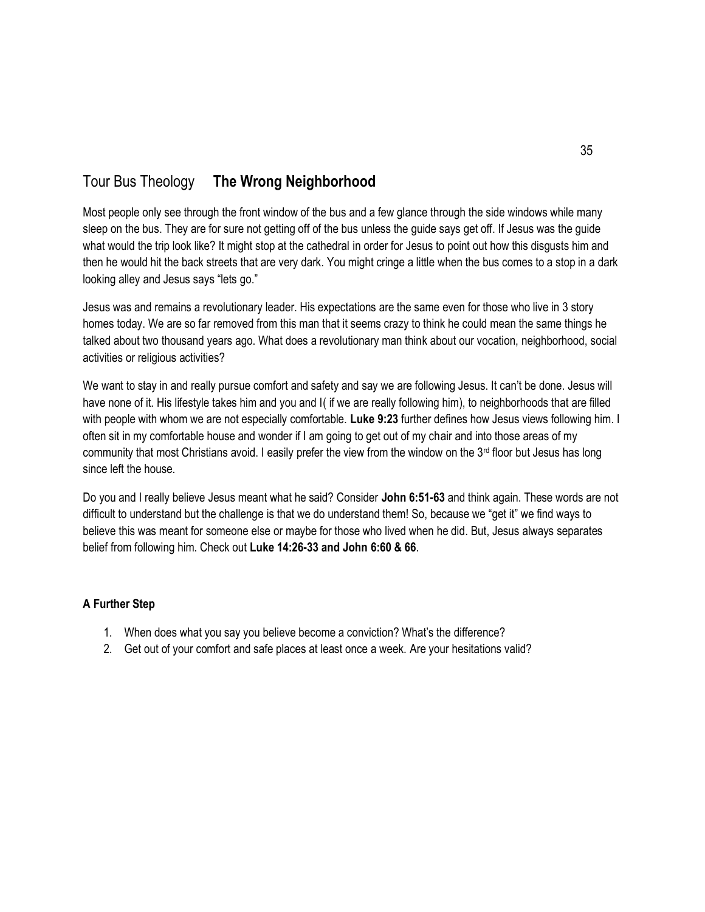# Tour Bus Theology **The Wrong Neighborhood**

Most people only see through the front window of the bus and a few glance through the side windows while many sleep on the bus. They are for sure not getting off of the bus unless the guide says get off. If Jesus was the guide what would the trip look like? It might stop at the cathedral in order for Jesus to point out how this disgusts him and then he would hit the back streets that are very dark. You might cringe a little when the bus comes to a stop in a dark looking alley and Jesus says "lets go."

Jesus was and remains a revolutionary leader. His expectations are the same even for those who live in 3 story homes today. We are so far removed from this man that it seems crazy to think he could mean the same things he talked about two thousand years ago. What does a revolutionary man think about our vocation, neighborhood, social activities or religious activities?

We want to stay in and really pursue comfort and safety and say we are following Jesus. It can't be done. Jesus will have none of it. His lifestyle takes him and you and I( if we are really following him), to neighborhoods that are filled with people with whom we are not especially comfortable. **Luke 9:23** further defines how Jesus views following him. I often sit in my comfortable house and wonder if I am going to get out of my chair and into those areas of my community that most Christians avoid. I easily prefer the view from the window on the  $3<sup>rd</sup>$  floor but Jesus has long since left the house.

Do you and I really believe Jesus meant what he said? Consider **John 6:51-63** and think again. These words are not difficult to understand but the challenge is that we do understand them! So, because we "get it" we find ways to believe this was meant for someone else or maybe for those who lived when he did. But, Jesus always separates belief from following him. Check out **Luke 14:26-33 and John 6:60 & 66**.

- 1. When does what you say you believe become a conviction? What's the difference?
- 2. Get out of your comfort and safe places at least once a week. Are your hesitations valid?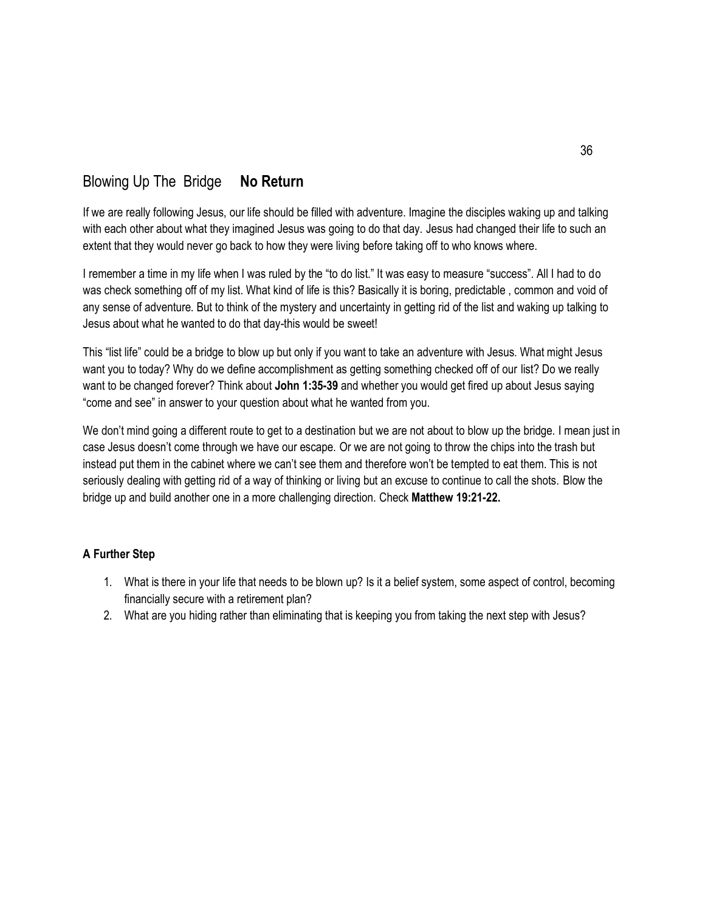# Blowing Up The Bridge **No Return**

If we are really following Jesus, our life should be filled with adventure. Imagine the disciples waking up and talking with each other about what they imagined Jesus was going to do that day. Jesus had changed their life to such an extent that they would never go back to how they were living before taking off to who knows where.

I remember a time in my life when I was ruled by the "to do list." It was easy to measure "success". All I had to do was check something off of my list. What kind of life is this? Basically it is boring, predictable , common and void of any sense of adventure. But to think of the mystery and uncertainty in getting rid of the list and waking up talking to Jesus about what he wanted to do that day-this would be sweet!

This "list life" could be a bridge to blow up but only if you want to take an adventure with Jesus. What might Jesus want you to today? Why do we define accomplishment as getting something checked off of our list? Do we really want to be changed forever? Think about **John 1:35-39** and whether you would get fired up about Jesus saying "come and see" in answer to your question about what he wanted from you.

We don't mind going a different route to get to a destination but we are not about to blow up the bridge. I mean just in case Jesus doesn't come through we have our escape. Or we are not going to throw the chips into the trash but instead put them in the cabinet where we can't see them and therefore won't be tempted to eat them. This is not seriously dealing with getting rid of a way of thinking or living but an excuse to continue to call the shots. Blow the bridge up and build another one in a more challenging direction. Check **Matthew 19:21-22.**

- 1. What is there in your life that needs to be blown up? Is it a belief system, some aspect of control, becoming financially secure with a retirement plan?
- 2. What are you hiding rather than eliminating that is keeping you from taking the next step with Jesus?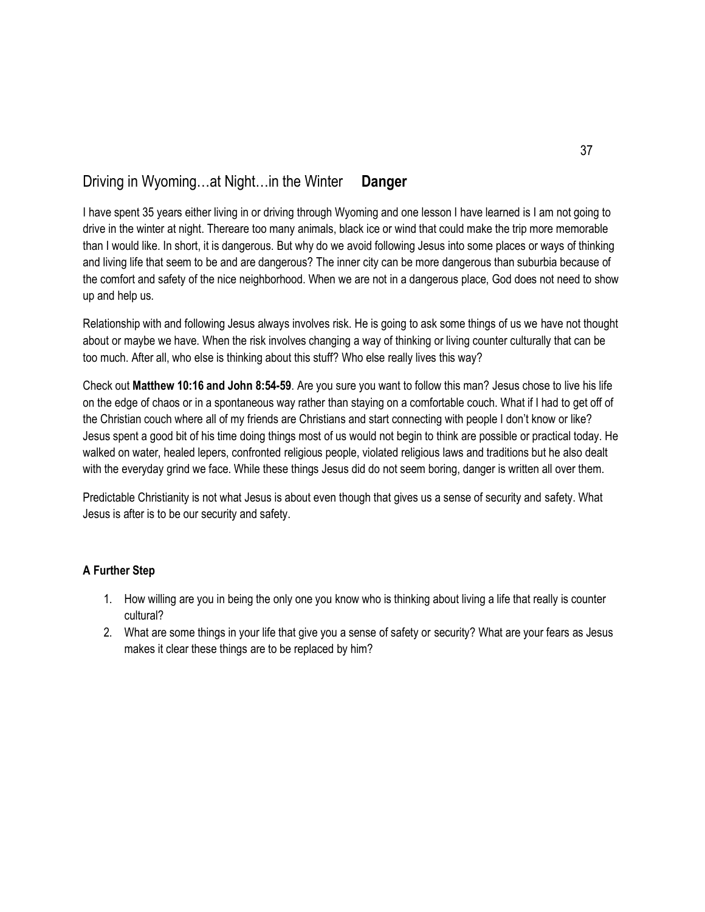### Driving in Wyoming…at Night…in the Winter **Danger**

I have spent 35 years either living in or driving through Wyoming and one lesson I have learned is I am not going to drive in the winter at night. Thereare too many animals, black ice or wind that could make the trip more memorable than I would like. In short, it is dangerous. But why do we avoid following Jesus into some places or ways of thinking and living life that seem to be and are dangerous? The inner city can be more dangerous than suburbia because of the comfort and safety of the nice neighborhood. When we are not in a dangerous place, God does not need to show up and help us.

Relationship with and following Jesus always involves risk. He is going to ask some things of us we have not thought about or maybe we have. When the risk involves changing a way of thinking or living counter culturally that can be too much. After all, who else is thinking about this stuff? Who else really lives this way?

Check out **Matthew 10:16 and John 8:54-59**. Are you sure you want to follow this man? Jesus chose to live his life on the edge of chaos or in a spontaneous way rather than staying on a comfortable couch. What if I had to get off of the Christian couch where all of my friends are Christians and start connecting with people I don't know or like? Jesus spent a good bit of his time doing things most of us would not begin to think are possible or practical today. He walked on water, healed lepers, confronted religious people, violated religious laws and traditions but he also dealt with the everyday grind we face. While these things Jesus did do not seem boring, danger is written all over them.

Predictable Christianity is not what Jesus is about even though that gives us a sense of security and safety. What Jesus is after is to be our security and safety.

- 1. How willing are you in being the only one you know who is thinking about living a life that really is counter cultural?
- 2. What are some things in your life that give you a sense of safety or security? What are your fears as Jesus makes it clear these things are to be replaced by him?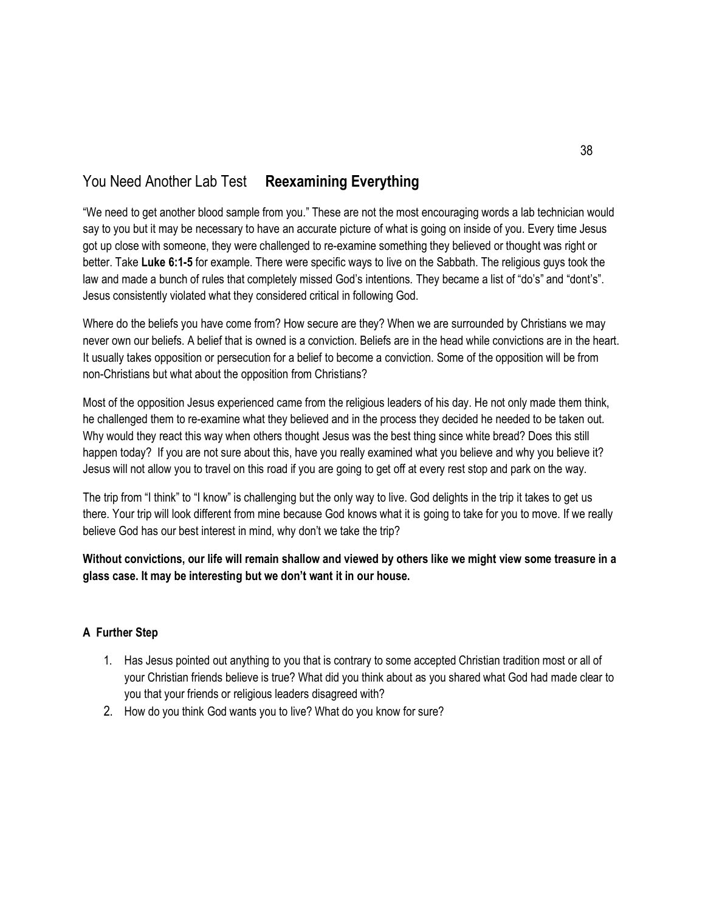# You Need Another Lab Test **Reexamining Everything**

"We need to get another blood sample from you." These are not the most encouraging words a lab technician would say to you but it may be necessary to have an accurate picture of what is going on inside of you. Every time Jesus got up close with someone, they were challenged to re-examine something they believed or thought was right or better. Take **Luke 6:1-5** for example. There were specific ways to live on the Sabbath. The religious guys took the law and made a bunch of rules that completely missed God's intentions. They became a list of "do's" and "dont's". Jesus consistently violated what they considered critical in following God.

Where do the beliefs you have come from? How secure are they? When we are surrounded by Christians we may never own our beliefs. A belief that is owned is a conviction. Beliefs are in the head while convictions are in the heart. It usually takes opposition or persecution for a belief to become a conviction. Some of the opposition will be from non-Christians but what about the opposition from Christians?

Most of the opposition Jesus experienced came from the religious leaders of his day. He not only made them think, he challenged them to re-examine what they believed and in the process they decided he needed to be taken out. Why would they react this way when others thought Jesus was the best thing since white bread? Does this still happen today? If you are not sure about this, have you really examined what you believe and why you believe it? Jesus will not allow you to travel on this road if you are going to get off at every rest stop and park on the way.

The trip from "I think" to "I know" is challenging but the only way to live. God delights in the trip it takes to get us there. Your trip will look different from mine because God knows what it is going to take for you to move. If we really believe God has our best interest in mind, why don't we take the trip?

**Without convictions, our life will remain shallow and viewed by others like we might view some treasure in a glass case. It may be interesting but we don't want it in our house.**

- 1. Has Jesus pointed out anything to you that is contrary to some accepted Christian tradition most or all of your Christian friends believe is true? What did you think about as you shared what God had made clear to you that your friends or religious leaders disagreed with?
- 2. How do you think God wants you to live? What do you know for sure?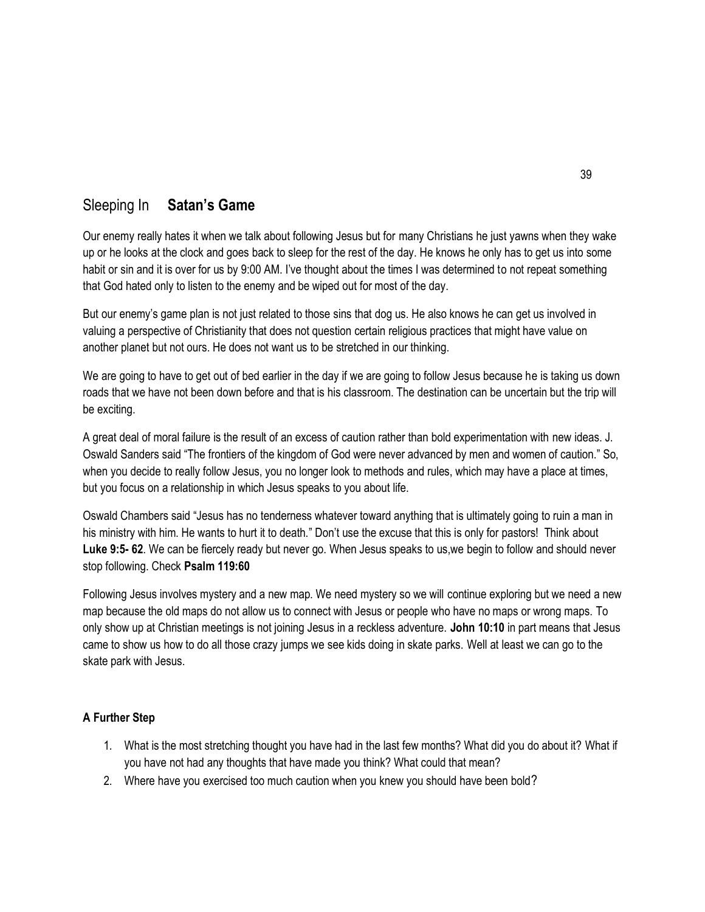### Sleeping In **Satan's Game**

Our enemy really hates it when we talk about following Jesus but for many Christians he just yawns when they wake up or he looks at the clock and goes back to sleep for the rest of the day. He knows he only has to get us into some habit or sin and it is over for us by 9:00 AM. I've thought about the times I was determined to not repeat something that God hated only to listen to the enemy and be wiped out for most of the day.

But our enemy's game plan is not just related to those sins that dog us. He also knows he can get us involved in valuing a perspective of Christianity that does not question certain religious practices that might have value on another planet but not ours. He does not want us to be stretched in our thinking.

We are going to have to get out of bed earlier in the day if we are going to follow Jesus because he is taking us down roads that we have not been down before and that is his classroom. The destination can be uncertain but the trip will be exciting.

A great deal of moral failure is the result of an excess of caution rather than bold experimentation with new ideas. J. Oswald Sanders said "The frontiers of the kingdom of God were never advanced by men and women of caution." So, when you decide to really follow Jesus, you no longer look to methods and rules, which may have a place at times, but you focus on a relationship in which Jesus speaks to you about life.

Oswald Chambers said "Jesus has no tenderness whatever toward anything that is ultimately going to ruin a man in his ministry with him. He wants to hurt it to death." Don't use the excuse that this is only for pastors! Think about **Luke 9:5- 62**. We can be fiercely ready but never go. When Jesus speaks to us,we begin to follow and should never stop following. Check **Psalm 119:60**

Following Jesus involves mystery and a new map. We need mystery so we will continue exploring but we need a new map because the old maps do not allow us to connect with Jesus or people who have no maps or wrong maps. To only show up at Christian meetings is not joining Jesus in a reckless adventure. **John 10:10** in part means that Jesus came to show us how to do all those crazy jumps we see kids doing in skate parks. Well at least we can go to the skate park with Jesus.

- 1. What is the most stretching thought you have had in the last few months? What did you do about it? What if you have not had any thoughts that have made you think? What could that mean?
- 2. Where have you exercised too much caution when you knew you should have been bold?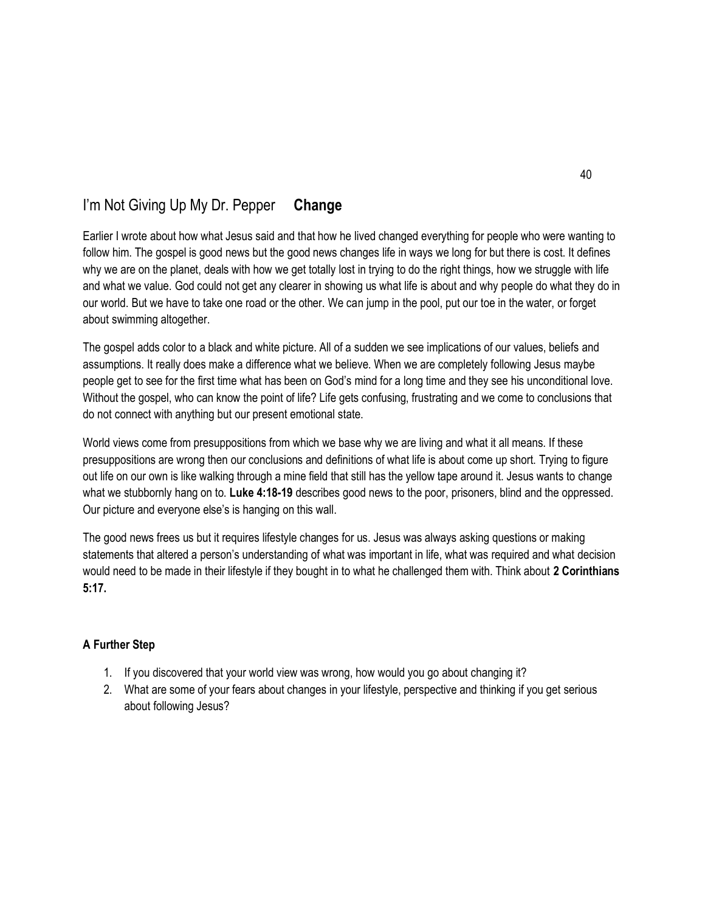# I'm Not Giving Up My Dr. Pepper **Change**

Earlier I wrote about how what Jesus said and that how he lived changed everything for people who were wanting to follow him. The gospel is good news but the good news changes life in ways we long for but there is cost. It defines why we are on the planet, deals with how we get totally lost in trying to do the right things, how we struggle with life and what we value. God could not get any clearer in showing us what life is about and why people do what they do in our world. But we have to take one road or the other. We can jump in the pool, put our toe in the water, or forget about swimming altogether.

The gospel adds color to a black and white picture. All of a sudden we see implications of our values, beliefs and assumptions. It really does make a difference what we believe. When we are completely following Jesus maybe people get to see for the first time what has been on God's mind for a long time and they see his unconditional love. Without the gospel, who can know the point of life? Life gets confusing, frustrating and we come to conclusions that do not connect with anything but our present emotional state.

World views come from presuppositions from which we base why we are living and what it all means. If these presuppositions are wrong then our conclusions and definitions of what life is about come up short. Trying to figure out life on our own is like walking through a mine field that still has the yellow tape around it. Jesus wants to change what we stubbornly hang on to. **Luke 4:18-19** describes good news to the poor, prisoners, blind and the oppressed. Our picture and everyone else's is hanging on this wall.

The good news frees us but it requires lifestyle changes for us. Jesus was always asking questions or making statements that altered a person's understanding of what was important in life, what was required and what decision would need to be made in their lifestyle if they bought in to what he challenged them with. Think about **2 Corinthians 5:17.**

- 1. If you discovered that your world view was wrong, how would you go about changing it?
- 2. What are some of your fears about changes in your lifestyle, perspective and thinking if you get serious about following Jesus?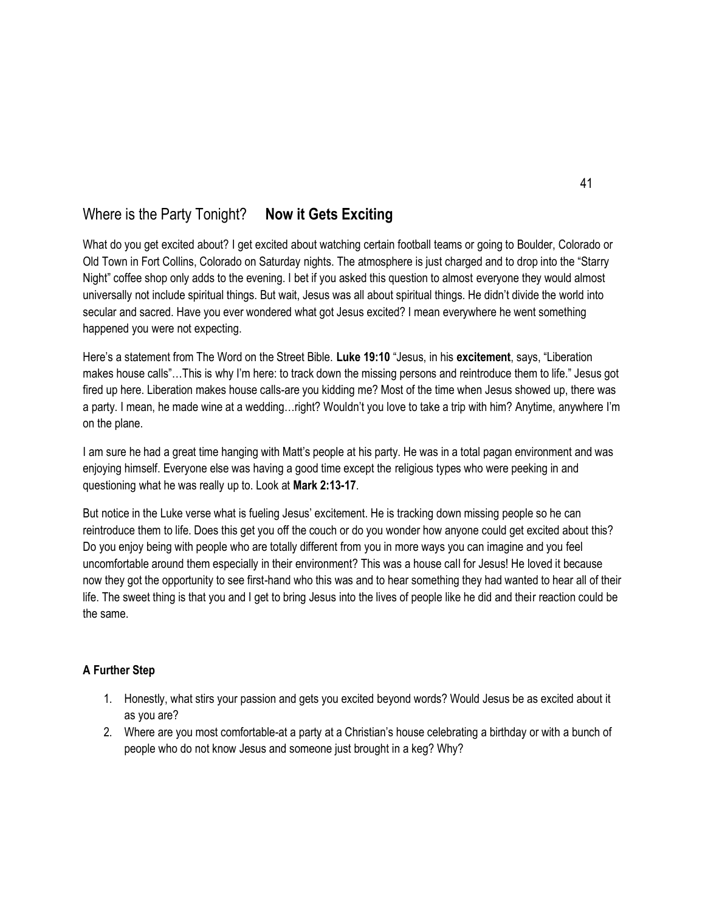## Where is the Party Tonight? **Now it Gets Exciting**

What do you get excited about? I get excited about watching certain football teams or going to Boulder, Colorado or Old Town in Fort Collins, Colorado on Saturday nights. The atmosphere is just charged and to drop into the "Starry Night" coffee shop only adds to the evening. I bet if you asked this question to almost everyone they would almost universally not include spiritual things. But wait, Jesus was all about spiritual things. He didn't divide the world into secular and sacred. Have you ever wondered what got Jesus excited? I mean everywhere he went something happened you were not expecting.

Here's a statement from The Word on the Street Bible. **Luke 19:10** "Jesus, in his **excitement**, says, "Liberation makes house calls"…This is why I'm here: to track down the missing persons and reintroduce them to life." Jesus got fired up here. Liberation makes house calls-are you kidding me? Most of the time when Jesus showed up, there was a party. I mean, he made wine at a wedding…right? Wouldn't you love to take a trip with him? Anytime, anywhere I'm on the plane.

I am sure he had a great time hanging with Matt's people at his party. He was in a total pagan environment and was enjoying himself. Everyone else was having a good time except the religious types who were peeking in and questioning what he was really up to. Look at **Mark 2:13-17**.

But notice in the Luke verse what is fueling Jesus' excitement. He is tracking down missing people so he can reintroduce them to life. Does this get you off the couch or do you wonder how anyone could get excited about this? Do you enjoy being with people who are totally different from you in more ways you can imagine and you feel uncomfortable around them especially in their environment? This was a house call for Jesus! He loved it because now they got the opportunity to see first-hand who this was and to hear something they had wanted to hear all of their life. The sweet thing is that you and I get to bring Jesus into the lives of people like he did and their reaction could be the same.

- 1. Honestly, what stirs your passion and gets you excited beyond words? Would Jesus be as excited about it as you are?
- 2. Where are you most comfortable-at a party at a Christian's house celebrating a birthday or with a bunch of people who do not know Jesus and someone just brought in a keg? Why?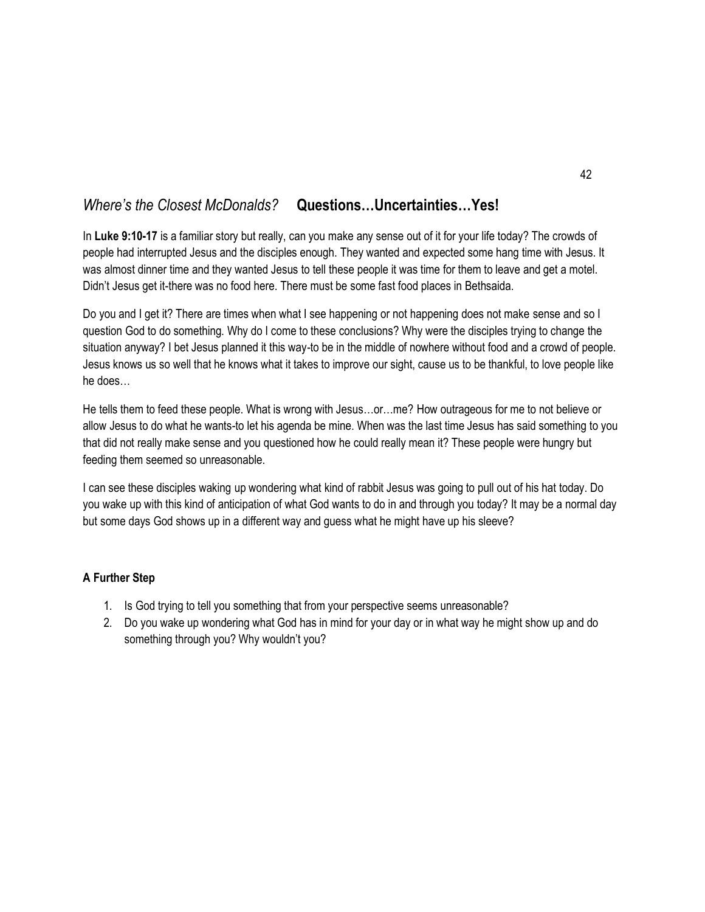## *Where's the Closest McDonalds?* **Questions…Uncertainties…Yes!**

In **Luke 9:10-17** is a familiar story but really, can you make any sense out of it for your life today? The crowds of people had interrupted Jesus and the disciples enough. They wanted and expected some hang time with Jesus. It was almost dinner time and they wanted Jesus to tell these people it was time for them to leave and get a motel. Didn't Jesus get it-there was no food here. There must be some fast food places in Bethsaida.

Do you and I get it? There are times when what I see happening or not happening does not make sense and so I question God to do something. Why do I come to these conclusions? Why were the disciples trying to change the situation anyway? I bet Jesus planned it this way-to be in the middle of nowhere without food and a crowd of people. Jesus knows us so well that he knows what it takes to improve our sight, cause us to be thankful, to love people like he does…

He tells them to feed these people. What is wrong with Jesus…or…me? How outrageous for me to not believe or allow Jesus to do what he wants-to let his agenda be mine. When was the last time Jesus has said something to you that did not really make sense and you questioned how he could really mean it? These people were hungry but feeding them seemed so unreasonable.

I can see these disciples waking up wondering what kind of rabbit Jesus was going to pull out of his hat today. Do you wake up with this kind of anticipation of what God wants to do in and through you today? It may be a normal day but some days God shows up in a different way and guess what he might have up his sleeve?

- 1. Is God trying to tell you something that from your perspective seems unreasonable?
- 2. Do you wake up wondering what God has in mind for your day or in what way he might show up and do something through you? Why wouldn't you?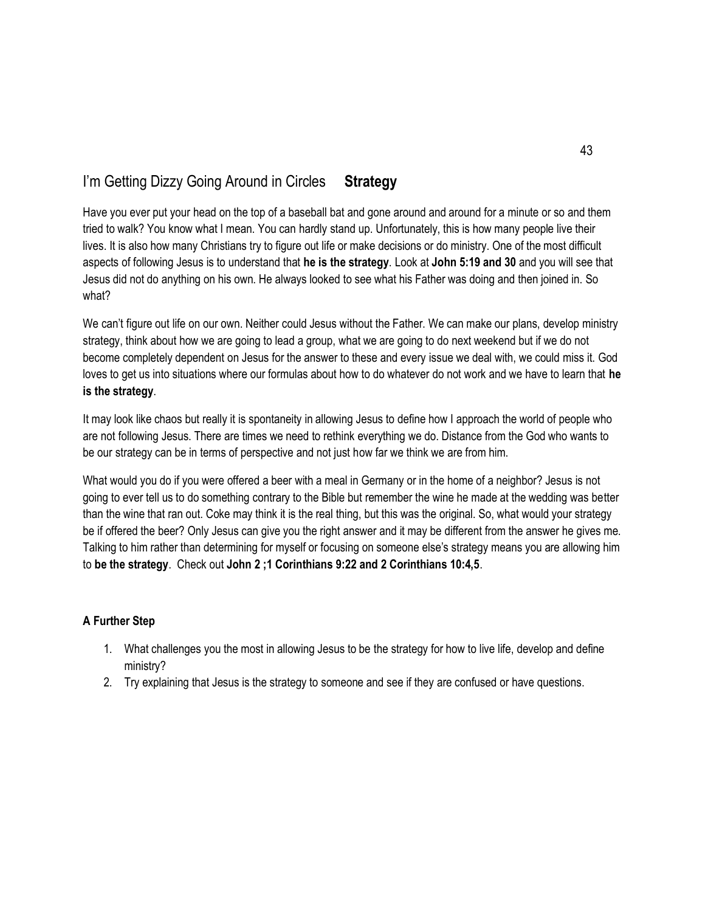# I'm Getting Dizzy Going Around in Circles **Strategy**

Have you ever put your head on the top of a baseball bat and gone around and around for a minute or so and them tried to walk? You know what I mean. You can hardly stand up. Unfortunately, this is how many people live their lives. It is also how many Christians try to figure out life or make decisions or do ministry. One of the most difficult aspects of following Jesus is to understand that **he is the strategy**. Look at **John 5:19 and 30** and you will see that Jesus did not do anything on his own. He always looked to see what his Father was doing and then joined in. So what?

We can't figure out life on our own. Neither could Jesus without the Father. We can make our plans, develop ministry strategy, think about how we are going to lead a group, what we are going to do next weekend but if we do not become completely dependent on Jesus for the answer to these and every issue we deal with, we could miss it. God loves to get us into situations where our formulas about how to do whatever do not work and we have to learn that **he is the strategy**.

It may look like chaos but really it is spontaneity in allowing Jesus to define how I approach the world of people who are not following Jesus. There are times we need to rethink everything we do. Distance from the God who wants to be our strategy can be in terms of perspective and not just how far we think we are from him.

What would you do if you were offered a beer with a meal in Germany or in the home of a neighbor? Jesus is not going to ever tell us to do something contrary to the Bible but remember the wine he made at the wedding was better than the wine that ran out. Coke may think it is the real thing, but this was the original. So, what would your strategy be if offered the beer? Only Jesus can give you the right answer and it may be different from the answer he gives me. Talking to him rather than determining for myself or focusing on someone else's strategy means you are allowing him to **be the strategy**. Check out **John 2 ;1 Corinthians 9:22 and 2 Corinthians 10:4,5**.

- 1. What challenges you the most in allowing Jesus to be the strategy for how to live life, develop and define ministry?
- 2. Try explaining that Jesus is the strategy to someone and see if they are confused or have questions.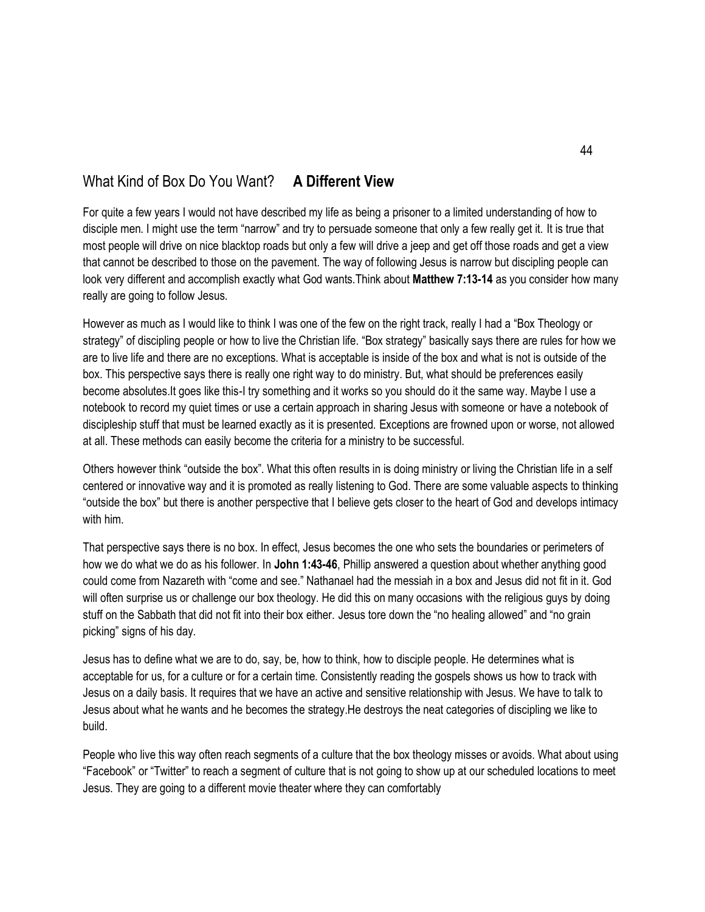### What Kind of Box Do You Want? **A Different View**

For quite a few years I would not have described my life as being a prisoner to a limited understanding of how to disciple men. I might use the term "narrow" and try to persuade someone that only a few really get it. It is true that most people will drive on nice blacktop roads but only a few will drive a jeep and get off those roads and get a view that cannot be described to those on the pavement. The way of following Jesus is narrow but discipling people can look very different and accomplish exactly what God wants.Think about **Matthew 7:13-14** as you consider how many really are going to follow Jesus.

However as much as I would like to think I was one of the few on the right track, really I had a "Box Theology or strategy" of discipling people or how to live the Christian life. "Box strategy" basically says there are rules for how we are to live life and there are no exceptions. What is acceptable is inside of the box and what is not is outside of the box. This perspective says there is really one right way to do ministry. But, what should be preferences easily become absolutes.It goes like this-I try something and it works so you should do it the same way. Maybe I use a notebook to record my quiet times or use a certain approach in sharing Jesus with someone or have a notebook of discipleship stuff that must be learned exactly as it is presented. Exceptions are frowned upon or worse, not allowed at all. These methods can easily become the criteria for a ministry to be successful.

Others however think "outside the box". What this often results in is doing ministry or living the Christian life in a self centered or innovative way and it is promoted as really listening to God. There are some valuable aspects to thinking "outside the box" but there is another perspective that I believe gets closer to the heart of God and develops intimacy with him.

That perspective says there is no box. In effect, Jesus becomes the one who sets the boundaries or perimeters of how we do what we do as his follower. In **John 1:43-46**, Phillip answered a question about whether anything good could come from Nazareth with "come and see." Nathanael had the messiah in a box and Jesus did not fit in it. God will often surprise us or challenge our box theology. He did this on many occasions with the religious guys by doing stuff on the Sabbath that did not fit into their box either. Jesus tore down the "no healing allowed" and "no grain picking" signs of his day.

Jesus has to define what we are to do, say, be, how to think, how to disciple people. He determines what is acceptable for us, for a culture or for a certain time. Consistently reading the gospels shows us how to track with Jesus on a daily basis. It requires that we have an active and sensitive relationship with Jesus. We have to talk to Jesus about what he wants and he becomes the strategy.He destroys the neat categories of discipling we like to build.

People who live this way often reach segments of a culture that the box theology misses or avoids. What about using "Facebook" or "Twitter" to reach a segment of culture that is not going to show up at our scheduled locations to meet Jesus. They are going to a different movie theater where they can comfortably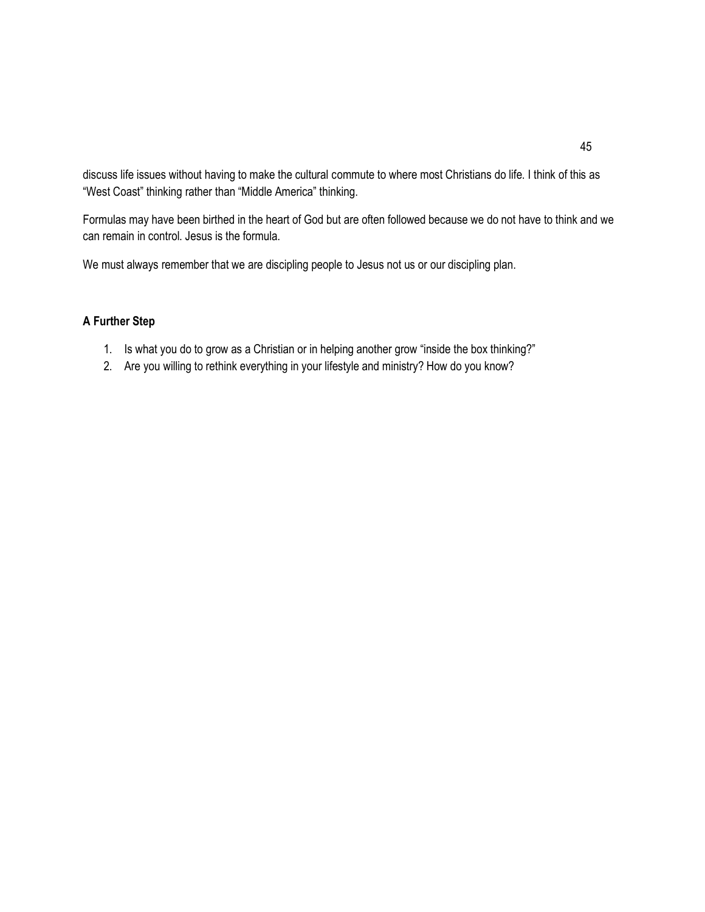discuss life issues without having to make the cultural commute to where most Christians do life. I think of this as "West Coast" thinking rather than "Middle America" thinking.

Formulas may have been birthed in the heart of God but are often followed because we do not have to think and we can remain in control. Jesus is the formula.

We must always remember that we are discipling people to Jesus not us or our discipling plan.

- 1. Is what you do to grow as a Christian or in helping another grow "inside the box thinking?"
- 2. Are you willing to rethink everything in your lifestyle and ministry? How do you know?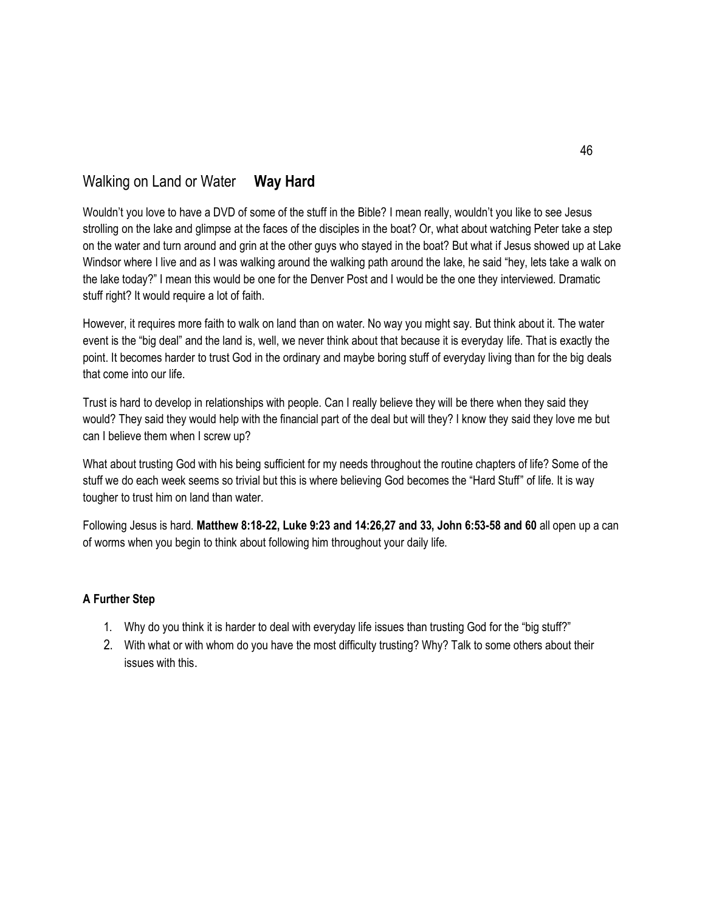## Walking on Land or Water **Way Hard**

Wouldn't you love to have a DVD of some of the stuff in the Bible? I mean really, wouldn't you like to see Jesus strolling on the lake and glimpse at the faces of the disciples in the boat? Or, what about watching Peter take a step on the water and turn around and grin at the other guys who stayed in the boat? But what if Jesus showed up at Lake Windsor where I live and as I was walking around the walking path around the lake, he said "hey, lets take a walk on the lake today?" I mean this would be one for the Denver Post and I would be the one they interviewed. Dramatic stuff right? It would require a lot of faith.

However, it requires more faith to walk on land than on water. No way you might say. But think about it. The water event is the "big deal" and the land is, well, we never think about that because it is everyday life. That is exactly the point. It becomes harder to trust God in the ordinary and maybe boring stuff of everyday living than for the big deals that come into our life.

Trust is hard to develop in relationships with people. Can I really believe they will be there when they said they would? They said they would help with the financial part of the deal but will they? I know they said they love me but can I believe them when I screw up?

What about trusting God with his being sufficient for my needs throughout the routine chapters of life? Some of the stuff we do each week seems so trivial but this is where believing God becomes the "Hard Stuff" of life. It is way tougher to trust him on land than water.

Following Jesus is hard. **Matthew 8:18-22, Luke 9:23 and 14:26,27 and 33, John 6:53-58 and 60** all open up a can of worms when you begin to think about following him throughout your daily life.

- 1. Why do you think it is harder to deal with everyday life issues than trusting God for the "big stuff?"
- 2. With what or with whom do you have the most difficulty trusting? Why? Talk to some others about their issues with this.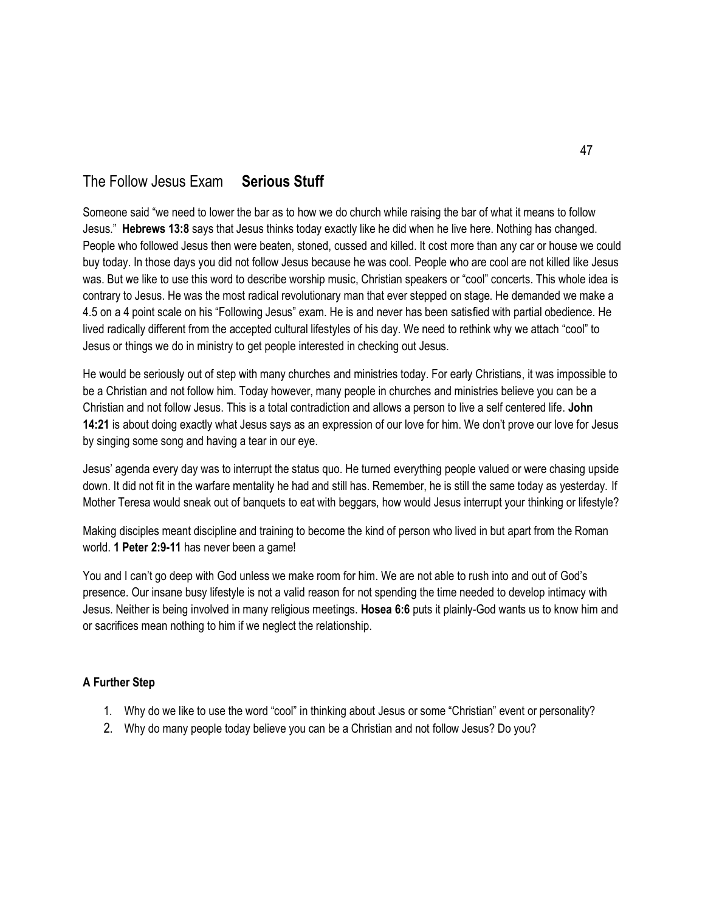### The Follow Jesus Exam **Serious Stuff**

Someone said "we need to lower the bar as to how we do church while raising the bar of what it means to follow Jesus." **Hebrews 13:8** says that Jesus thinks today exactly like he did when he live here. Nothing has changed. People who followed Jesus then were beaten, stoned, cussed and killed. It cost more than any car or house we could buy today. In those days you did not follow Jesus because he was cool. People who are cool are not killed like Jesus was. But we like to use this word to describe worship music, Christian speakers or "cool" concerts. This whole idea is contrary to Jesus. He was the most radical revolutionary man that ever stepped on stage. He demanded we make a 4.5 on a 4 point scale on his "Following Jesus" exam. He is and never has been satisfied with partial obedience. He lived radically different from the accepted cultural lifestyles of his day. We need to rethink why we attach "cool" to Jesus or things we do in ministry to get people interested in checking out Jesus.

He would be seriously out of step with many churches and ministries today. For early Christians, it was impossible to be a Christian and not follow him. Today however, many people in churches and ministries believe you can be a Christian and not follow Jesus. This is a total contradiction and allows a person to live a self centered life. **John 14:21** is about doing exactly what Jesus says as an expression of our love for him. We don't prove our love for Jesus by singing some song and having a tear in our eye.

Jesus' agenda every day was to interrupt the status quo. He turned everything people valued or were chasing upside down. It did not fit in the warfare mentality he had and still has. Remember, he is still the same today as yesterday. If Mother Teresa would sneak out of banquets to eat with beggars, how would Jesus interrupt your thinking or lifestyle?

Making disciples meant discipline and training to become the kind of person who lived in but apart from the Roman world. **1 Peter 2:9-11** has never been a game!

You and I can't go deep with God unless we make room for him. We are not able to rush into and out of God's presence. Our insane busy lifestyle is not a valid reason for not spending the time needed to develop intimacy with Jesus. Neither is being involved in many religious meetings. **Hosea 6:6** puts it plainly-God wants us to know him and or sacrifices mean nothing to him if we neglect the relationship.

- 1. Why do we like to use the word "cool" in thinking about Jesus or some "Christian" event or personality?
- 2. Why do many people today believe you can be a Christian and not follow Jesus? Do you?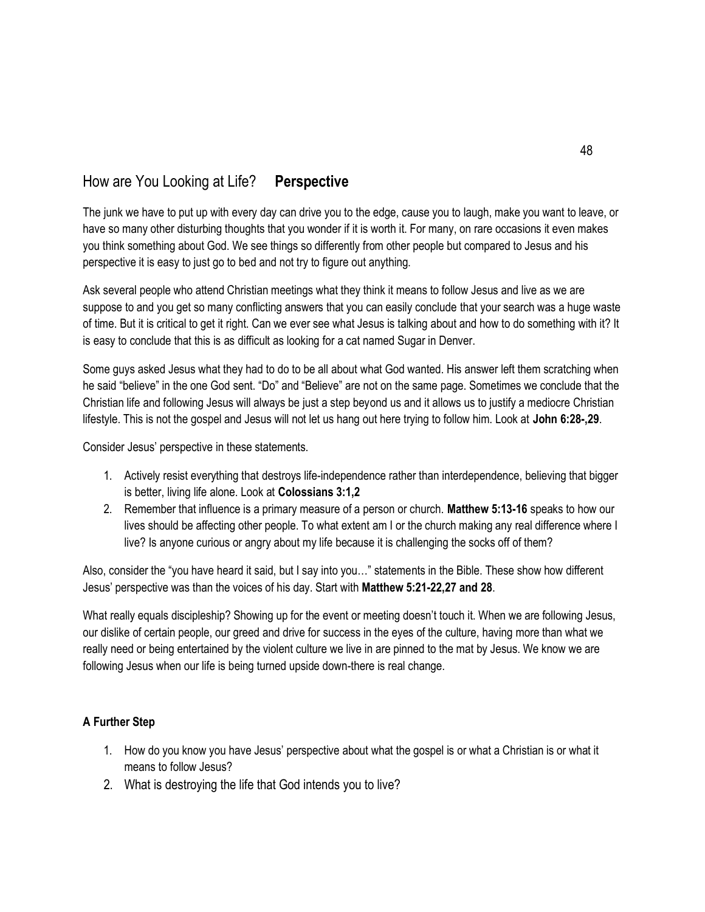# How are You Looking at Life? **Perspective**

The junk we have to put up with every day can drive you to the edge, cause you to laugh, make you want to leave, or have so many other disturbing thoughts that you wonder if it is worth it. For many, on rare occasions it even makes you think something about God. We see things so differently from other people but compared to Jesus and his perspective it is easy to just go to bed and not try to figure out anything.

Ask several people who attend Christian meetings what they think it means to follow Jesus and live as we are suppose to and you get so many conflicting answers that you can easily conclude that your search was a huge waste of time. But it is critical to get it right. Can we ever see what Jesus is talking about and how to do something with it? It is easy to conclude that this is as difficult as looking for a cat named Sugar in Denver.

Some guys asked Jesus what they had to do to be all about what God wanted. His answer left them scratching when he said "believe" in the one God sent. "Do" and "Believe" are not on the same page. Sometimes we conclude that the Christian life and following Jesus will always be just a step beyond us and it allows us to justify a mediocre Christian lifestyle. This is not the gospel and Jesus will not let us hang out here trying to follow him. Look at **John 6:28-,29**.

Consider Jesus' perspective in these statements.

- 1. Actively resist everything that destroys life-independence rather than interdependence, believing that bigger is better, living life alone. Look at **Colossians 3:1,2**
- 2. Remember that influence is a primary measure of a person or church. **Matthew 5:13-16** speaks to how our lives should be affecting other people. To what extent am I or the church making any real difference where I live? Is anyone curious or angry about my life because it is challenging the socks off of them?

Also, consider the "you have heard it said, but I say into you…" statements in the Bible. These show how different Jesus' perspective was than the voices of his day. Start with **Matthew 5:21-22,27 and 28**.

What really equals discipleship? Showing up for the event or meeting doesn't touch it. When we are following Jesus, our dislike of certain people, our greed and drive for success in the eyes of the culture, having more than what we really need or being entertained by the violent culture we live in are pinned to the mat by Jesus. We know we are following Jesus when our life is being turned upside down-there is real change.

- 1. How do you know you have Jesus' perspective about what the gospel is or what a Christian is or what it means to follow Jesus?
- 2. What is destroying the life that God intends you to live?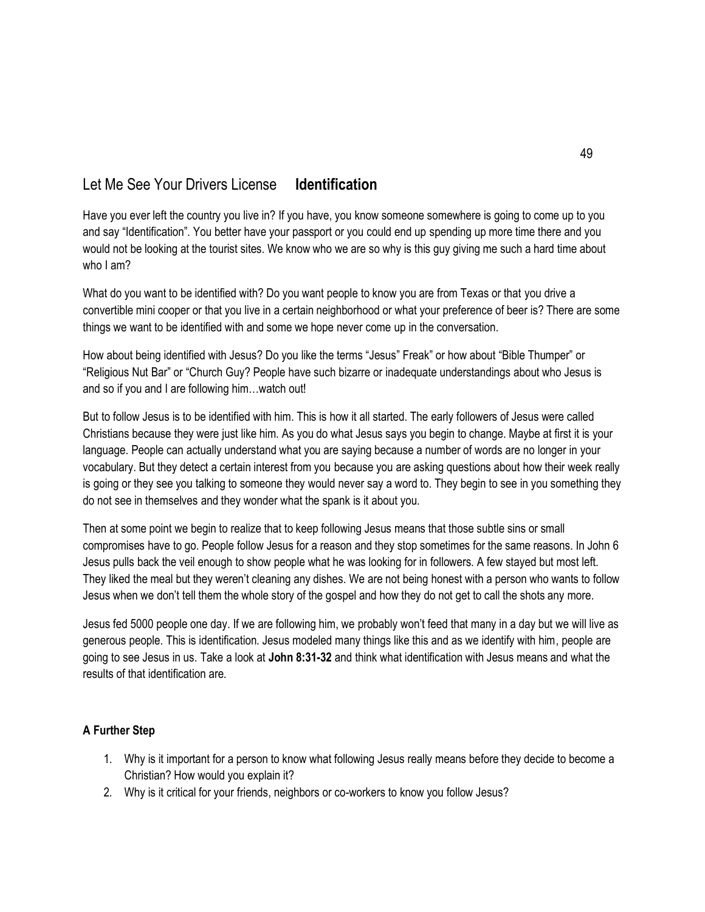# Let Me See Your Drivers License **Identification**

Have you ever left the country you live in? If you have, you know someone somewhere is going to come up to you and say "Identification". You better have your passport or you could end up spending up more time there and you would not be looking at the tourist sites. We know who we are so why is this guy giving me such a hard time about who I am?

What do you want to be identified with? Do you want people to know you are from Texas or that you drive a convertible mini cooper or that you live in a certain neighborhood or what your preference of beer is? There are some things we want to be identified with and some we hope never come up in the conversation.

How about being identified with Jesus? Do you like the terms "Jesus" Freak" or how about "Bible Thumper" or "Religious Nut Bar" or "Church Guy? People have such bizarre or inadequate understandings about who Jesus is and so if you and I are following him…watch out!

But to follow Jesus is to be identified with him. This is how it all started. The early followers of Jesus were called Christians because they were just like him. As you do what Jesus says you begin to change. Maybe at first it is your language. People can actually understand what you are saying because a number of words are no longer in your vocabulary. But they detect a certain interest from you because you are asking questions about how their week really is going or they see you talking to someone they would never say a word to. They begin to see in you something they do not see in themselves and they wonder what the spank is it about you.

Then at some point we begin to realize that to keep following Jesus means that those subtle sins or small compromises have to go. People follow Jesus for a reason and they stop sometimes for the same reasons. In John 6 Jesus pulls back the veil enough to show people what he was looking for in followers. A few stayed but most left. They liked the meal but they weren't cleaning any dishes. We are not being honest with a person who wants to follow Jesus when we don't tell them the whole story of the gospel and how they do not get to call the shots any more.

Jesus fed 5000 people one day. If we are following him, we probably won't feed that many in a day but we will live as generous people. This is identification. Jesus modeled many things like this and as we identify with him, people are going to see Jesus in us. Take a look at **John 8:31-32** and think what identification with Jesus means and what the results of that identification are.

- 1. Why is it important for a person to know what following Jesus really means before they decide to become a Christian? How would you explain it?
- 2. Why is it critical for your friends, neighbors or co-workers to know you follow Jesus?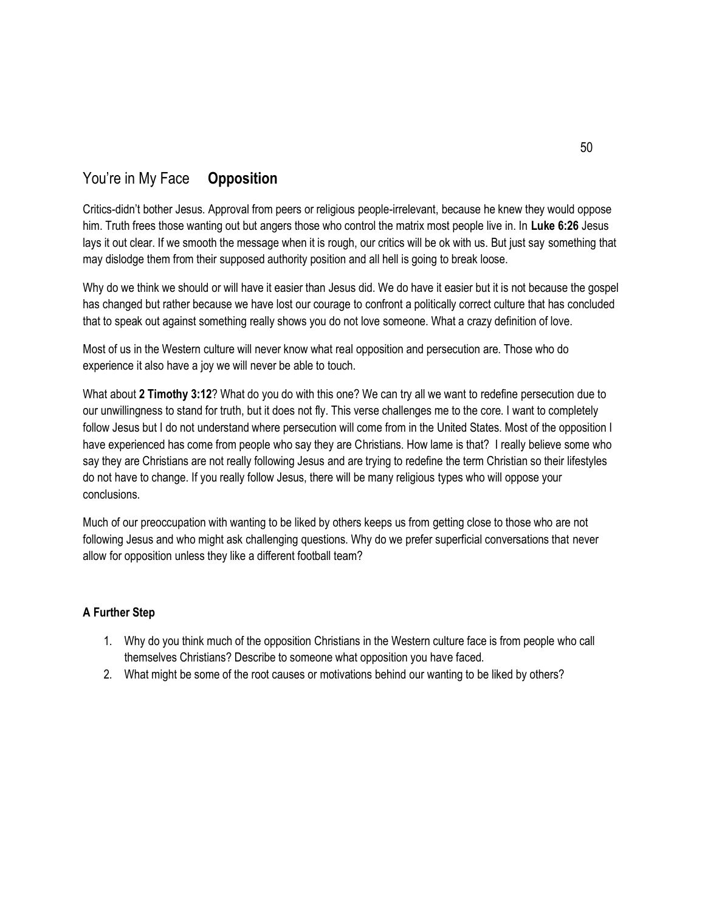### You're in My Face **Opposition**

Critics-didn't bother Jesus. Approval from peers or religious people-irrelevant, because he knew they would oppose him. Truth frees those wanting out but angers those who control the matrix most people live in. In **Luke 6:26** Jesus lays it out clear. If we smooth the message when it is rough, our critics will be ok with us. But just say something that may dislodge them from their supposed authority position and all hell is going to break loose.

Why do we think we should or will have it easier than Jesus did. We do have it easier but it is not because the gospel has changed but rather because we have lost our courage to confront a politically correct culture that has concluded that to speak out against something really shows you do not love someone. What a crazy definition of love.

Most of us in the Western culture will never know what real opposition and persecution are. Those who do experience it also have a joy we will never be able to touch.

What about **2 Timothy 3:12**? What do you do with this one? We can try all we want to redefine persecution due to our unwillingness to stand for truth, but it does not fly. This verse challenges me to the core. I want to completely follow Jesus but I do not understand where persecution will come from in the United States. Most of the opposition I have experienced has come from people who say they are Christians. How lame is that? I really believe some who say they are Christians are not really following Jesus and are trying to redefine the term Christian so their lifestyles do not have to change. If you really follow Jesus, there will be many religious types who will oppose your conclusions.

Much of our preoccupation with wanting to be liked by others keeps us from getting close to those who are not following Jesus and who might ask challenging questions. Why do we prefer superficial conversations that never allow for opposition unless they like a different football team?

- 1. Why do you think much of the opposition Christians in the Western culture face is from people who call themselves Christians? Describe to someone what opposition you have faced.
- 2. What might be some of the root causes or motivations behind our wanting to be liked by others?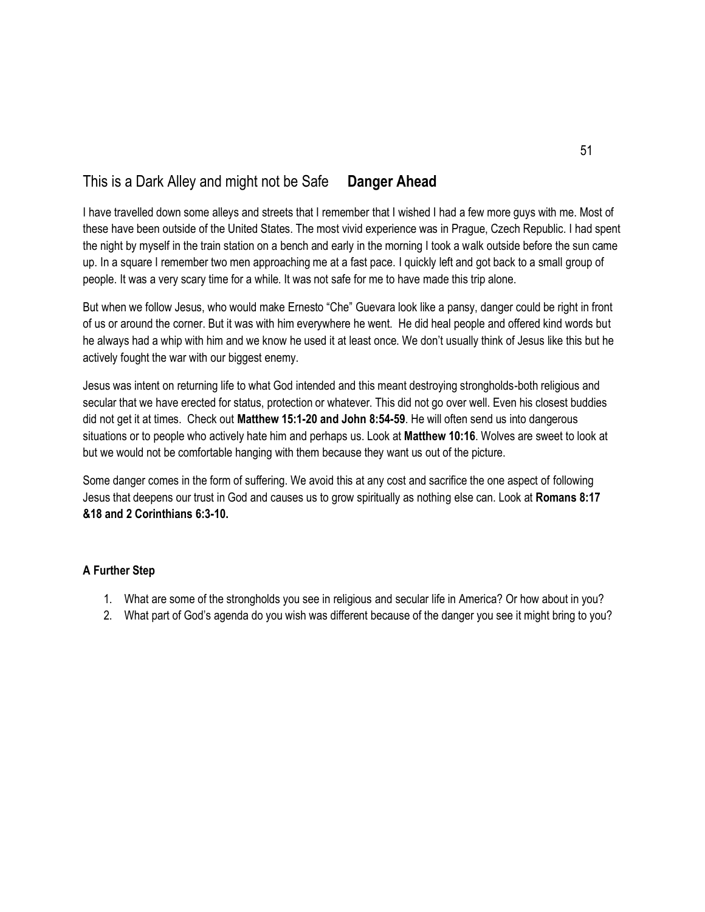# This is a Dark Alley and might not be Safe **Danger Ahead**

I have travelled down some alleys and streets that I remember that I wished I had a few more guys with me. Most of these have been outside of the United States. The most vivid experience was in Prague, Czech Republic. I had spent the night by myself in the train station on a bench and early in the morning I took a walk outside before the sun came up. In a square I remember two men approaching me at a fast pace. I quickly left and got back to a small group of people. It was a very scary time for a while. It was not safe for me to have made this trip alone.

But when we follow Jesus, who would make Ernesto "Che" Guevara look like a pansy, danger could be right in front of us or around the corner. But it was with him everywhere he went. He did heal people and offered kind words but he always had a whip with him and we know he used it at least once. We don't usually think of Jesus like this but he actively fought the war with our biggest enemy.

Jesus was intent on returning life to what God intended and this meant destroying strongholds-both religious and secular that we have erected for status, protection or whatever. This did not go over well. Even his closest buddies did not get it at times. Check out **Matthew 15:1-20 and John 8:54-59**. He will often send us into dangerous situations or to people who actively hate him and perhaps us. Look at **Matthew 10:16**. Wolves are sweet to look at but we would not be comfortable hanging with them because they want us out of the picture.

Some danger comes in the form of suffering. We avoid this at any cost and sacrifice the one aspect of following Jesus that deepens our trust in God and causes us to grow spiritually as nothing else can. Look at **Romans 8:17 &18 and 2 Corinthians 6:3-10.**

- 1. What are some of the strongholds you see in religious and secular life in America? Or how about in you?
- 2. What part of God's agenda do you wish was different because of the danger you see it might bring to you?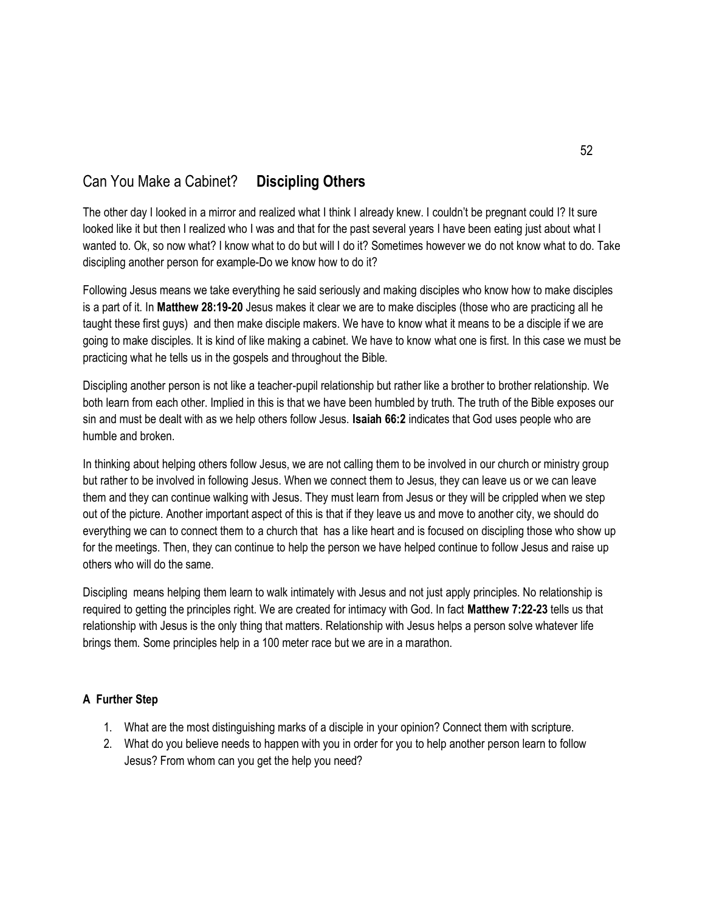# Can You Make a Cabinet? **Discipling Others**

The other day I looked in a mirror and realized what I think I already knew. I couldn't be pregnant could I? It sure looked like it but then I realized who I was and that for the past several years I have been eating just about what I wanted to. Ok, so now what? I know what to do but will I do it? Sometimes however we do not know what to do. Take discipling another person for example-Do we know how to do it?

Following Jesus means we take everything he said seriously and making disciples who know how to make disciples is a part of it. In **Matthew 28:19-20** Jesus makes it clear we are to make disciples (those who are practicing all he taught these first guys) and then make disciple makers. We have to know what it means to be a disciple if we are going to make disciples. It is kind of like making a cabinet. We have to know what one is first. In this case we must be practicing what he tells us in the gospels and throughout the Bible.

Discipling another person is not like a teacher-pupil relationship but rather like a brother to brother relationship. We both learn from each other. Implied in this is that we have been humbled by truth. The truth of the Bible exposes our sin and must be dealt with as we help others follow Jesus. **Isaiah 66:2** indicates that God uses people who are humble and broken.

In thinking about helping others follow Jesus, we are not calling them to be involved in our church or ministry group but rather to be involved in following Jesus. When we connect them to Jesus, they can leave us or we can leave them and they can continue walking with Jesus. They must learn from Jesus or they will be crippled when we step out of the picture. Another important aspect of this is that if they leave us and move to another city, we should do everything we can to connect them to a church that has a like heart and is focused on discipling those who show up for the meetings. Then, they can continue to help the person we have helped continue to follow Jesus and raise up others who will do the same.

Discipling means helping them learn to walk intimately with Jesus and not just apply principles. No relationship is required to getting the principles right. We are created for intimacy with God. In fact **Matthew 7:22-23** tells us that relationship with Jesus is the only thing that matters. Relationship with Jesus helps a person solve whatever life brings them. Some principles help in a 100 meter race but we are in a marathon.

- 1. What are the most distinguishing marks of a disciple in your opinion? Connect them with scripture.
- 2. What do you believe needs to happen with you in order for you to help another person learn to follow Jesus? From whom can you get the help you need?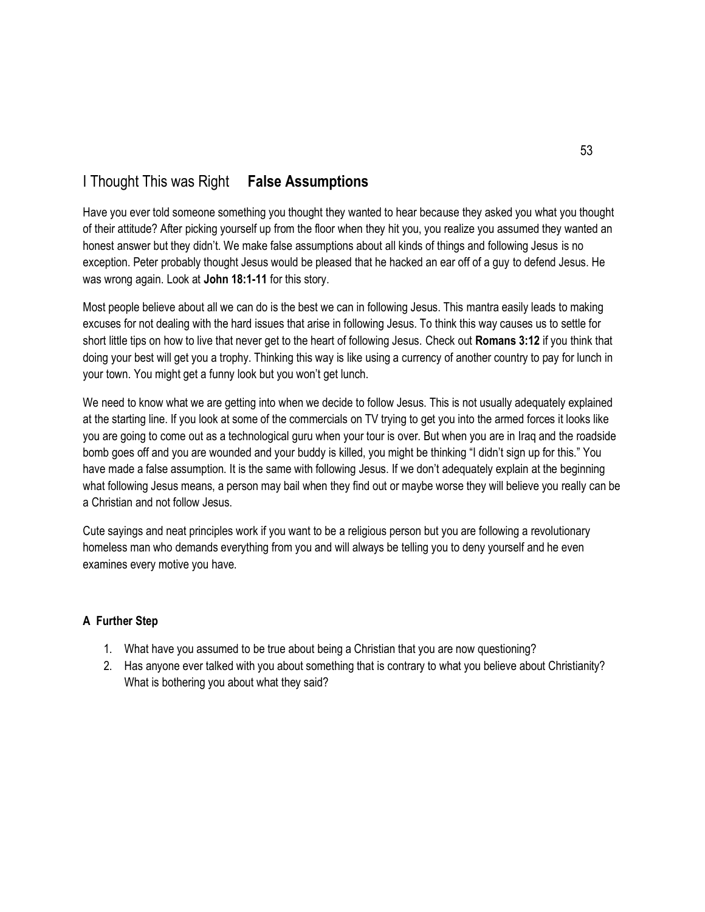# I Thought This was Right **False Assumptions**

Have you ever told someone something you thought they wanted to hear because they asked you what you thought of their attitude? After picking yourself up from the floor when they hit you, you realize you assumed they wanted an honest answer but they didn't. We make false assumptions about all kinds of things and following Jesus is no exception. Peter probably thought Jesus would be pleased that he hacked an ear off of a guy to defend Jesus. He was wrong again. Look at **John 18:1-11** for this story.

Most people believe about all we can do is the best we can in following Jesus. This mantra easily leads to making excuses for not dealing with the hard issues that arise in following Jesus. To think this way causes us to settle for short little tips on how to live that never get to the heart of following Jesus. Check out **Romans 3:12** if you think that doing your best will get you a trophy. Thinking this way is like using a currency of another country to pay for lunch in your town. You might get a funny look but you won't get lunch.

We need to know what we are getting into when we decide to follow Jesus. This is not usually adequately explained at the starting line. If you look at some of the commercials on TV trying to get you into the armed forces it looks like you are going to come out as a technological guru when your tour is over. But when you are in Iraq and the roadside bomb goes off and you are wounded and your buddy is killed, you might be thinking "I didn't sign up for this." You have made a false assumption. It is the same with following Jesus. If we don't adequately explain at the beginning what following Jesus means, a person may bail when they find out or maybe worse they will believe you really can be a Christian and not follow Jesus.

Cute sayings and neat principles work if you want to be a religious person but you are following a revolutionary homeless man who demands everything from you and will always be telling you to deny yourself and he even examines every motive you have.

- 1. What have you assumed to be true about being a Christian that you are now questioning?
- 2. Has anyone ever talked with you about something that is contrary to what you believe about Christianity? What is bothering you about what they said?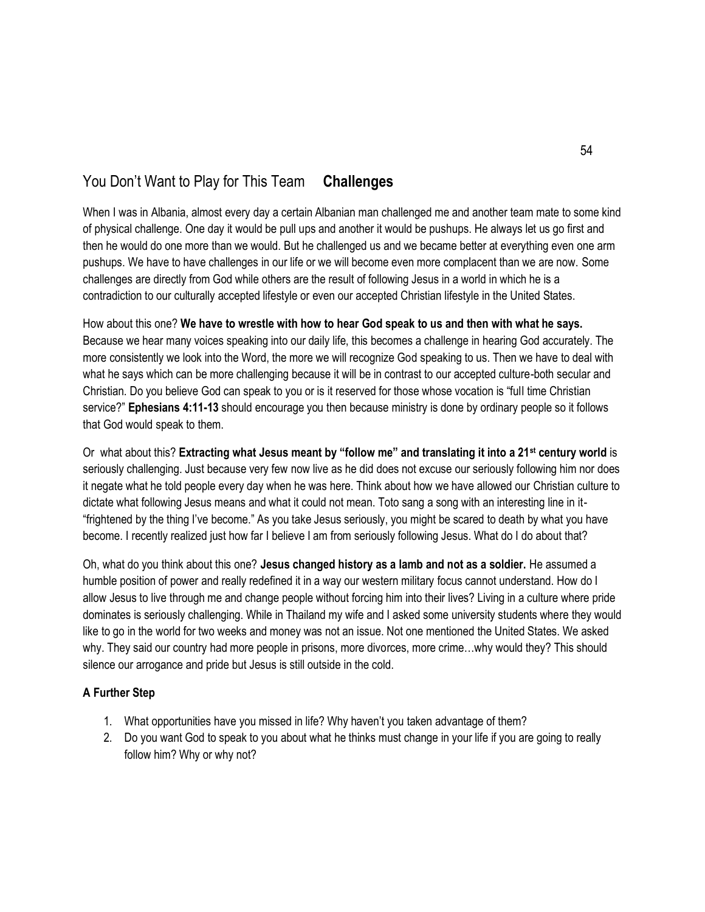# You Don't Want to Play for This Team **Challenges**

When I was in Albania, almost every day a certain Albanian man challenged me and another team mate to some kind of physical challenge. One day it would be pull ups and another it would be pushups. He always let us go first and then he would do one more than we would. But he challenged us and we became better at everything even one arm pushups. We have to have challenges in our life or we will become even more complacent than we are now. Some challenges are directly from God while others are the result of following Jesus in a world in which he is a contradiction to our culturally accepted lifestyle or even our accepted Christian lifestyle in the United States.

How about this one? **We have to wrestle with how to hear God speak to us and then with what he says.** Because we hear many voices speaking into our daily life, this becomes a challenge in hearing God accurately. The more consistently we look into the Word, the more we will recognize God speaking to us. Then we have to deal with what he says which can be more challenging because it will be in contrast to our accepted culture-both secular and Christian. Do you believe God can speak to you or is it reserved for those whose vocation is "full time Christian service?" **Ephesians 4:11-13** should encourage you then because ministry is done by ordinary people so it follows that God would speak to them.

Or what about this? **Extracting what Jesus meant by "follow me" and translating it into a 21st century world** is seriously challenging. Just because very few now live as he did does not excuse our seriously following him nor does it negate what he told people every day when he was here. Think about how we have allowed our Christian culture to dictate what following Jesus means and what it could not mean. Toto sang a song with an interesting line in it- "frightened by the thing I've become." As you take Jesus seriously, you might be scared to death by what you have become. I recently realized just how far I believe I am from seriously following Jesus. What do I do about that?

Oh, what do you think about this one? **Jesus changed history as a lamb and not as a soldier.** He assumed a humble position of power and really redefined it in a way our western military focus cannot understand. How do I allow Jesus to live through me and change people without forcing him into their lives? Living in a culture where pride dominates is seriously challenging. While in Thailand my wife and I asked some university students where they would like to go in the world for two weeks and money was not an issue. Not one mentioned the United States. We asked why. They said our country had more people in prisons, more divorces, more crime…why would they? This should silence our arrogance and pride but Jesus is still outside in the cold.

- 1. What opportunities have you missed in life? Why haven't you taken advantage of them?
- 2. Do you want God to speak to you about what he thinks must change in your life if you are going to really follow him? Why or why not?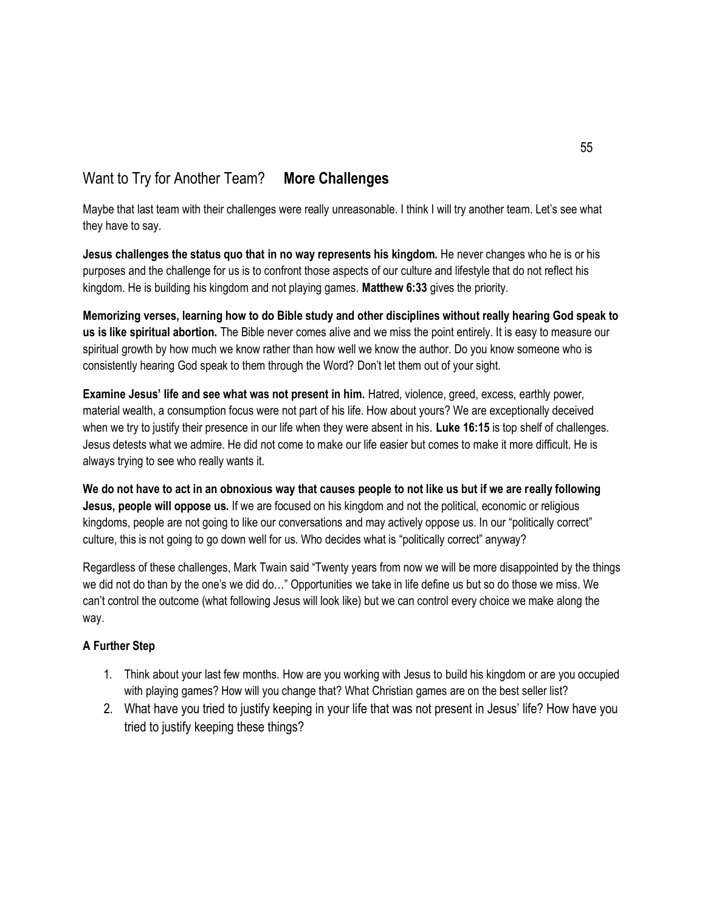# Want to Try for Another Team? **More Challenges**

Maybe that last team with their challenges were really unreasonable. I think I will try another team. Let's see what they have to say.

**Jesus challenges the status quo that in no way represents his kingdom.** He never changes who he is or his purposes and the challenge for us is to confront those aspects of our culture and lifestyle that do not reflect his kingdom. He is building his kingdom and not playing games. **Matthew 6:33** gives the priority.

**Memorizing verses, learning how to do Bible study and other disciplines without really hearing God speak to us is like spiritual abortion.** The Bible never comes alive and we miss the point entirely. It is easy to measure our spiritual growth by how much we know rather than how well we know the author. Do you know someone who is consistently hearing God speak to them through the Word? Don't let them out of your sight.

**Examine Jesus' life and see what was not present in him.** Hatred, violence, greed, excess, earthly power, material wealth, a consumption focus were not part of his life. How about yours? We are exceptionally deceived when we try to justify their presence in our life when they were absent in his. **Luke 16:15** is top shelf of challenges. Jesus detests what we admire. He did not come to make our life easier but comes to make it more difficult. He is always trying to see who really wants it.

**We do not have to act in an obnoxious way that causes people to not like us but if we are really following Jesus, people will oppose us.** If we are focused on his kingdom and not the political, economic or religious kingdoms, people are not going to like our conversations and may actively oppose us. In our "politically correct" culture, this is not going to go down well for us. Who decides what is "politically correct" anyway?

Regardless of these challenges, Mark Twain said "Twenty years from now we will be more disappointed by the things we did not do than by the one's we did do…" Opportunities we take in life define us but so do those we miss. We can't control the outcome (what following Jesus will look like) but we can control every choice we make along the way.

- 1. Think about your last few months. How are you working with Jesus to build his kingdom or are you occupied with playing games? How will you change that? What Christian games are on the best seller list?
- 2. What have you tried to justify keeping in your life that was not present in Jesus' life? How have you tried to justify keeping these things?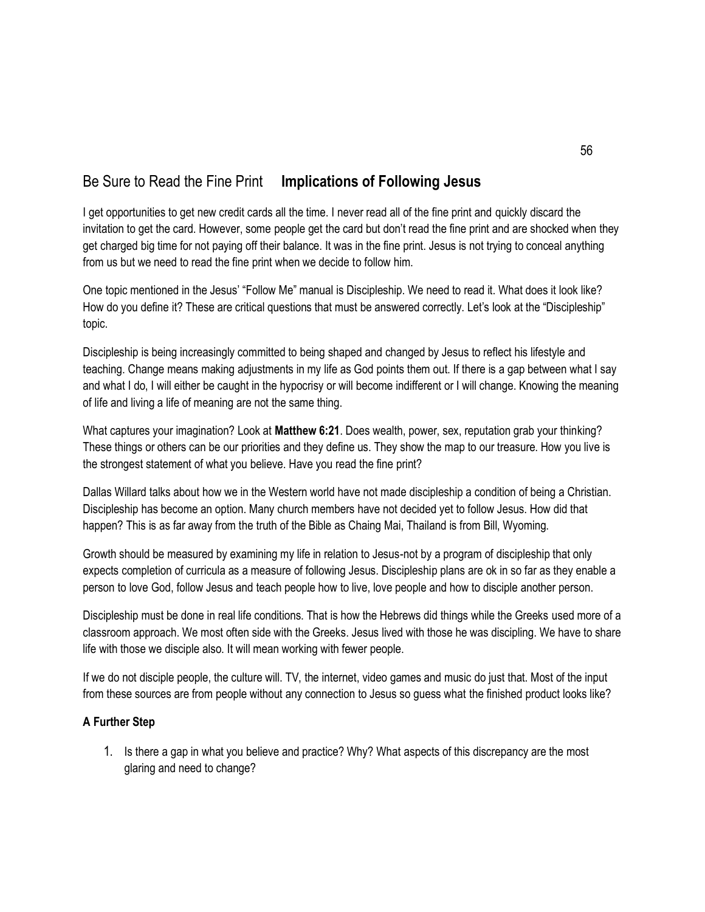# Be Sure to Read the Fine Print **Implications of Following Jesus**

I get opportunities to get new credit cards all the time. I never read all of the fine print and quickly discard the invitation to get the card. However, some people get the card but don't read the fine print and are shocked when they get charged big time for not paying off their balance. It was in the fine print. Jesus is not trying to conceal anything from us but we need to read the fine print when we decide to follow him.

One topic mentioned in the Jesus' "Follow Me" manual is Discipleship. We need to read it. What does it look like? How do you define it? These are critical questions that must be answered correctly. Let's look at the "Discipleship" topic.

Discipleship is being increasingly committed to being shaped and changed by Jesus to reflect his lifestyle and teaching. Change means making adjustments in my life as God points them out. If there is a gap between what I say and what I do, I will either be caught in the hypocrisy or will become indifferent or I will change. Knowing the meaning of life and living a life of meaning are not the same thing.

What captures your imagination? Look at **Matthew 6:21**. Does wealth, power, sex, reputation grab your thinking? These things or others can be our priorities and they define us. They show the map to our treasure. How you live is the strongest statement of what you believe. Have you read the fine print?

Dallas Willard talks about how we in the Western world have not made discipleship a condition of being a Christian. Discipleship has become an option. Many church members have not decided yet to follow Jesus. How did that happen? This is as far away from the truth of the Bible as Chaing Mai, Thailand is from Bill, Wyoming.

Growth should be measured by examining my life in relation to Jesus-not by a program of discipleship that only expects completion of curricula as a measure of following Jesus. Discipleship plans are ok in so far as they enable a person to love God, follow Jesus and teach people how to live, love people and how to disciple another person.

Discipleship must be done in real life conditions. That is how the Hebrews did things while the Greeks used more of a classroom approach. We most often side with the Greeks. Jesus lived with those he was discipling. We have to share life with those we disciple also. It will mean working with fewer people.

If we do not disciple people, the culture will. TV, the internet, video games and music do just that. Most of the input from these sources are from people without any connection to Jesus so guess what the finished product looks like?

### **A Further Step**

1. Is there a gap in what you believe and practice? Why? What aspects of this discrepancy are the most glaring and need to change?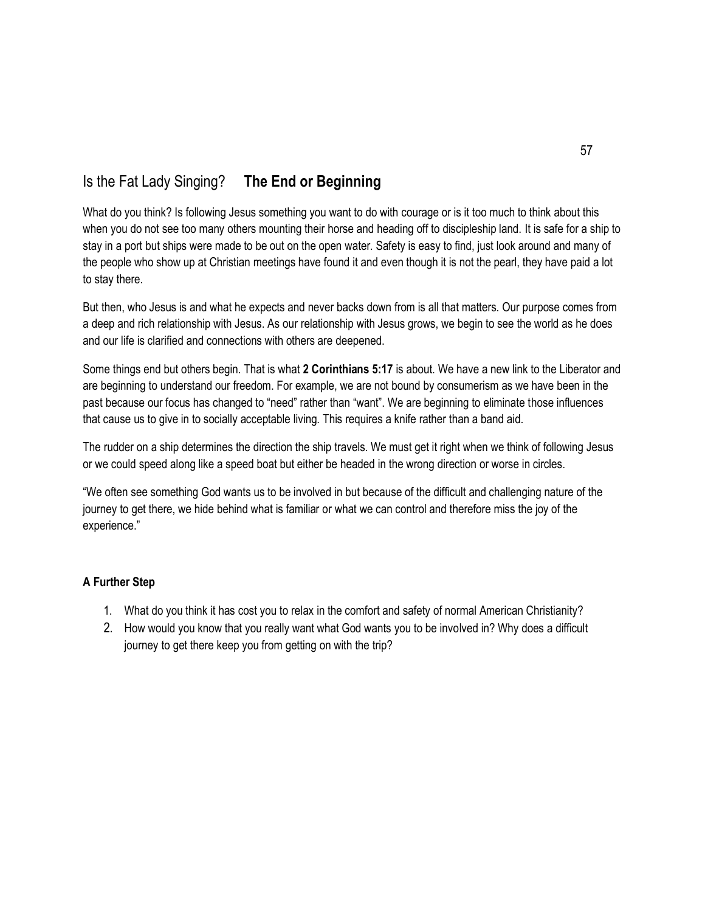# Is the Fat Lady Singing? **The End or Beginning**

What do you think? Is following Jesus something you want to do with courage or is it too much to think about this when you do not see too many others mounting their horse and heading off to discipleship land. It is safe for a ship to stay in a port but ships were made to be out on the open water. Safety is easy to find, just look around and many of the people who show up at Christian meetings have found it and even though it is not the pearl, they have paid a lot to stay there.

But then, who Jesus is and what he expects and never backs down from is all that matters. Our purpose comes from a deep and rich relationship with Jesus. As our relationship with Jesus grows, we begin to see the world as he does and our life is clarified and connections with others are deepened.

Some things end but others begin. That is what **2 Corinthians 5:17** is about. We have a new link to the Liberator and are beginning to understand our freedom. For example, we are not bound by consumerism as we have been in the past because our focus has changed to "need" rather than "want". We are beginning to eliminate those influences that cause us to give in to socially acceptable living. This requires a knife rather than a band aid.

The rudder on a ship determines the direction the ship travels. We must get it right when we think of following Jesus or we could speed along like a speed boat but either be headed in the wrong direction or worse in circles.

"We often see something God wants us to be involved in but because of the difficult and challenging nature of the journey to get there, we hide behind what is familiar or what we can control and therefore miss the joy of the experience."

- 1. What do you think it has cost you to relax in the comfort and safety of normal American Christianity?
- 2. How would you know that you really want what God wants you to be involved in? Why does a difficult journey to get there keep you from getting on with the trip?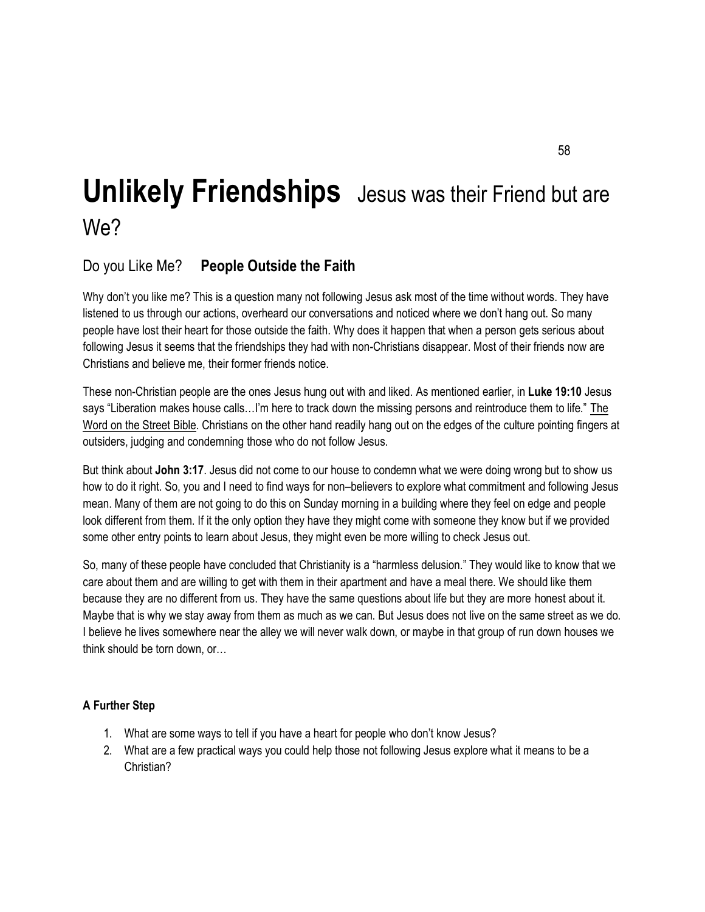# **Unlikely Friendships** Jesus was their Friend but are We?

# Do you Like Me? **People Outside the Faith**

Why don't you like me? This is a question many not following Jesus ask most of the time without words. They have listened to us through our actions, overheard our conversations and noticed where we don't hang out. So many people have lost their heart for those outside the faith. Why does it happen that when a person gets serious about following Jesus it seems that the friendships they had with non-Christians disappear. Most of their friends now are Christians and believe me, their former friends notice.

These non-Christian people are the ones Jesus hung out with and liked. As mentioned earlier, in **Luke 19:10** Jesus says "Liberation makes house calls…I'm here to track down the missing persons and reintroduce them to life." The Word on the Street Bible. Christians on the other hand readily hang out on the edges of the culture pointing fingers at outsiders, judging and condemning those who do not follow Jesus.

But think about **John 3:17**. Jesus did not come to our house to condemn what we were doing wrong but to show us how to do it right. So, you and I need to find ways for non–believers to explore what commitment and following Jesus mean. Many of them are not going to do this on Sunday morning in a building where they feel on edge and people look different from them. If it the only option they have they might come with someone they know but if we provided some other entry points to learn about Jesus, they might even be more willing to check Jesus out.

So, many of these people have concluded that Christianity is a "harmless delusion." They would like to know that we care about them and are willing to get with them in their apartment and have a meal there. We should like them because they are no different from us. They have the same questions about life but they are more honest about it. Maybe that is why we stay away from them as much as we can. But Jesus does not live on the same street as we do. I believe he lives somewhere near the alley we will never walk down, or maybe in that group of run down houses we think should be torn down, or…

- 1. What are some ways to tell if you have a heart for people who don't know Jesus?
- 2. What are a few practical ways you could help those not following Jesus explore what it means to be a Christian?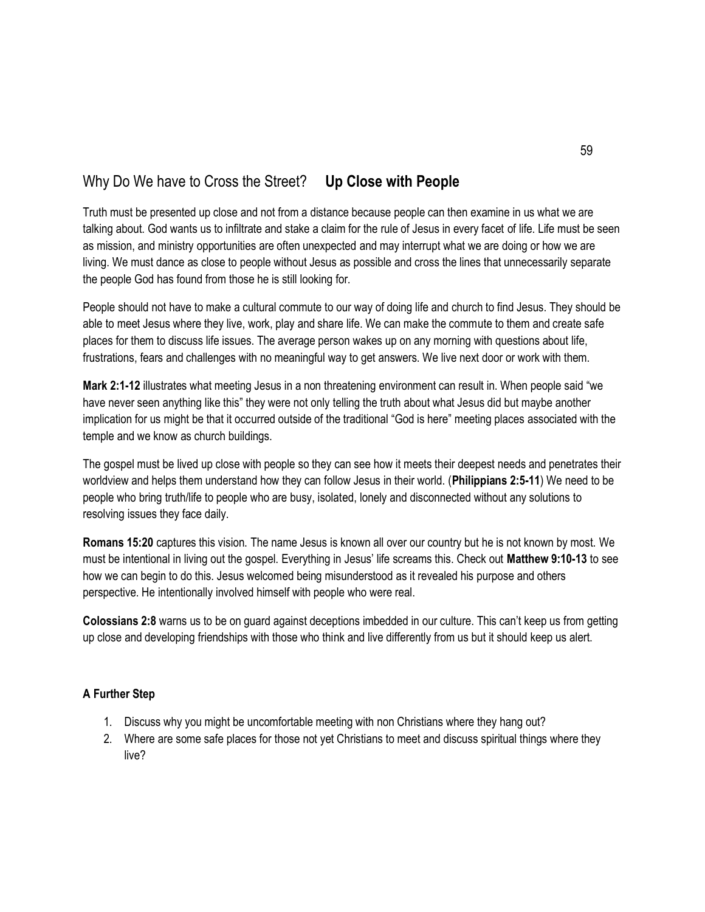# Why Do We have to Cross the Street? **Up Close with People**

Truth must be presented up close and not from a distance because people can then examine in us what we are talking about. God wants us to infiltrate and stake a claim for the rule of Jesus in every facet of life. Life must be seen as mission, and ministry opportunities are often unexpected and may interrupt what we are doing or how we are living. We must dance as close to people without Jesus as possible and cross the lines that unnecessarily separate the people God has found from those he is still looking for.

People should not have to make a cultural commute to our way of doing life and church to find Jesus. They should be able to meet Jesus where they live, work, play and share life. We can make the commute to them and create safe places for them to discuss life issues. The average person wakes up on any morning with questions about life, frustrations, fears and challenges with no meaningful way to get answers. We live next door or work with them.

**Mark 2:1-12** illustrates what meeting Jesus in a non threatening environment can result in. When people said "we have never seen anything like this" they were not only telling the truth about what Jesus did but maybe another implication for us might be that it occurred outside of the traditional "God is here" meeting places associated with the temple and we know as church buildings.

The gospel must be lived up close with people so they can see how it meets their deepest needs and penetrates their worldview and helps them understand how they can follow Jesus in their world. (**Philippians 2:5-11**) We need to be people who bring truth/life to people who are busy, isolated, lonely and disconnected without any solutions to resolving issues they face daily.

**Romans 15:20** captures this vision. The name Jesus is known all over our country but he is not known by most. We must be intentional in living out the gospel. Everything in Jesus' life screams this. Check out **Matthew 9:10-13** to see how we can begin to do this. Jesus welcomed being misunderstood as it revealed his purpose and others perspective. He intentionally involved himself with people who were real.

**Colossians 2:8** warns us to be on guard against deceptions imbedded in our culture. This can't keep us from getting up close and developing friendships with those who think and live differently from us but it should keep us alert.

- 1. Discuss why you might be uncomfortable meeting with non Christians where they hang out?
- 2. Where are some safe places for those not yet Christians to meet and discuss spiritual things where they live?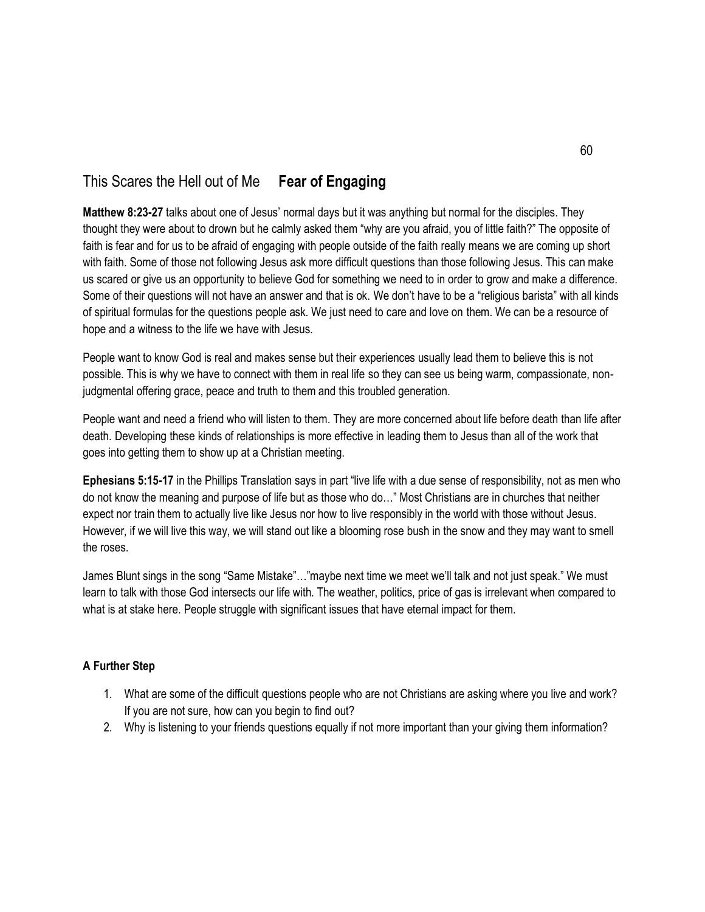# This Scares the Hell out of Me **Fear of Engaging**

**Matthew 8:23-27** talks about one of Jesus' normal days but it was anything but normal for the disciples. They thought they were about to drown but he calmly asked them "why are you afraid, you of little faith?" The opposite of faith is fear and for us to be afraid of engaging with people outside of the faith really means we are coming up short with faith. Some of those not following Jesus ask more difficult questions than those following Jesus. This can make us scared or give us an opportunity to believe God for something we need to in order to grow and make a difference. Some of their questions will not have an answer and that is ok. We don't have to be a "religious barista" with all kinds of spiritual formulas for the questions people ask. We just need to care and love on them. We can be a resource of hope and a witness to the life we have with Jesus.

People want to know God is real and makes sense but their experiences usually lead them to believe this is not possible. This is why we have to connect with them in real life so they can see us being warm, compassionate, nonjudgmental offering grace, peace and truth to them and this troubled generation.

People want and need a friend who will listen to them. They are more concerned about life before death than life after death. Developing these kinds of relationships is more effective in leading them to Jesus than all of the work that goes into getting them to show up at a Christian meeting.

**Ephesians 5:15-17** in the Phillips Translation says in part "live life with a due sense of responsibility, not as men who do not know the meaning and purpose of life but as those who do…" Most Christians are in churches that neither expect nor train them to actually live like Jesus nor how to live responsibly in the world with those without Jesus. However, if we will live this way, we will stand out like a blooming rose bush in the snow and they may want to smell the roses.

James Blunt sings in the song "Same Mistake"…"maybe next time we meet we'll talk and not just speak." We must learn to talk with those God intersects our life with. The weather, politics, price of gas is irrelevant when compared to what is at stake here. People struggle with significant issues that have eternal impact for them.

- 1. What are some of the difficult questions people who are not Christians are asking where you live and work? If you are not sure, how can you begin to find out?
- 2. Why is listening to your friends questions equally if not more important than your giving them information?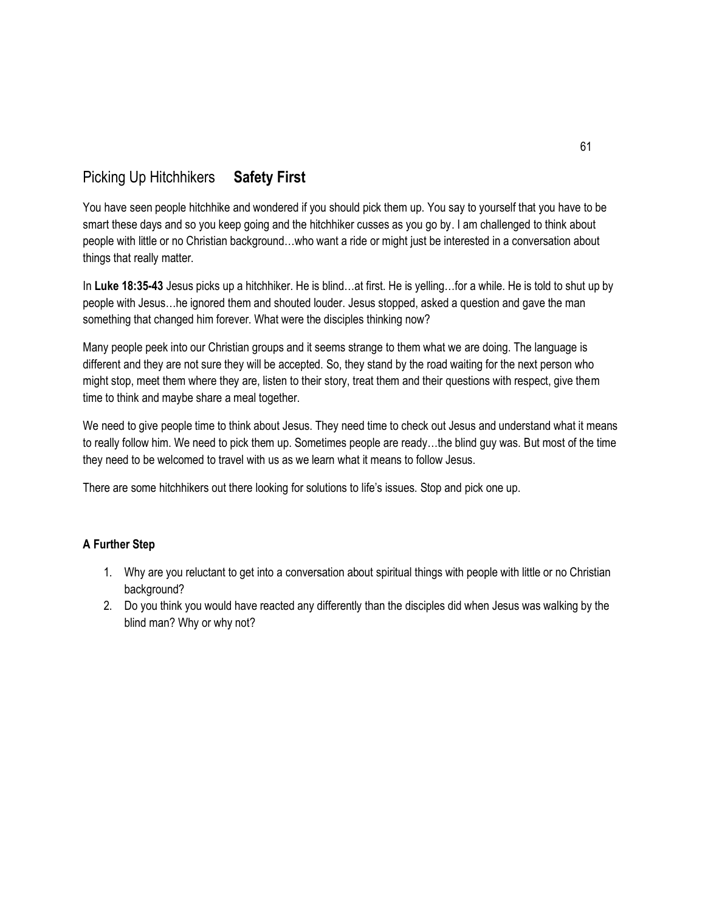# Picking Up Hitchhikers **Safety First**

You have seen people hitchhike and wondered if you should pick them up. You say to yourself that you have to be smart these days and so you keep going and the hitchhiker cusses as you go by. I am challenged to think about people with little or no Christian background…who want a ride or might just be interested in a conversation about things that really matter.

In **Luke 18:35-43** Jesus picks up a hitchhiker. He is blind…at first. He is yelling…for a while. He is told to shut up by people with Jesus…he ignored them and shouted louder. Jesus stopped, asked a question and gave the man something that changed him forever. What were the disciples thinking now?

Many people peek into our Christian groups and it seems strange to them what we are doing. The language is different and they are not sure they will be accepted. So, they stand by the road waiting for the next person who might stop, meet them where they are, listen to their story, treat them and their questions with respect, give them time to think and maybe share a meal together.

We need to give people time to think about Jesus. They need time to check out Jesus and understand what it means to really follow him. We need to pick them up. Sometimes people are ready…the blind guy was. But most of the time they need to be welcomed to travel with us as we learn what it means to follow Jesus.

There are some hitchhikers out there looking for solutions to life's issues. Stop and pick one up.

- 1. Why are you reluctant to get into a conversation about spiritual things with people with little or no Christian background?
- 2. Do you think you would have reacted any differently than the disciples did when Jesus was walking by the blind man? Why or why not?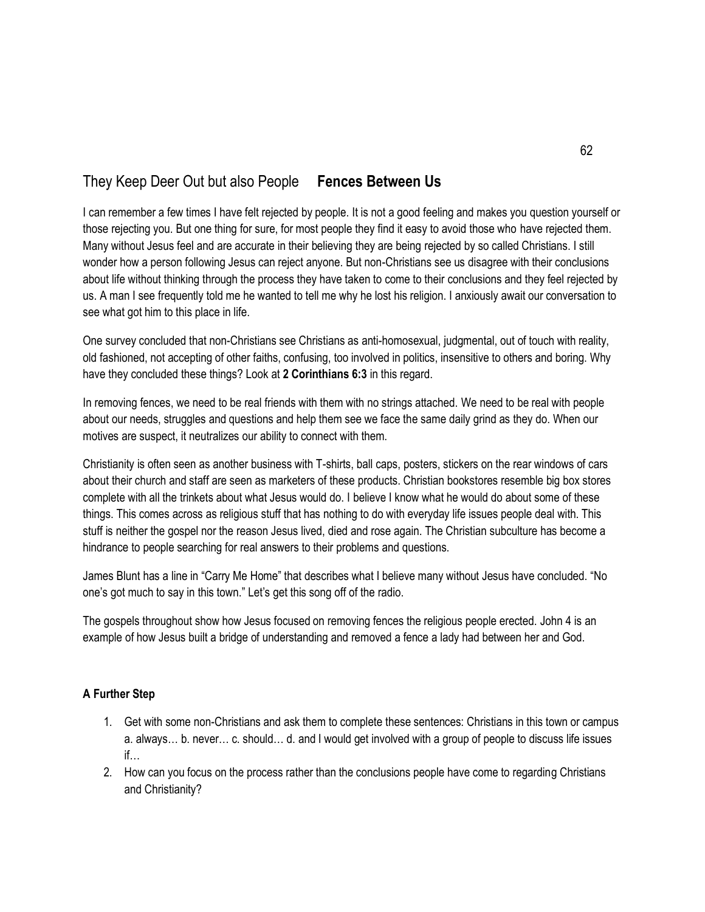# They Keep Deer Out but also People **Fences Between Us**

I can remember a few times I have felt rejected by people. It is not a good feeling and makes you question yourself or those rejecting you. But one thing for sure, for most people they find it easy to avoid those who have rejected them. Many without Jesus feel and are accurate in their believing they are being rejected by so called Christians. I still wonder how a person following Jesus can reject anyone. But non-Christians see us disagree with their conclusions about life without thinking through the process they have taken to come to their conclusions and they feel rejected by us. A man I see frequently told me he wanted to tell me why he lost his religion. I anxiously await our conversation to see what got him to this place in life.

One survey concluded that non-Christians see Christians as anti-homosexual, judgmental, out of touch with reality, old fashioned, not accepting of other faiths, confusing, too involved in politics, insensitive to others and boring. Why have they concluded these things? Look at **2 Corinthians 6:3** in this regard.

In removing fences, we need to be real friends with them with no strings attached. We need to be real with people about our needs, struggles and questions and help them see we face the same daily grind as they do. When our motives are suspect, it neutralizes our ability to connect with them.

Christianity is often seen as another business with T-shirts, ball caps, posters, stickers on the rear windows of cars about their church and staff are seen as marketers of these products. Christian bookstores resemble big box stores complete with all the trinkets about what Jesus would do. I believe I know what he would do about some of these things. This comes across as religious stuff that has nothing to do with everyday life issues people deal with. This stuff is neither the gospel nor the reason Jesus lived, died and rose again. The Christian subculture has become a hindrance to people searching for real answers to their problems and questions.

James Blunt has a line in "Carry Me Home" that describes what I believe many without Jesus have concluded. "No one's got much to say in this town." Let's get this song off of the radio.

The gospels throughout show how Jesus focused on removing fences the religious people erected. John 4 is an example of how Jesus built a bridge of understanding and removed a fence a lady had between her and God.

- 1. Get with some non-Christians and ask them to complete these sentences: Christians in this town or campus a. always… b. never… c. should… d. and I would get involved with a group of people to discuss life issues if…
- 2. How can you focus on the process rather than the conclusions people have come to regarding Christians and Christianity?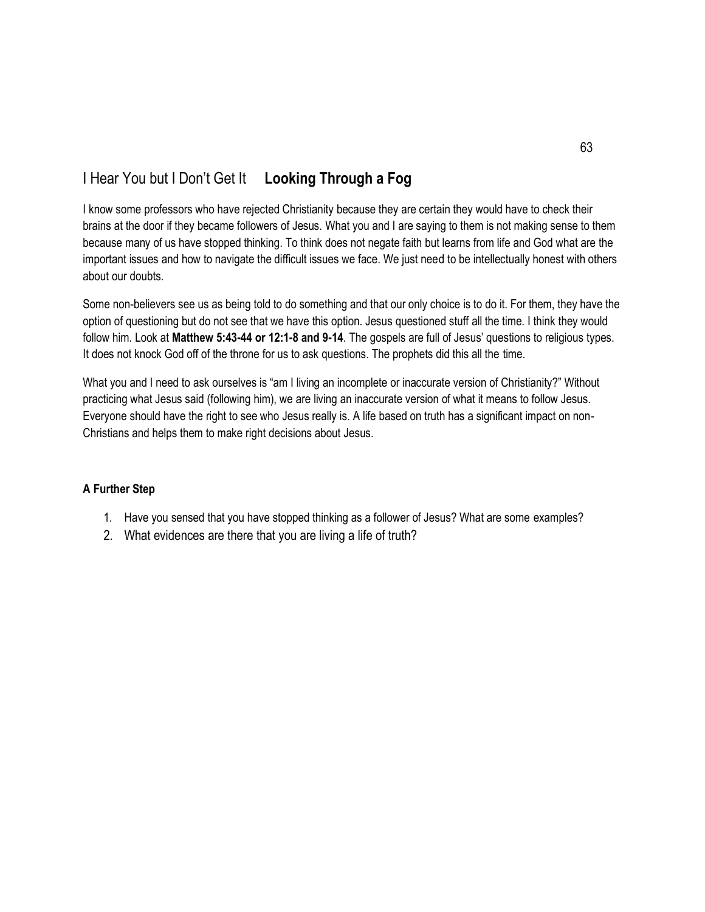# I Hear You but I Don't Get It **Looking Through a Fog**

I know some professors who have rejected Christianity because they are certain they would have to check their brains at the door if they became followers of Jesus. What you and I are saying to them is not making sense to them because many of us have stopped thinking. To think does not negate faith but learns from life and God what are the important issues and how to navigate the difficult issues we face. We just need to be intellectually honest with others about our doubts.

Some non-believers see us as being told to do something and that our only choice is to do it. For them, they have the option of questioning but do not see that we have this option. Jesus questioned stuff all the time. I think they would follow him. Look at **Matthew 5:43-44 or 12:1-8 and 9-14**. The gospels are full of Jesus' questions to religious types. It does not knock God off of the throne for us to ask questions. The prophets did this all the time.

What you and I need to ask ourselves is "am I living an incomplete or inaccurate version of Christianity?" Without practicing what Jesus said (following him), we are living an inaccurate version of what it means to follow Jesus. Everyone should have the right to see who Jesus really is. A life based on truth has a significant impact on non-Christians and helps them to make right decisions about Jesus.

- 1. Have you sensed that you have stopped thinking as a follower of Jesus? What are some examples?
- 2. What evidences are there that you are living a life of truth?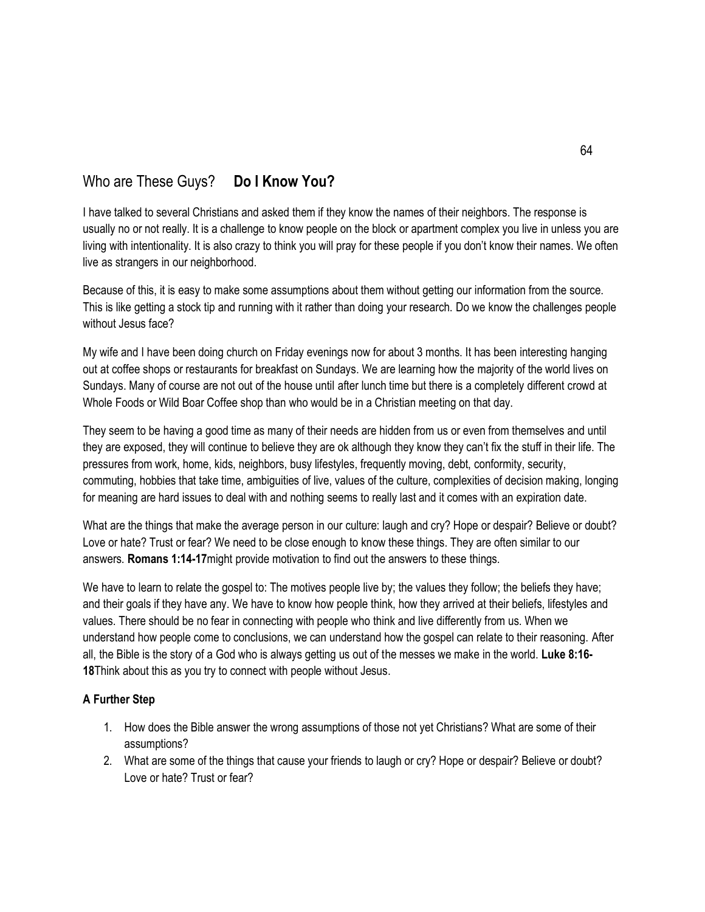# Who are These Guys? **Do I Know You?**

I have talked to several Christians and asked them if they know the names of their neighbors. The response is usually no or not really. It is a challenge to know people on the block or apartment complex you live in unless you are living with intentionality. It is also crazy to think you will pray for these people if you don't know their names. We often live as strangers in our neighborhood.

Because of this, it is easy to make some assumptions about them without getting our information from the source. This is like getting a stock tip and running with it rather than doing your research. Do we know the challenges people without Jesus face?

My wife and I have been doing church on Friday evenings now for about 3 months. It has been interesting hanging out at coffee shops or restaurants for breakfast on Sundays. We are learning how the majority of the world lives on Sundays. Many of course are not out of the house until after lunch time but there is a completely different crowd at Whole Foods or Wild Boar Coffee shop than who would be in a Christian meeting on that day.

They seem to be having a good time as many of their needs are hidden from us or even from themselves and until they are exposed, they will continue to believe they are ok although they know they can't fix the stuff in their life. The pressures from work, home, kids, neighbors, busy lifestyles, frequently moving, debt, conformity, security, commuting, hobbies that take time, ambiguities of live, values of the culture, complexities of decision making, longing for meaning are hard issues to deal with and nothing seems to really last and it comes with an expiration date.

What are the things that make the average person in our culture: laugh and cry? Hope or despair? Believe or doubt? Love or hate? Trust or fear? We need to be close enough to know these things. They are often similar to our answers. **Romans 1:14-17**might provide motivation to find out the answers to these things.

We have to learn to relate the gospel to: The motives people live by; the values they follow; the beliefs they have; and their goals if they have any. We have to know how people think, how they arrived at their beliefs, lifestyles and values. There should be no fear in connecting with people who think and live differently from us. When we understand how people come to conclusions, we can understand how the gospel can relate to their reasoning. After all, the Bible is the story of a God who is always getting us out of the messes we make in the world. **Luke 8:16- 18**Think about this as you try to connect with people without Jesus.

- 1. How does the Bible answer the wrong assumptions of those not yet Christians? What are some of their assumptions?
- 2. What are some of the things that cause your friends to laugh or cry? Hope or despair? Believe or doubt? Love or hate? Trust or fear?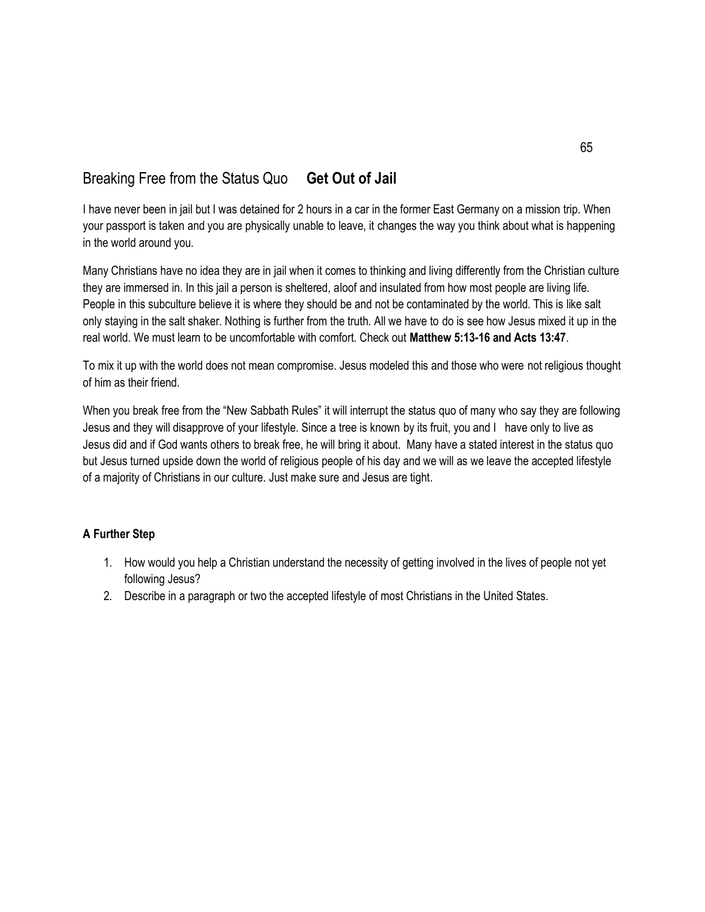# Breaking Free from the Status Quo **Get Out of Jail**

I have never been in jail but I was detained for 2 hours in a car in the former East Germany on a mission trip. When your passport is taken and you are physically unable to leave, it changes the way you think about what is happening in the world around you.

Many Christians have no idea they are in jail when it comes to thinking and living differently from the Christian culture they are immersed in. In this jail a person is sheltered, aloof and insulated from how most people are living life. People in this subculture believe it is where they should be and not be contaminated by the world. This is like salt only staying in the salt shaker. Nothing is further from the truth. All we have to do is see how Jesus mixed it up in the real world. We must learn to be uncomfortable with comfort. Check out **Matthew 5:13-16 and Acts 13:47**.

To mix it up with the world does not mean compromise. Jesus modeled this and those who were not religious thought of him as their friend.

When you break free from the "New Sabbath Rules" it will interrupt the status quo of many who say they are following Jesus and they will disapprove of your lifestyle. Since a tree is known by its fruit, you and I have only to live as Jesus did and if God wants others to break free, he will bring it about. Many have a stated interest in the status quo but Jesus turned upside down the world of religious people of his day and we will as we leave the accepted lifestyle of a majority of Christians in our culture. Just make sure and Jesus are tight.

- 1. How would you help a Christian understand the necessity of getting involved in the lives of people not yet following Jesus?
- 2. Describe in a paragraph or two the accepted lifestyle of most Christians in the United States.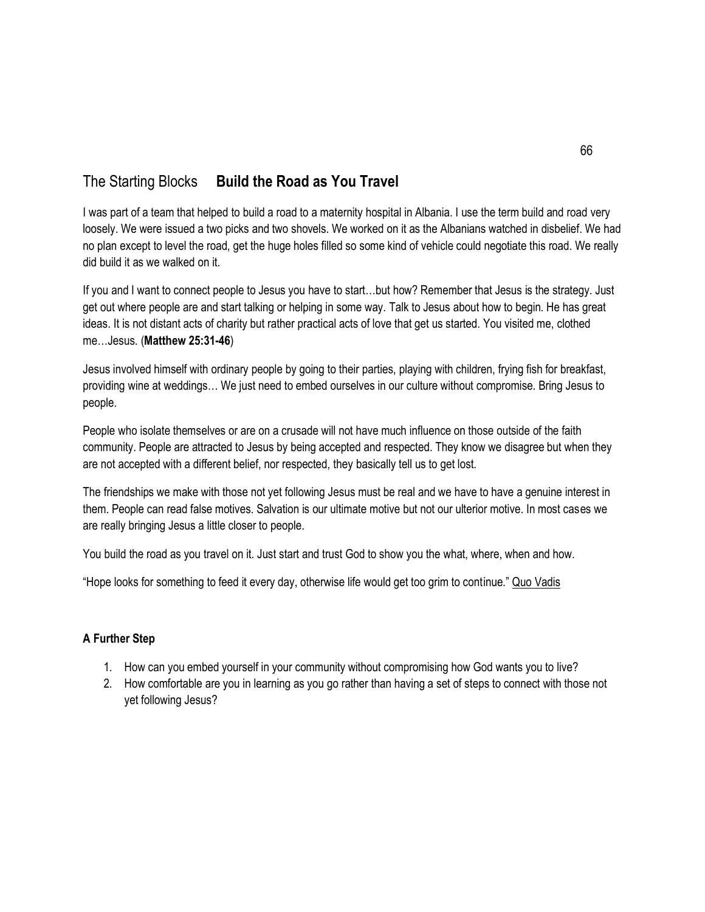# The Starting Blocks **Build the Road as You Travel**

I was part of a team that helped to build a road to a maternity hospital in Albania. I use the term build and road very loosely. We were issued a two picks and two shovels. We worked on it as the Albanians watched in disbelief. We had no plan except to level the road, get the huge holes filled so some kind of vehicle could negotiate this road. We really did build it as we walked on it.

If you and I want to connect people to Jesus you have to start…but how? Remember that Jesus is the strategy. Just get out where people are and start talking or helping in some way. Talk to Jesus about how to begin. He has great ideas. It is not distant acts of charity but rather practical acts of love that get us started. You visited me, clothed me…Jesus. (**Matthew 25:31-46**)

Jesus involved himself with ordinary people by going to their parties, playing with children, frying fish for breakfast, providing wine at weddings… We just need to embed ourselves in our culture without compromise. Bring Jesus to people.

People who isolate themselves or are on a crusade will not have much influence on those outside of the faith community. People are attracted to Jesus by being accepted and respected. They know we disagree but when they are not accepted with a different belief, nor respected, they basically tell us to get lost.

The friendships we make with those not yet following Jesus must be real and we have to have a genuine interest in them. People can read false motives. Salvation is our ultimate motive but not our ulterior motive. In most cases we are really bringing Jesus a little closer to people.

You build the road as you travel on it. Just start and trust God to show you the what, where, when and how.

"Hope looks for something to feed it every day, otherwise life would get too grim to continue." Quo Vadis

- 1. How can you embed yourself in your community without compromising how God wants you to live?
- 2. How comfortable are you in learning as you go rather than having a set of steps to connect with those not yet following Jesus?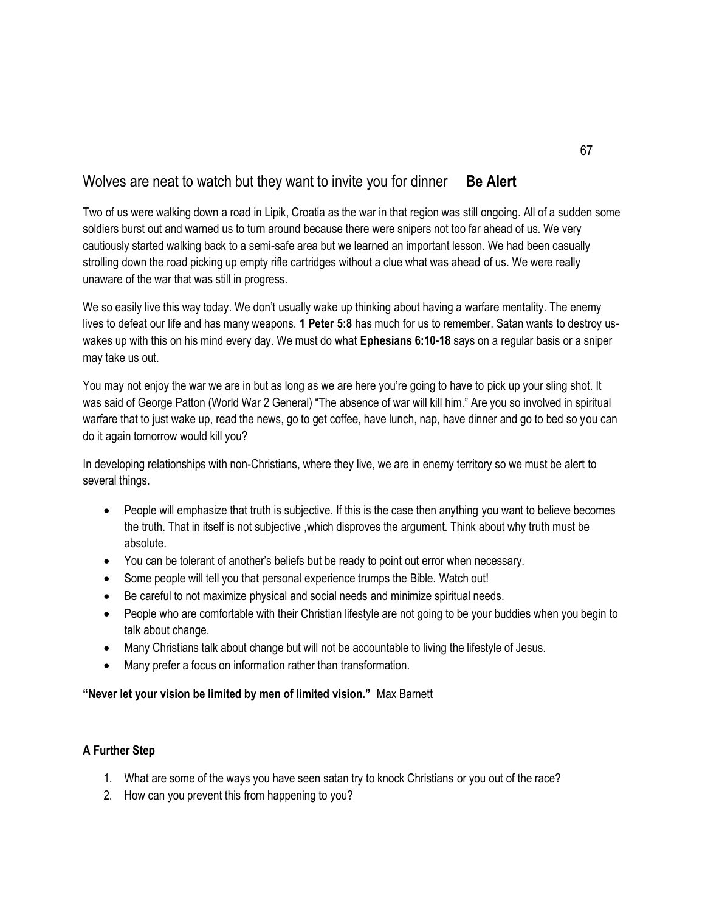## Wolves are neat to watch but they want to invite you for dinner **Be Alert**

Two of us were walking down a road in Lipik, Croatia as the war in that region was still ongoing. All of a sudden some soldiers burst out and warned us to turn around because there were snipers not too far ahead of us. We very cautiously started walking back to a semi-safe area but we learned an important lesson. We had been casually strolling down the road picking up empty rifle cartridges without a clue what was ahead of us. We were really unaware of the war that was still in progress.

We so easily live this way today. We don't usually wake up thinking about having a warfare mentality. The enemy lives to defeat our life and has many weapons. **1 Peter 5:8** has much for us to remember. Satan wants to destroy uswakes up with this on his mind every day. We must do what **Ephesians 6:10-18** says on a regular basis or a sniper may take us out.

You may not enjoy the war we are in but as long as we are here you're going to have to pick up your sling shot. It was said of George Patton (World War 2 General) "The absence of war will kill him." Are you so involved in spiritual warfare that to just wake up, read the news, go to get coffee, have lunch, nap, have dinner and go to bed so you can do it again tomorrow would kill you?

In developing relationships with non-Christians, where they live, we are in enemy territory so we must be alert to several things.

- People will emphasize that truth is subjective. If this is the case then anything you want to believe becomes the truth. That in itself is not subjective ,which disproves the argument. Think about why truth must be absolute.
- You can be tolerant of another's beliefs but be ready to point out error when necessary.
- Some people will tell you that personal experience trumps the Bible. Watch out!
- Be careful to not maximize physical and social needs and minimize spiritual needs.
- People who are comfortable with their Christian lifestyle are not going to be your buddies when you begin to talk about change.
- Many Christians talk about change but will not be accountable to living the lifestyle of Jesus.
- Many prefer a focus on information rather than transformation.

### **"Never let your vision be limited by men of limited vision."** Max Barnett

- 1. What are some of the ways you have seen satan try to knock Christians or you out of the race?
- 2. How can you prevent this from happening to you?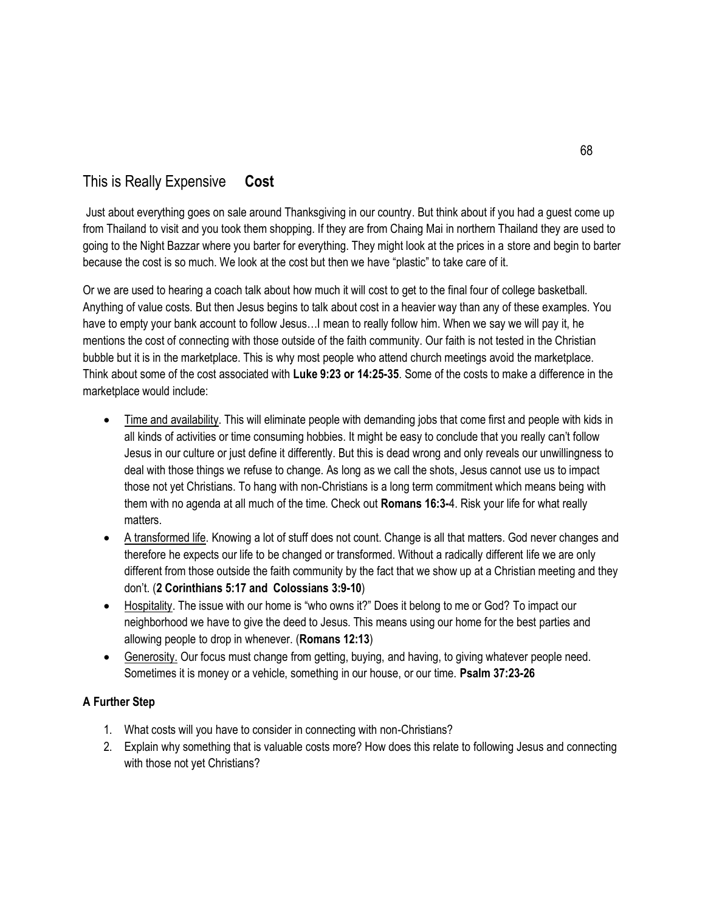# This is Really Expensive **Cost**

Just about everything goes on sale around Thanksgiving in our country. But think about if you had a guest come up from Thailand to visit and you took them shopping. If they are from Chaing Mai in northern Thailand they are used to going to the Night Bazzar where you barter for everything. They might look at the prices in a store and begin to barter because the cost is so much. We look at the cost but then we have "plastic" to take care of it.

Or we are used to hearing a coach talk about how much it will cost to get to the final four of college basketball. Anything of value costs. But then Jesus begins to talk about cost in a heavier way than any of these examples. You have to empty your bank account to follow Jesus…I mean to really follow him. When we say we will pay it, he mentions the cost of connecting with those outside of the faith community. Our faith is not tested in the Christian bubble but it is in the marketplace. This is why most people who attend church meetings avoid the marketplace. Think about some of the cost associated with **Luke 9:23 or 14:25-35**. Some of the costs to make a difference in the marketplace would include:

- Time and availability. This will eliminate people with demanding jobs that come first and people with kids in all kinds of activities or time consuming hobbies. It might be easy to conclude that you really can't follow Jesus in our culture or just define it differently. But this is dead wrong and only reveals our unwillingness to deal with those things we refuse to change. As long as we call the shots, Jesus cannot use us to impact those not yet Christians. To hang with non-Christians is a long term commitment which means being with them with no agenda at all much of the time. Check out **Romans 16:3-**4. Risk your life for what really matters.
- A transformed life. Knowing a lot of stuff does not count. Change is all that matters. God never changes and therefore he expects our life to be changed or transformed. Without a radically different life we are only different from those outside the faith community by the fact that we show up at a Christian meeting and they don't. (**2 Corinthians 5:17 and Colossians 3:9-10**)
- Hospitality. The issue with our home is "who owns it?" Does it belong to me or God? To impact our neighborhood we have to give the deed to Jesus. This means using our home for the best parties and allowing people to drop in whenever. (**Romans 12:13**)
- Generosity. Our focus must change from getting, buying, and having, to giving whatever people need. Sometimes it is money or a vehicle, something in our house, or our time. **Psalm 37:23-26**

- 1. What costs will you have to consider in connecting with non-Christians?
- 2. Explain why something that is valuable costs more? How does this relate to following Jesus and connecting with those not yet Christians?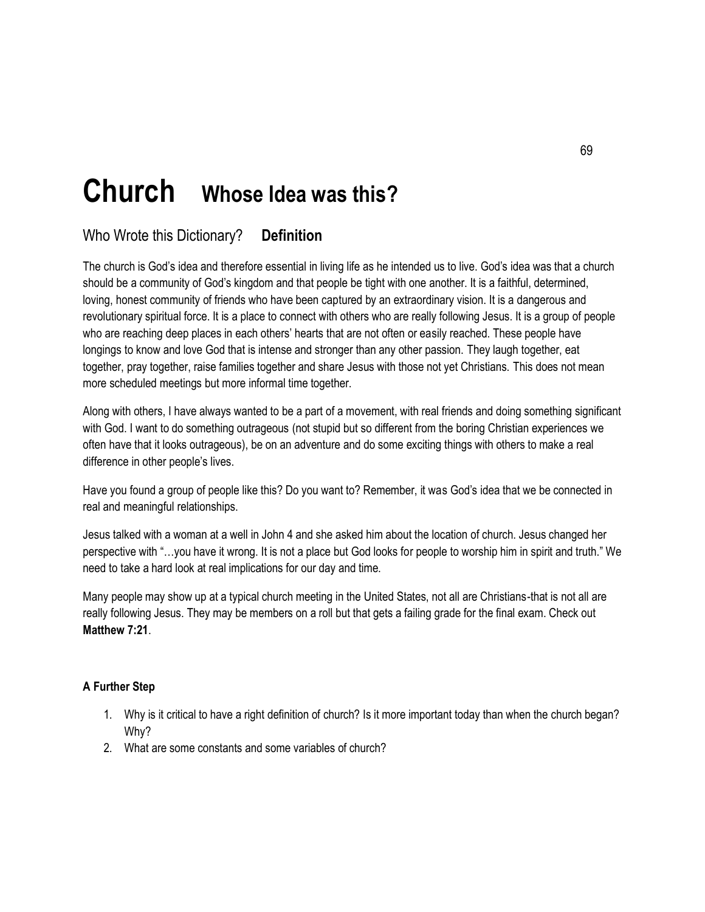# **Church Whose Idea was this?**

# Who Wrote this Dictionary? **Definition**

The church is God's idea and therefore essential in living life as he intended us to live. God's idea was that a church should be a community of God's kingdom and that people be tight with one another. It is a faithful, determined, loving, honest community of friends who have been captured by an extraordinary vision. It is a dangerous and revolutionary spiritual force. It is a place to connect with others who are really following Jesus. It is a group of people who are reaching deep places in each others' hearts that are not often or easily reached. These people have longings to know and love God that is intense and stronger than any other passion. They laugh together, eat together, pray together, raise families together and share Jesus with those not yet Christians. This does not mean more scheduled meetings but more informal time together.

Along with others, I have always wanted to be a part of a movement, with real friends and doing something significant with God. I want to do something outrageous (not stupid but so different from the boring Christian experiences we often have that it looks outrageous), be on an adventure and do some exciting things with others to make a real difference in other people's lives.

Have you found a group of people like this? Do you want to? Remember, it was God's idea that we be connected in real and meaningful relationships.

Jesus talked with a woman at a well in John 4 and she asked him about the location of church. Jesus changed her perspective with "…you have it wrong. It is not a place but God looks for people to worship him in spirit and truth." We need to take a hard look at real implications for our day and time.

Many people may show up at a typical church meeting in the United States, not all are Christians-that is not all are really following Jesus. They may be members on a roll but that gets a failing grade for the final exam. Check out **Matthew 7:21**.

- 1. Why is it critical to have a right definition of church? Is it more important today than when the church began? Why?
- 2. What are some constants and some variables of church?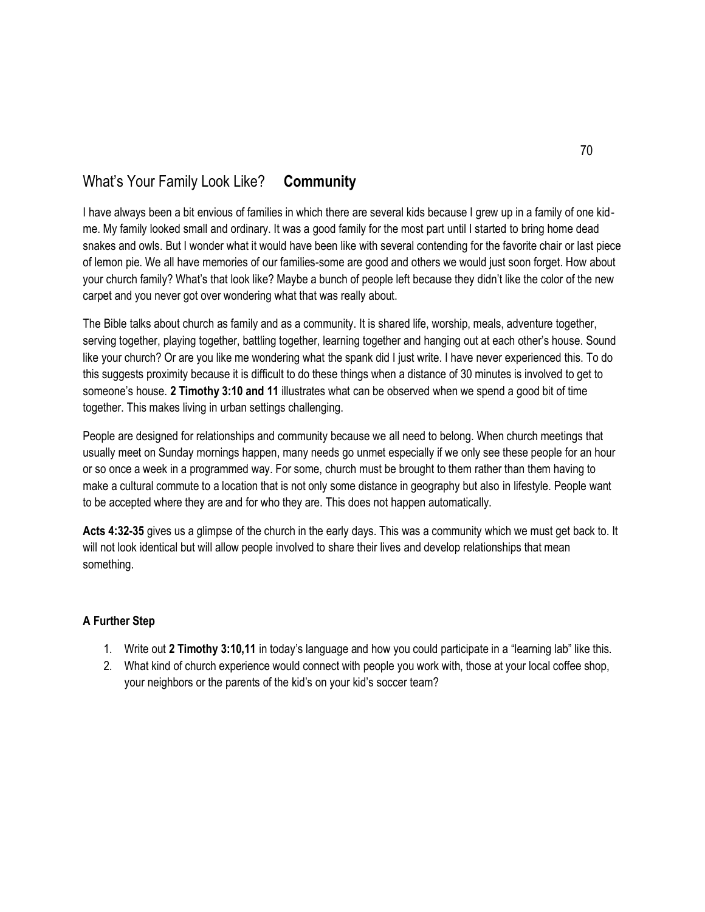# What's Your Family Look Like? **Community**

I have always been a bit envious of families in which there are several kids because I grew up in a family of one kidme. My family looked small and ordinary. It was a good family for the most part until I started to bring home dead snakes and owls. But I wonder what it would have been like with several contending for the favorite chair or last piece of lemon pie. We all have memories of our families-some are good and others we would just soon forget. How about your church family? What's that look like? Maybe a bunch of people left because they didn't like the color of the new carpet and you never got over wondering what that was really about.

The Bible talks about church as family and as a community. It is shared life, worship, meals, adventure together, serving together, playing together, battling together, learning together and hanging out at each other's house. Sound like your church? Or are you like me wondering what the spank did I just write. I have never experienced this. To do this suggests proximity because it is difficult to do these things when a distance of 30 minutes is involved to get to someone's house. **2 Timothy 3:10 and 11** illustrates what can be observed when we spend a good bit of time together. This makes living in urban settings challenging.

People are designed for relationships and community because we all need to belong. When church meetings that usually meet on Sunday mornings happen, many needs go unmet especially if we only see these people for an hour or so once a week in a programmed way. For some, church must be brought to them rather than them having to make a cultural commute to a location that is not only some distance in geography but also in lifestyle. People want to be accepted where they are and for who they are. This does not happen automatically.

**Acts 4:32-35** gives us a glimpse of the church in the early days. This was a community which we must get back to. It will not look identical but will allow people involved to share their lives and develop relationships that mean something.

- 1. Write out **2 Timothy 3:10,11** in today's language and how you could participate in a "learning lab" like this.
- 2. What kind of church experience would connect with people you work with, those at your local coffee shop, your neighbors or the parents of the kid's on your kid's soccer team?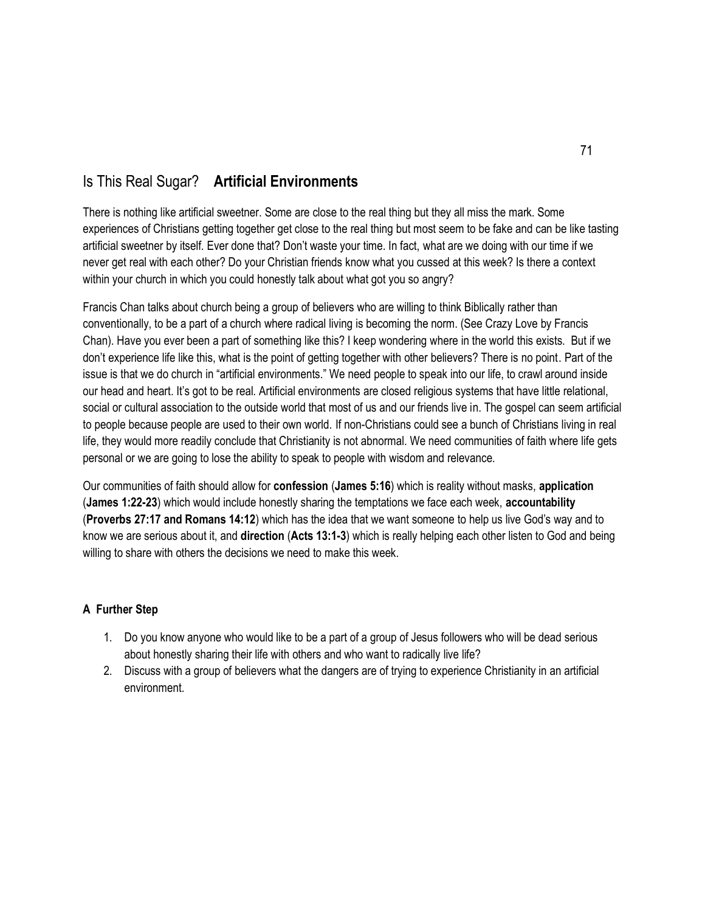# Is This Real Sugar? **Artificial Environments**

There is nothing like artificial sweetner. Some are close to the real thing but they all miss the mark. Some experiences of Christians getting together get close to the real thing but most seem to be fake and can be like tasting artificial sweetner by itself. Ever done that? Don't waste your time. In fact, what are we doing with our time if we never get real with each other? Do your Christian friends know what you cussed at this week? Is there a context within your church in which you could honestly talk about what got you so angry?

Francis Chan talks about church being a group of believers who are willing to think Biblically rather than conventionally, to be a part of a church where radical living is becoming the norm. (See Crazy Love by Francis Chan). Have you ever been a part of something like this? I keep wondering where in the world this exists. But if we don't experience life like this, what is the point of getting together with other believers? There is no point. Part of the issue is that we do church in "artificial environments." We need people to speak into our life, to crawl around inside our head and heart. It's got to be real. Artificial environments are closed religious systems that have little relational, social or cultural association to the outside world that most of us and our friends live in. The gospel can seem artificial to people because people are used to their own world. If non-Christians could see a bunch of Christians living in real life, they would more readily conclude that Christianity is not abnormal. We need communities of faith where life gets personal or we are going to lose the ability to speak to people with wisdom and relevance.

Our communities of faith should allow for **confession** (**James 5:16**) which is reality without masks, **application** (**James 1:22-23**) which would include honestly sharing the temptations we face each week, **accountability** (**Proverbs 27:17 and Romans 14:12**) which has the idea that we want someone to help us live God's way and to know we are serious about it, and **direction** (**Acts 13:1-3**) which is really helping each other listen to God and being willing to share with others the decisions we need to make this week.

- 1. Do you know anyone who would like to be a part of a group of Jesus followers who will be dead serious about honestly sharing their life with others and who want to radically live life?
- 2. Discuss with a group of believers what the dangers are of trying to experience Christianity in an artificial environment.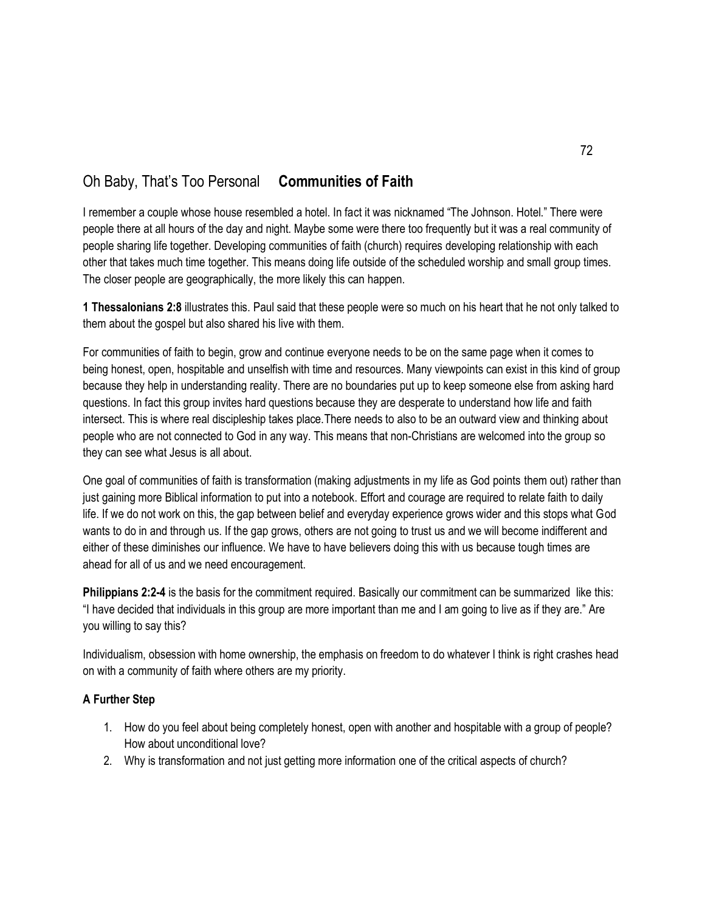### Oh Baby, That's Too Personal **Communities of Faith**

I remember a couple whose house resembled a hotel. In fact it was nicknamed "The Johnson. Hotel." There were people there at all hours of the day and night. Maybe some were there too frequently but it was a real community of people sharing life together. Developing communities of faith (church) requires developing relationship with each other that takes much time together. This means doing life outside of the scheduled worship and small group times. The closer people are geographically, the more likely this can happen.

**1 Thessalonians 2:8** illustrates this. Paul said that these people were so much on his heart that he not only talked to them about the gospel but also shared his live with them.

For communities of faith to begin, grow and continue everyone needs to be on the same page when it comes to being honest, open, hospitable and unselfish with time and resources. Many viewpoints can exist in this kind of group because they help in understanding reality. There are no boundaries put up to keep someone else from asking hard questions. In fact this group invites hard questions because they are desperate to understand how life and faith intersect. This is where real discipleship takes place.There needs to also to be an outward view and thinking about people who are not connected to God in any way. This means that non-Christians are welcomed into the group so they can see what Jesus is all about.

One goal of communities of faith is transformation (making adjustments in my life as God points them out) rather than just gaining more Biblical information to put into a notebook. Effort and courage are required to relate faith to daily life. If we do not work on this, the gap between belief and everyday experience grows wider and this stops what God wants to do in and through us. If the gap grows, others are not going to trust us and we will become indifferent and either of these diminishes our influence. We have to have believers doing this with us because tough times are ahead for all of us and we need encouragement.

**Philippians 2:2-4** is the basis for the commitment required. Basically our commitment can be summarized like this: "I have decided that individuals in this group are more important than me and I am going to live as if they are." Are you willing to say this?

Individualism, obsession with home ownership, the emphasis on freedom to do whatever I think is right crashes head on with a community of faith where others are my priority.

- 1. How do you feel about being completely honest, open with another and hospitable with a group of people? How about unconditional love?
- 2. Why is transformation and not just getting more information one of the critical aspects of church?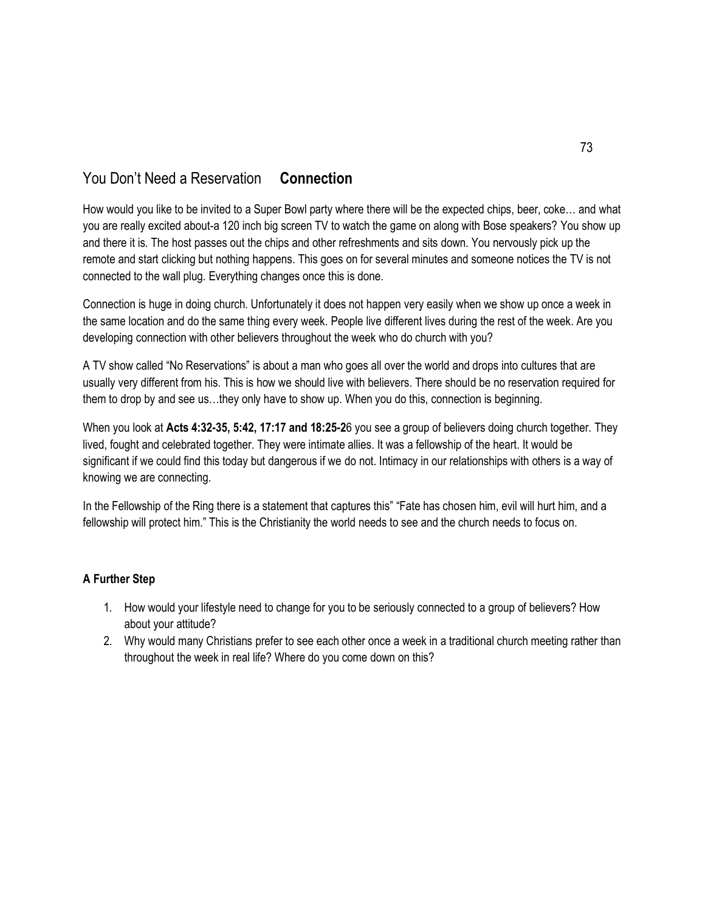### You Don't Need a Reservation **Connection**

How would you like to be invited to a Super Bowl party where there will be the expected chips, beer, coke… and what you are really excited about-a 120 inch big screen TV to watch the game on along with Bose speakers? You show up and there it is. The host passes out the chips and other refreshments and sits down. You nervously pick up the remote and start clicking but nothing happens. This goes on for several minutes and someone notices the TV is not connected to the wall plug. Everything changes once this is done.

Connection is huge in doing church. Unfortunately it does not happen very easily when we show up once a week in the same location and do the same thing every week. People live different lives during the rest of the week. Are you developing connection with other believers throughout the week who do church with you?

A TV show called "No Reservations" is about a man who goes all over the world and drops into cultures that are usually very different from his. This is how we should live with believers. There should be no reservation required for them to drop by and see us…they only have to show up. When you do this, connection is beginning.

When you look at **Acts 4:32-35, 5:42, 17:17 and 18:25-2**6 you see a group of believers doing church together. They lived, fought and celebrated together. They were intimate allies. It was a fellowship of the heart. It would be significant if we could find this today but dangerous if we do not. Intimacy in our relationships with others is a way of knowing we are connecting.

In the Fellowship of the Ring there is a statement that captures this" "Fate has chosen him, evil will hurt him, and a fellowship will protect him." This is the Christianity the world needs to see and the church needs to focus on.

- 1. How would your lifestyle need to change for you to be seriously connected to a group of believers? How about your attitude?
- 2. Why would many Christians prefer to see each other once a week in a traditional church meeting rather than throughout the week in real life? Where do you come down on this?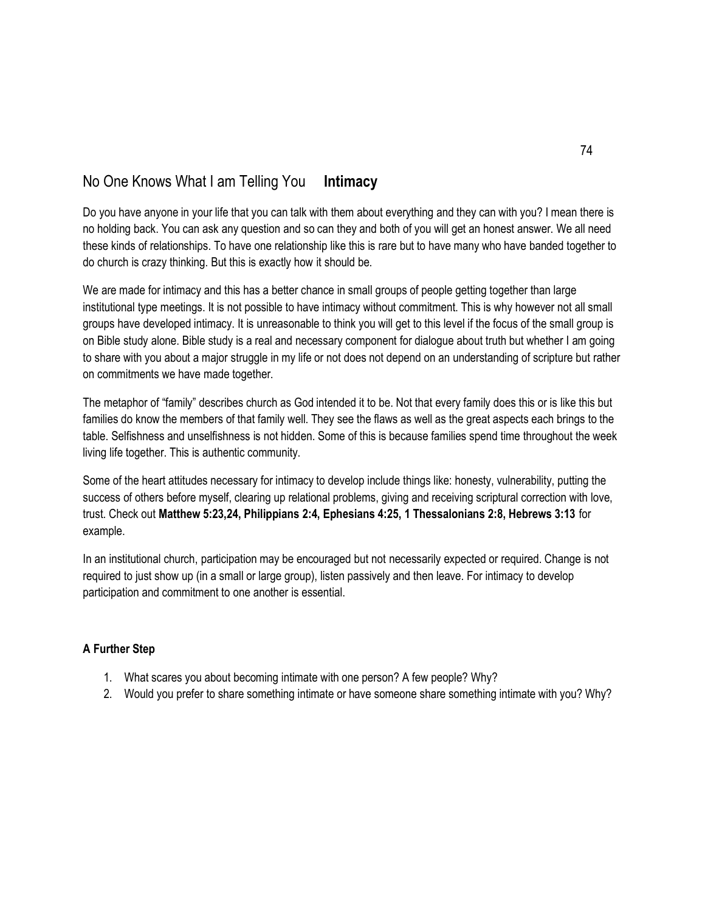### No One Knows What I am Telling You **Intimacy**

Do you have anyone in your life that you can talk with them about everything and they can with you? I mean there is no holding back. You can ask any question and so can they and both of you will get an honest answer. We all need these kinds of relationships. To have one relationship like this is rare but to have many who have banded together to do church is crazy thinking. But this is exactly how it should be.

We are made for intimacy and this has a better chance in small groups of people getting together than large institutional type meetings. It is not possible to have intimacy without commitment. This is why however not all small groups have developed intimacy. It is unreasonable to think you will get to this level if the focus of the small group is on Bible study alone. Bible study is a real and necessary component for dialogue about truth but whether I am going to share with you about a major struggle in my life or not does not depend on an understanding of scripture but rather on commitments we have made together.

The metaphor of "family" describes church as God intended it to be. Not that every family does this or is like this but families do know the members of that family well. They see the flaws as well as the great aspects each brings to the table. Selfishness and unselfishness is not hidden. Some of this is because families spend time throughout the week living life together. This is authentic community.

Some of the heart attitudes necessary for intimacy to develop include things like: honesty, vulnerability, putting the success of others before myself, clearing up relational problems, giving and receiving scriptural correction with love, trust. Check out **Matthew 5:23,24, Philippians 2:4, Ephesians 4:25, 1 Thessalonians 2:8, Hebrews 3:13** for example.

In an institutional church, participation may be encouraged but not necessarily expected or required. Change is not required to just show up (in a small or large group), listen passively and then leave. For intimacy to develop participation and commitment to one another is essential.

- 1. What scares you about becoming intimate with one person? A few people? Why?
- 2. Would you prefer to share something intimate or have someone share something intimate with you? Why?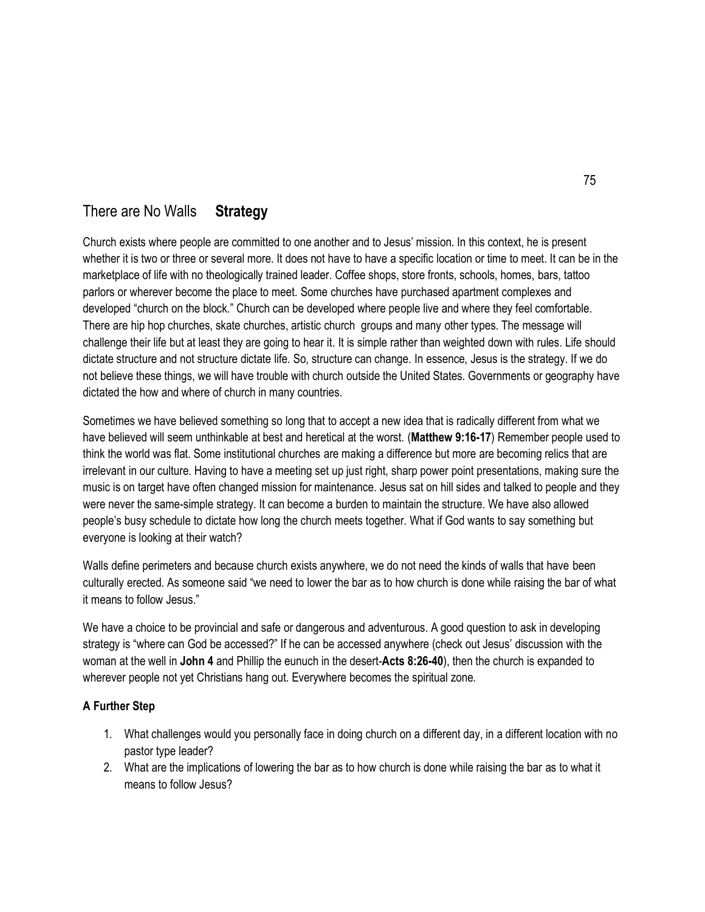### There are No Walls **Strategy**

Church exists where people are committed to one another and to Jesus' mission. In this context, he is present whether it is two or three or several more. It does not have to have a specific location or time to meet. It can be in the marketplace of life with no theologically trained leader. Coffee shops, store fronts, schools, homes, bars, tattoo parlors or wherever become the place to meet. Some churches have purchased apartment complexes and developed "church on the block." Church can be developed where people live and where they feel comfortable. There are hip hop churches, skate churches, artistic church groups and many other types. The message will challenge their life but at least they are going to hear it. It is simple rather than weighted down with rules. Life should dictate structure and not structure dictate life. So, structure can change. In essence, Jesus is the strategy. If we do not believe these things, we will have trouble with church outside the United States. Governments or geography have dictated the how and where of church in many countries.

Sometimes we have believed something so long that to accept a new idea that is radically different from what we have believed will seem unthinkable at best and heretical at the worst. (**Matthew 9:16-17**) Remember people used to think the world was flat. Some institutional churches are making a difference but more are becoming relics that are irrelevant in our culture. Having to have a meeting set up just right, sharp power point presentations, making sure the music is on target have often changed mission for maintenance. Jesus sat on hill sides and talked to people and they were never the same-simple strategy. It can become a burden to maintain the structure. We have also allowed people's busy schedule to dictate how long the church meets together. What if God wants to say something but everyone is looking at their watch?

Walls define perimeters and because church exists anywhere, we do not need the kinds of walls that have been culturally erected. As someone said "we need to lower the bar as to how church is done while raising the bar of what it means to follow Jesus."

We have a choice to be provincial and safe or dangerous and adventurous. A good question to ask in developing strategy is "where can God be accessed?" If he can be accessed anywhere (check out Jesus' discussion with the woman at the well in **John 4** and Phillip the eunuch in the desert-**Acts 8:26-40**), then the church is expanded to wherever people not yet Christians hang out. Everywhere becomes the spiritual zone.

- 1. What challenges would you personally face in doing church on a different day, in a different location with no pastor type leader?
- 2. What are the implications of lowering the bar as to how church is done while raising the bar as to what it means to follow Jesus?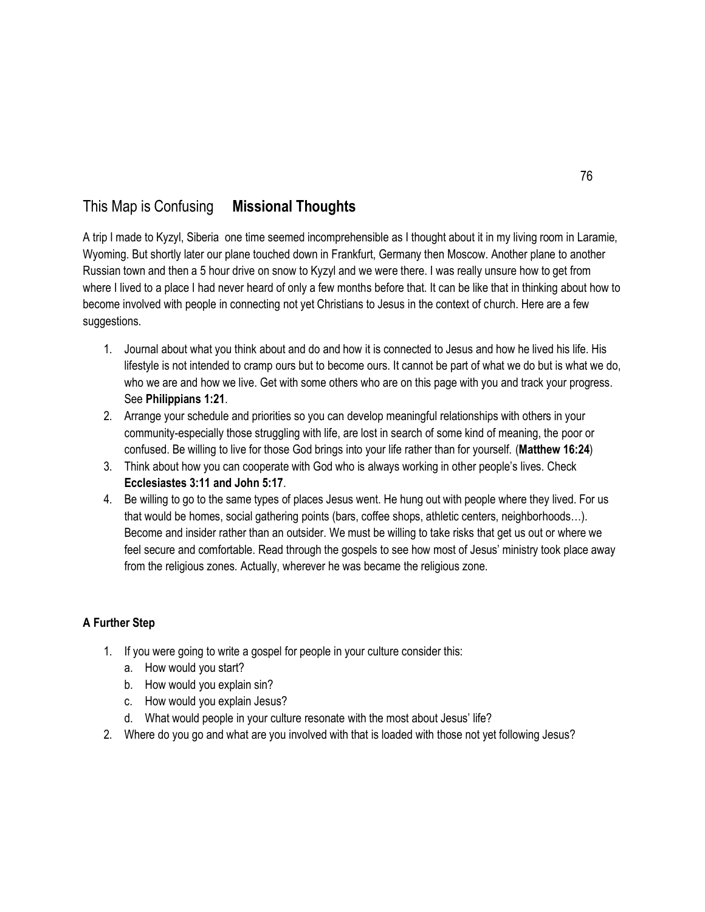### This Map is Confusing **Missional Thoughts**

A trip I made to Kyzyl, Siberia one time seemed incomprehensible as I thought about it in my living room in Laramie, Wyoming. But shortly later our plane touched down in Frankfurt, Germany then Moscow. Another plane to another Russian town and then a 5 hour drive on snow to Kyzyl and we were there. I was really unsure how to get from where I lived to a place I had never heard of only a few months before that. It can be like that in thinking about how to become involved with people in connecting not yet Christians to Jesus in the context of church. Here are a few suggestions.

- 1. Journal about what you think about and do and how it is connected to Jesus and how he lived his life. His lifestyle is not intended to cramp ours but to become ours. It cannot be part of what we do but is what we do, who we are and how we live. Get with some others who are on this page with you and track your progress. See **Philippians 1:21**.
- 2. Arrange your schedule and priorities so you can develop meaningful relationships with others in your community-especially those struggling with life, are lost in search of some kind of meaning, the poor or confused. Be willing to live for those God brings into your life rather than for yourself. (**Matthew 16:24**)
- 3. Think about how you can cooperate with God who is always working in other people's lives. Check **Ecclesiastes 3:11 and John 5:17**.
- 4. Be willing to go to the same types of places Jesus went. He hung out with people where they lived. For us that would be homes, social gathering points (bars, coffee shops, athletic centers, neighborhoods…). Become and insider rather than an outsider. We must be willing to take risks that get us out or where we feel secure and comfortable. Read through the gospels to see how most of Jesus' ministry took place away from the religious zones. Actually, wherever he was became the religious zone.

- 1. If you were going to write a gospel for people in your culture consider this:
	- a. How would you start?
	- b. How would you explain sin?
	- c. How would you explain Jesus?
	- d. What would people in your culture resonate with the most about Jesus' life?
- 2. Where do you go and what are you involved with that is loaded with those not yet following Jesus?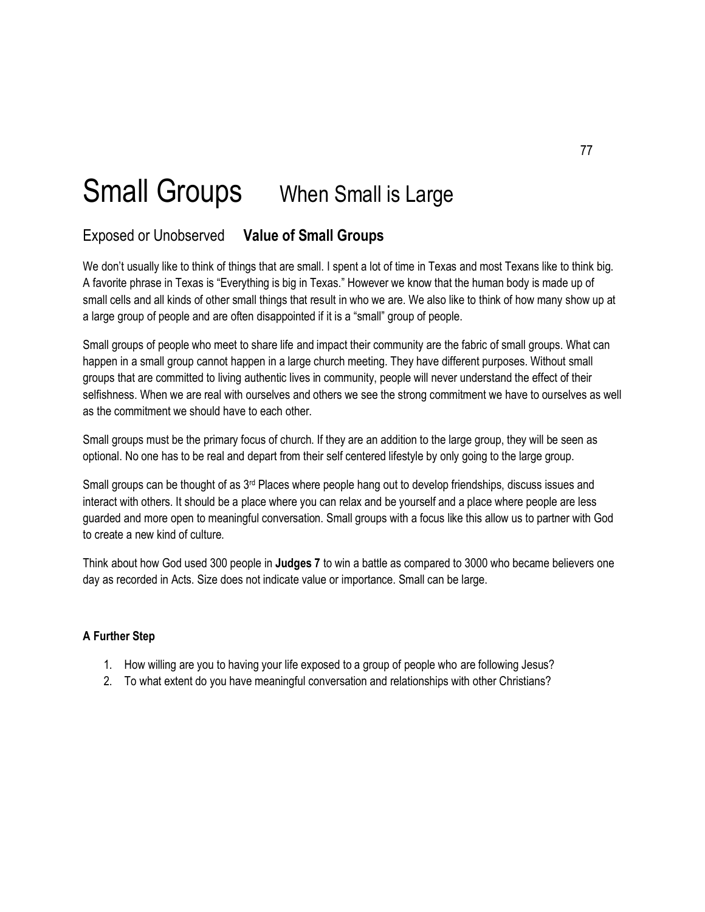# Small Groups When Small is Large

### Exposed or Unobserved **Value of Small Groups**

We don't usually like to think of things that are small. I spent a lot of time in Texas and most Texans like to think big. A favorite phrase in Texas is "Everything is big in Texas." However we know that the human body is made up of small cells and all kinds of other small things that result in who we are. We also like to think of how many show up at a large group of people and are often disappointed if it is a "small" group of people.

Small groups of people who meet to share life and impact their community are the fabric of small groups. What can happen in a small group cannot happen in a large church meeting. They have different purposes. Without small groups that are committed to living authentic lives in community, people will never understand the effect of their selfishness. When we are real with ourselves and others we see the strong commitment we have to ourselves as well as the commitment we should have to each other.

Small groups must be the primary focus of church. If they are an addition to the large group, they will be seen as optional. No one has to be real and depart from their self centered lifestyle by only going to the large group.

Small groups can be thought of as 3<sup>rd</sup> Places where people hang out to develop friendships, discuss issues and interact with others. It should be a place where you can relax and be yourself and a place where people are less guarded and more open to meaningful conversation. Small groups with a focus like this allow us to partner with God to create a new kind of culture.

Think about how God used 300 people in **Judges 7** to win a battle as compared to 3000 who became believers one day as recorded in Acts. Size does not indicate value or importance. Small can be large.

- 1. How willing are you to having your life exposed to a group of people who are following Jesus?
- 2. To what extent do you have meaningful conversation and relationships with other Christians?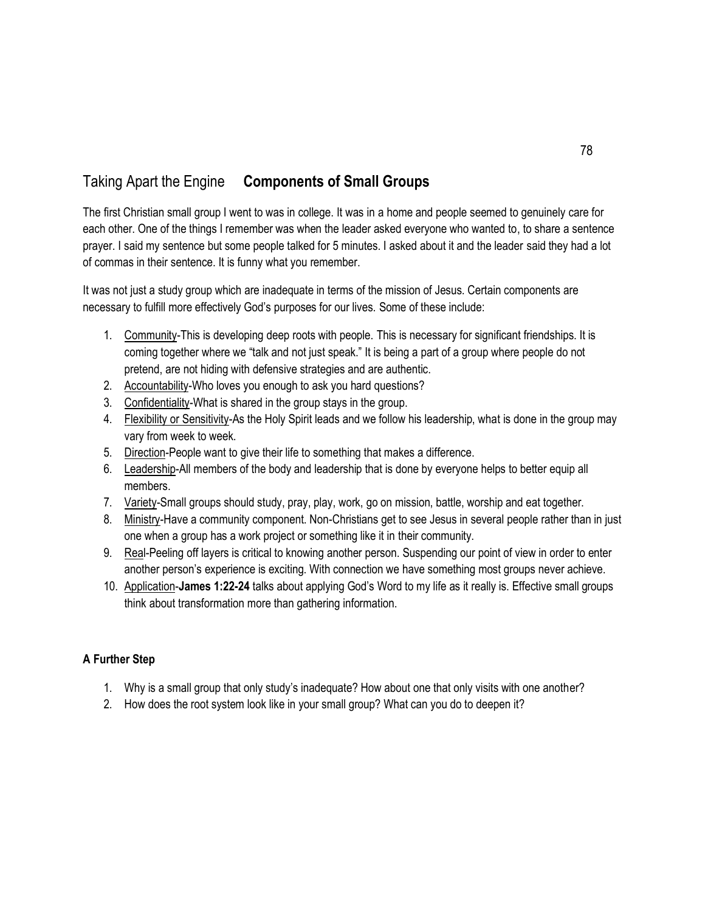# Taking Apart the Engine **Components of Small Groups**

The first Christian small group I went to was in college. It was in a home and people seemed to genuinely care for each other. One of the things I remember was when the leader asked everyone who wanted to, to share a sentence prayer. I said my sentence but some people talked for 5 minutes. I asked about it and the leader said they had a lot of commas in their sentence. It is funny what you remember.

It was not just a study group which are inadequate in terms of the mission of Jesus. Certain components are necessary to fulfill more effectively God's purposes for our lives. Some of these include:

- 1. Community-This is developing deep roots with people. This is necessary for significant friendships. It is coming together where we "talk and not just speak." It is being a part of a group where people do not pretend, are not hiding with defensive strategies and are authentic.
- 2. Accountability-Who loves you enough to ask you hard questions?
- 3. Confidentiality-What is shared in the group stays in the group.
- 4. Flexibility or Sensitivity-As the Holy Spirit leads and we follow his leadership, what is done in the group may vary from week to week.
- 5. Direction-People want to give their life to something that makes a difference.
- 6. Leadership-All members of the body and leadership that is done by everyone helps to better equip all members.
- 7. Variety-Small groups should study, pray, play, work, go on mission, battle, worship and eat together.
- 8. Ministry-Have a community component. Non-Christians get to see Jesus in several people rather than in just one when a group has a work project or something like it in their community.
- 9. Real-Peeling off layers is critical to knowing another person. Suspending our point of view in order to enter another person's experience is exciting. With connection we have something most groups never achieve.
- 10. Application-**James 1:22-24** talks about applying God's Word to my life as it really is. Effective small groups think about transformation more than gathering information.

- 1. Why is a small group that only study's inadequate? How about one that only visits with one another?
- 2. How does the root system look like in your small group? What can you do to deepen it?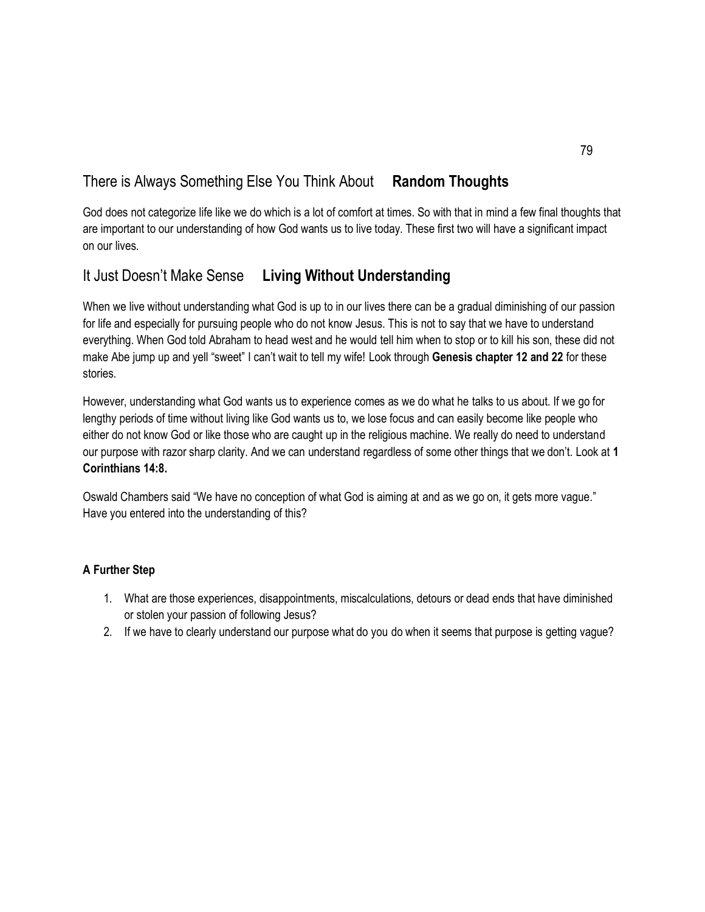# There is Always Something Else You Think About **Random Thoughts**

God does not categorize life like we do which is a lot of comfort at times. So with that in mind a few final thoughts that are important to our understanding of how God wants us to live today. These first two will have a significant impact on our lives.

### It Just Doesn't Make Sense **Living Without Understanding**

When we live without understanding what God is up to in our lives there can be a gradual diminishing of our passion for life and especially for pursuing people who do not know Jesus. This is not to say that we have to understand everything. When God told Abraham to head west and he would tell him when to stop or to kill his son, these did not make Abe jump up and yell "sweet" I can't wait to tell my wife! Look through **Genesis chapter 12 and 22** for these stories.

However, understanding what God wants us to experience comes as we do what he talks to us about. If we go for lengthy periods of time without living like God wants us to, we lose focus and can easily become like people who either do not know God or like those who are caught up in the religious machine. We really do need to understand our purpose with razor sharp clarity. And we can understand regardless of some other things that we don't. Look at **1 Corinthians 14:8.**

Oswald Chambers said "We have no conception of what God is aiming at and as we go on, it gets more vague." Have you entered into the understanding of this?

- 1. What are those experiences, disappointments, miscalculations, detours or dead ends that have diminished or stolen your passion of following Jesus?
- 2. If we have to clearly understand our purpose what do you do when it seems that purpose is getting vague?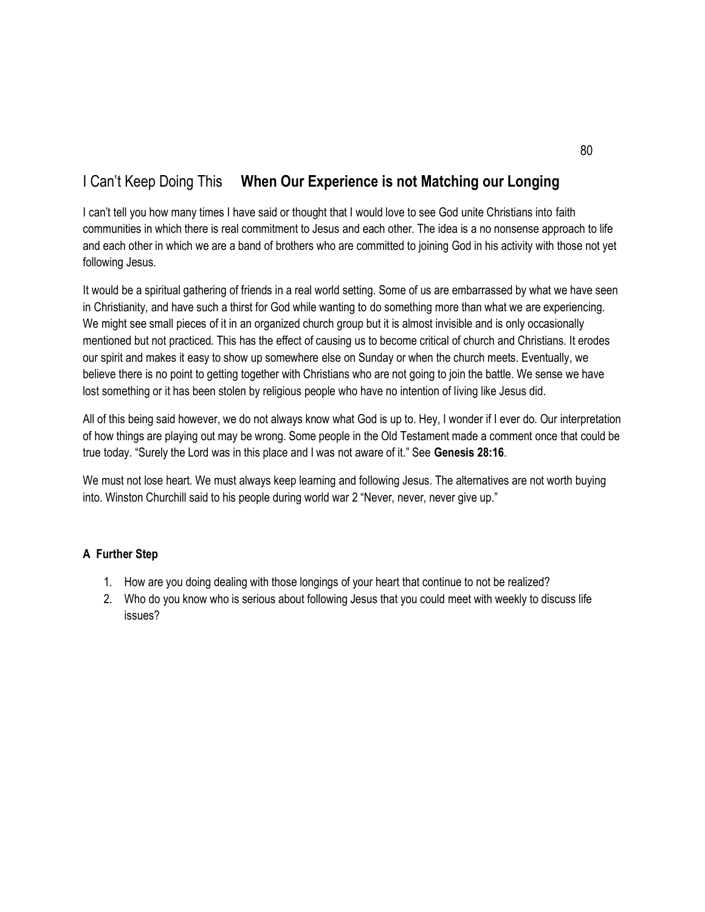### I Can't Keep Doing This **When Our Experience is not Matching our Longing**

I can't tell you how many times I have said or thought that I would love to see God unite Christians into faith communities in which there is real commitment to Jesus and each other. The idea is a no nonsense approach to life and each other in which we are a band of brothers who are committed to joining God in his activity with those not yet following Jesus.

It would be a spiritual gathering of friends in a real world setting. Some of us are embarrassed by what we have seen in Christianity, and have such a thirst for God while wanting to do something more than what we are experiencing. We might see small pieces of it in an organized church group but it is almost invisible and is only occasionally mentioned but not practiced. This has the effect of causing us to become critical of church and Christians. It erodes our spirit and makes it easy to show up somewhere else on Sunday or when the church meets. Eventually, we believe there is no point to getting together with Christians who are not going to join the battle. We sense we have lost something or it has been stolen by religious people who have no intention of living like Jesus did.

All of this being said however, we do not always know what God is up to. Hey, I wonder if I ever do. Our interpretation of how things are playing out may be wrong. Some people in the Old Testament made a comment once that could be true today. "Surely the Lord was in this place and I was not aware of it." See **Genesis 28:16**.

We must not lose heart. We must always keep learning and following Jesus. The alternatives are not worth buying into. Winston Churchill said to his people during world war 2 "Never, never, never give up."

- 1. How are you doing dealing with those longings of your heart that continue to not be realized?
- 2. Who do you know who is serious about following Jesus that you could meet with weekly to discuss life issues?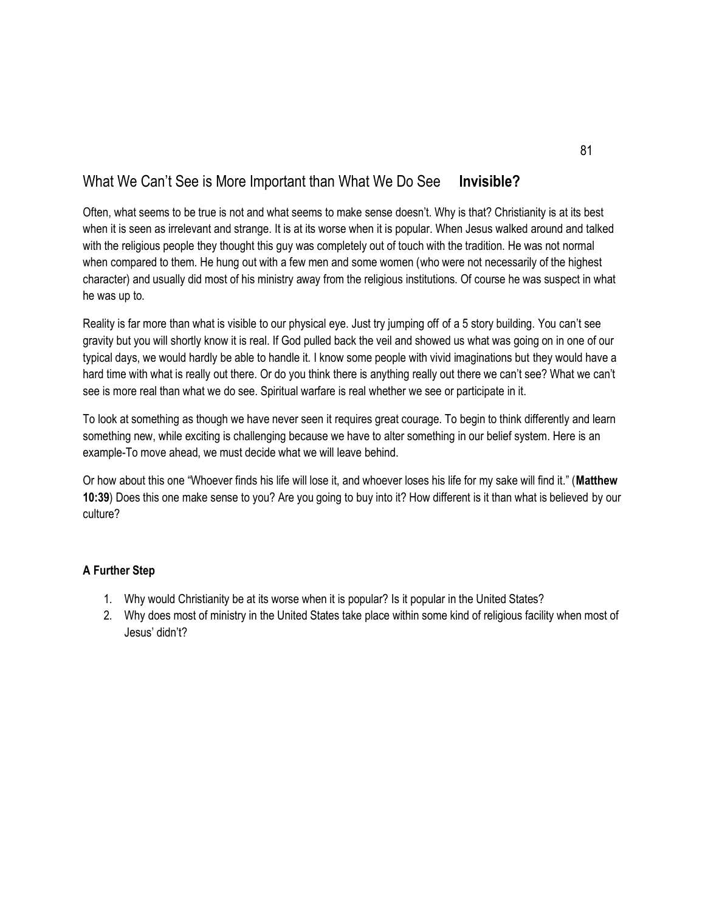### What We Can't See is More Important than What We Do See **Invisible?**

Often, what seems to be true is not and what seems to make sense doesn't. Why is that? Christianity is at its best when it is seen as irrelevant and strange. It is at its worse when it is popular. When Jesus walked around and talked with the religious people they thought this guy was completely out of touch with the tradition. He was not normal when compared to them. He hung out with a few men and some women (who were not necessarily of the highest character) and usually did most of his ministry away from the religious institutions. Of course he was suspect in what he was up to.

Reality is far more than what is visible to our physical eye. Just try jumping off of a 5 story building. You can't see gravity but you will shortly know it is real. If God pulled back the veil and showed us what was going on in one of our typical days, we would hardly be able to handle it. I know some people with vivid imaginations but they would have a hard time with what is really out there. Or do you think there is anything really out there we can't see? What we can't see is more real than what we do see. Spiritual warfare is real whether we see or participate in it.

To look at something as though we have never seen it requires great courage. To begin to think differently and learn something new, while exciting is challenging because we have to alter something in our belief system. Here is an example-To move ahead, we must decide what we will leave behind.

Or how about this one "Whoever finds his life will lose it, and whoever loses his life for my sake will find it." (**Matthew 10:39**) Does this one make sense to you? Are you going to buy into it? How different is it than what is believed by our culture?

- 1. Why would Christianity be at its worse when it is popular? Is it popular in the United States?
- 2. Why does most of ministry in the United States take place within some kind of religious facility when most of Jesus' didn't?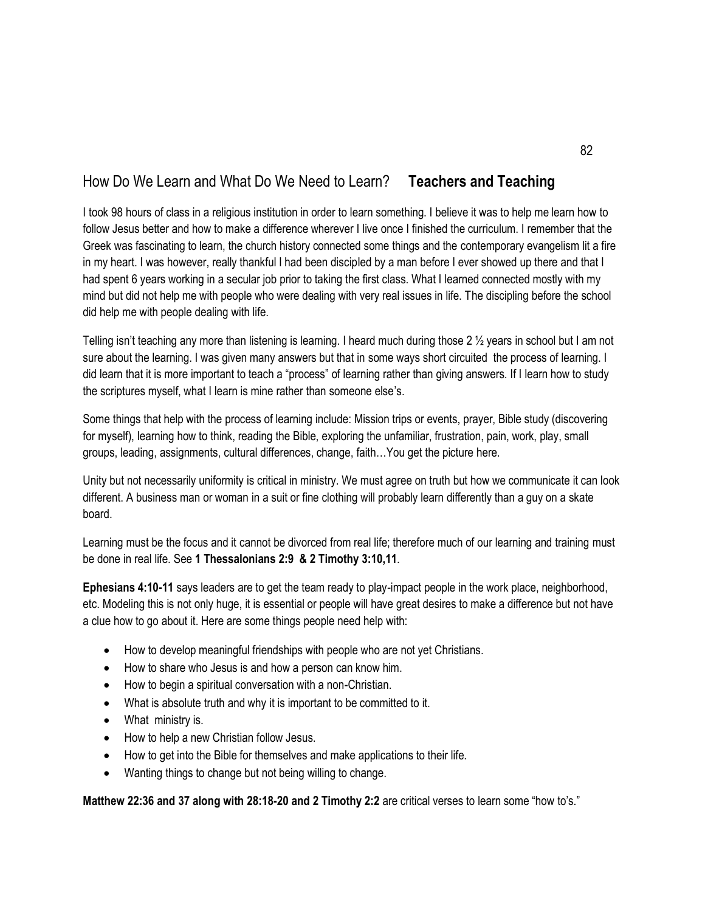# How Do We Learn and What Do We Need to Learn? **Teachers and Teaching**

I took 98 hours of class in a religious institution in order to learn something. I believe it was to help me learn how to follow Jesus better and how to make a difference wherever I live once I finished the curriculum. I remember that the Greek was fascinating to learn, the church history connected some things and the contemporary evangelism lit a fire in my heart. I was however, really thankful I had been discipled by a man before I ever showed up there and that I had spent 6 years working in a secular job prior to taking the first class. What I learned connected mostly with my mind but did not help me with people who were dealing with very real issues in life. The discipling before the school did help me with people dealing with life.

Telling isn't teaching any more than listening is learning. I heard much during those 2 ½ years in school but I am not sure about the learning. I was given many answers but that in some ways short circuited the process of learning. I did learn that it is more important to teach a "process" of learning rather than giving answers. If I learn how to study the scriptures myself, what I learn is mine rather than someone else's.

Some things that help with the process of learning include: Mission trips or events, prayer, Bible study (discovering for myself), learning how to think, reading the Bible, exploring the unfamiliar, frustration, pain, work, play, small groups, leading, assignments, cultural differences, change, faith…You get the picture here.

Unity but not necessarily uniformity is critical in ministry. We must agree on truth but how we communicate it can look different. A business man or woman in a suit or fine clothing will probably learn differently than a guy on a skate board.

Learning must be the focus and it cannot be divorced from real life; therefore much of our learning and training must be done in real life. See **1 Thessalonians 2:9 & 2 Timothy 3:10,11**.

**Ephesians 4:10-11** says leaders are to get the team ready to play-impact people in the work place, neighborhood, etc. Modeling this is not only huge, it is essential or people will have great desires to make a difference but not have a clue how to go about it. Here are some things people need help with:

- How to develop meaningful friendships with people who are not yet Christians.
- How to share who Jesus is and how a person can know him.
- How to begin a spiritual conversation with a non-Christian.
- What is absolute truth and why it is important to be committed to it.
- What ministry is.
- How to help a new Christian follow Jesus.
- How to get into the Bible for themselves and make applications to their life.
- Wanting things to change but not being willing to change.

**Matthew 22:36 and 37 along with 28:18-20 and 2 Timothy 2:2** are critical verses to learn some "how to's."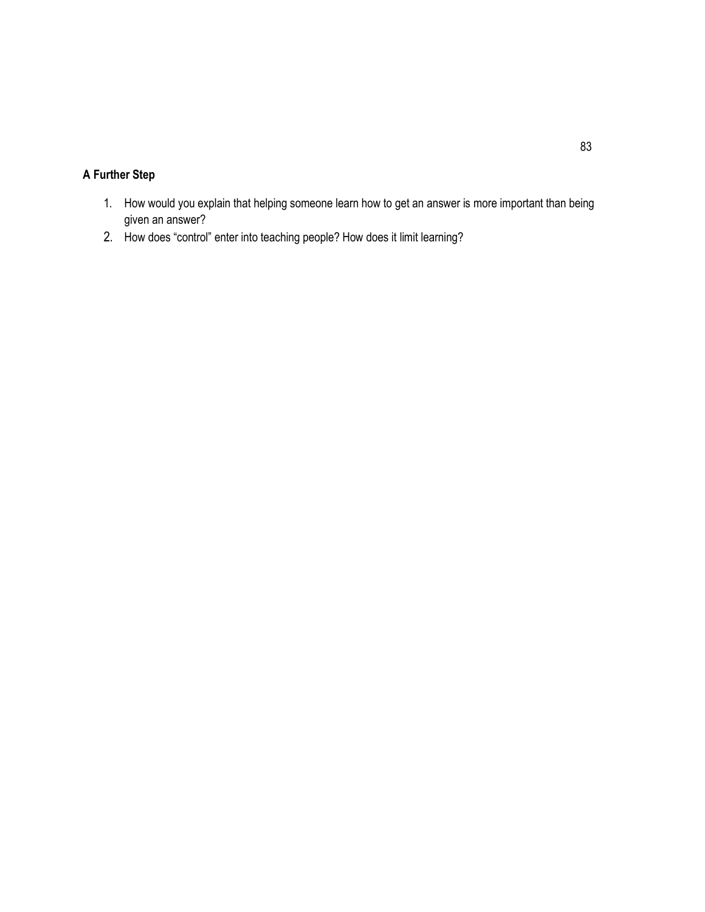- 1. How would you explain that helping someone learn how to get an answer is more important than being given an answer?
- 2. How does "control" enter into teaching people? How does it limit learning?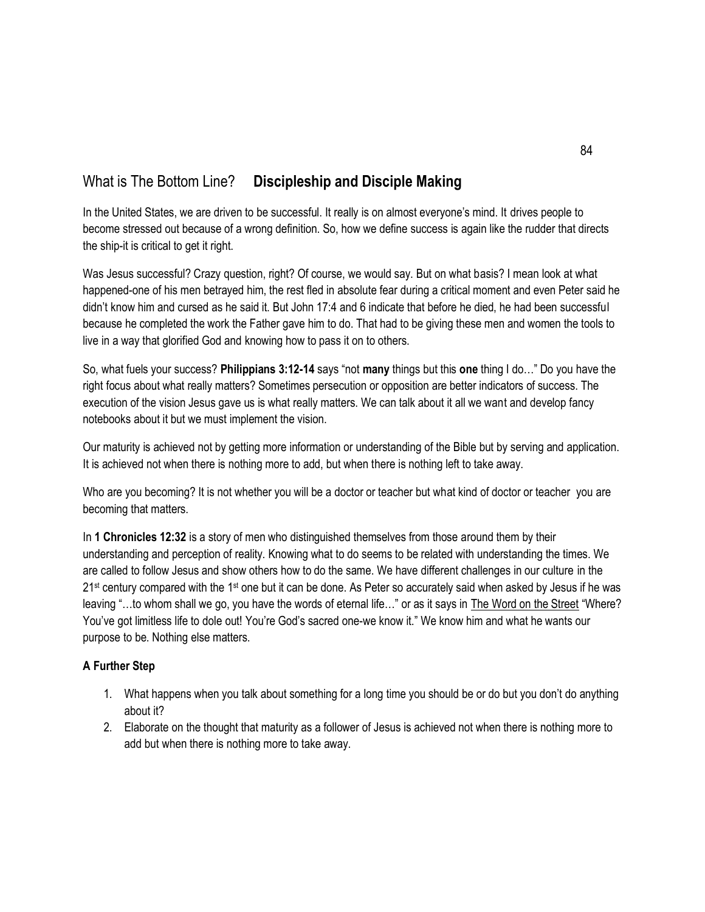# What is The Bottom Line? **Discipleship and Disciple Making**

In the United States, we are driven to be successful. It really is on almost everyone's mind. It drives people to become stressed out because of a wrong definition. So, how we define success is again like the rudder that directs the ship-it is critical to get it right.

Was Jesus successful? Crazy question, right? Of course, we would say. But on what basis? I mean look at what happened-one of his men betrayed him, the rest fled in absolute fear during a critical moment and even Peter said he didn't know him and cursed as he said it. But John 17:4 and 6 indicate that before he died, he had been successful because he completed the work the Father gave him to do. That had to be giving these men and women the tools to live in a way that glorified God and knowing how to pass it on to others.

So, what fuels your success? **Philippians 3:12-14** says "not **many** things but this **one** thing I do…" Do you have the right focus about what really matters? Sometimes persecution or opposition are better indicators of success. The execution of the vision Jesus gave us is what really matters. We can talk about it all we want and develop fancy notebooks about it but we must implement the vision.

Our maturity is achieved not by getting more information or understanding of the Bible but by serving and application. It is achieved not when there is nothing more to add, but when there is nothing left to take away.

Who are you becoming? It is not whether you will be a doctor or teacher but what kind of doctor or teacher you are becoming that matters.

In **1 Chronicles 12:32** is a story of men who distinguished themselves from those around them by their understanding and perception of reality. Knowing what to do seems to be related with understanding the times. We are called to follow Jesus and show others how to do the same. We have different challenges in our culture in the  $21<sup>st</sup>$  century compared with the 1<sup>st</sup> one but it can be done. As Peter so accurately said when asked by Jesus if he was leaving "…to whom shall we go, you have the words of eternal life…" or as it says in The Word on the Street "Where? You've got limitless life to dole out! You're God's sacred one-we know it." We know him and what he wants our purpose to be. Nothing else matters.

- 1. What happens when you talk about something for a long time you should be or do but you don't do anything about it?
- 2. Elaborate on the thought that maturity as a follower of Jesus is achieved not when there is nothing more to add but when there is nothing more to take away.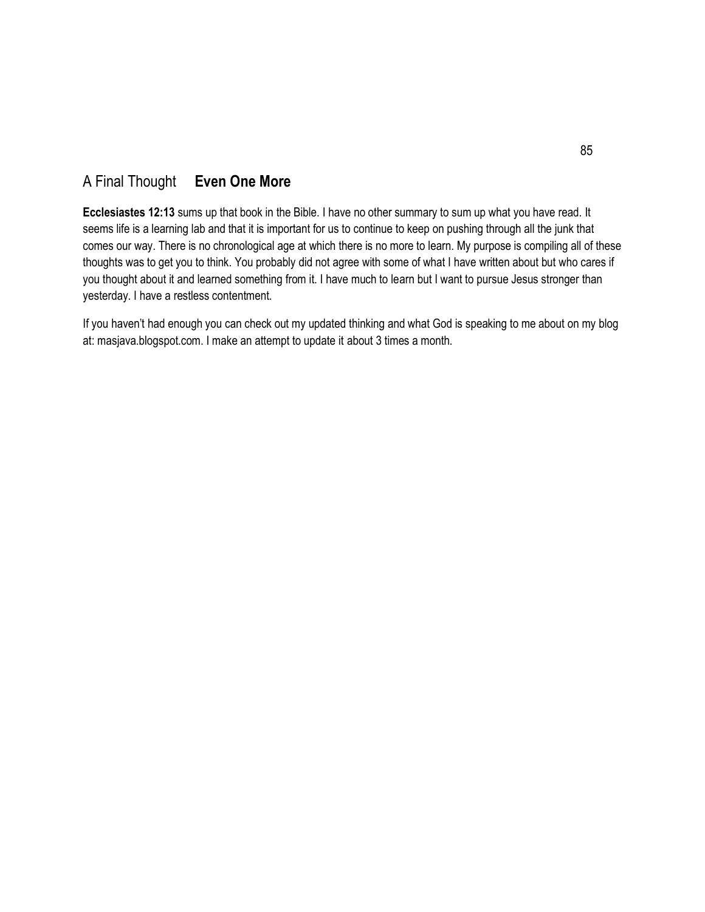### A Final Thought **Even One More**

**Ecclesiastes 12:13** sums up that book in the Bible. I have no other summary to sum up what you have read. It seems life is a learning lab and that it is important for us to continue to keep on pushing through all the junk that comes our way. There is no chronological age at which there is no more to learn. My purpose is compiling all of these thoughts was to get you to think. You probably did not agree with some of what I have written about but who cares if you thought about it and learned something from it. I have much to learn but I want to pursue Jesus stronger than yesterday. I have a restless contentment.

If you haven't had enough you can check out my updated thinking and what God is speaking to me about on my blog at: masjava.blogspot.com. I make an attempt to update it about 3 times a month.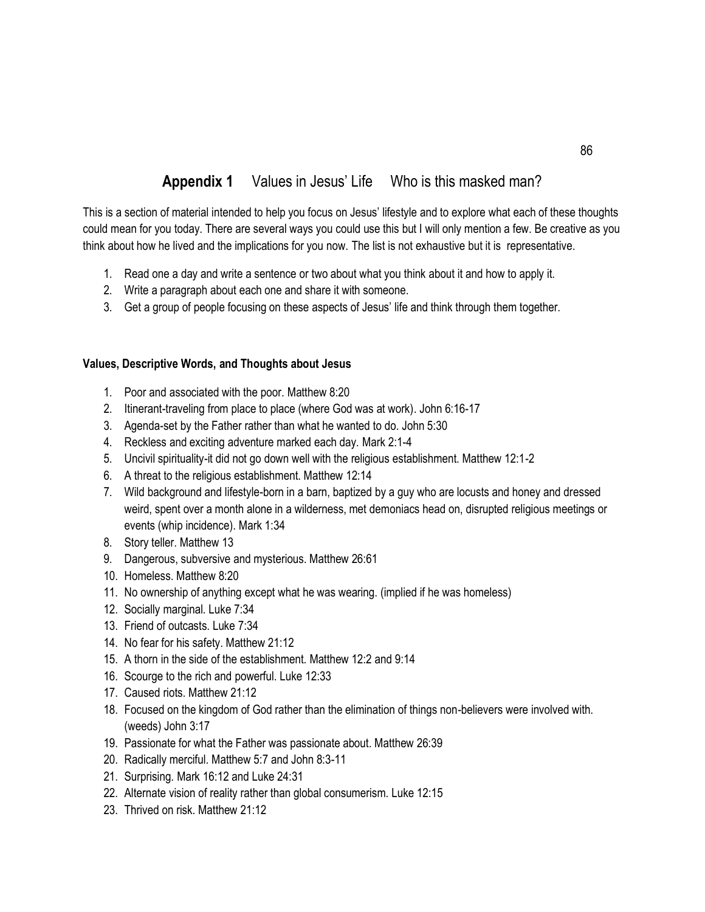# **Appendix 1** Values in Jesus' Life Who is this masked man?

This is a section of material intended to help you focus on Jesus' lifestyle and to explore what each of these thoughts could mean for you today. There are several ways you could use this but I will only mention a few. Be creative as you think about how he lived and the implications for you now. The list is not exhaustive but it is representative.

- 1. Read one a day and write a sentence or two about what you think about it and how to apply it.
- 2. Write a paragraph about each one and share it with someone.
- 3. Get a group of people focusing on these aspects of Jesus' life and think through them together.

#### **Values, Descriptive Words, and Thoughts about Jesus**

- 1. Poor and associated with the poor. Matthew 8:20
- 2. Itinerant-traveling from place to place (where God was at work). John 6:16-17
- 3. Agenda-set by the Father rather than what he wanted to do. John 5:30
- 4. Reckless and exciting adventure marked each day. Mark 2:1-4
- 5. Uncivil spirituality-it did not go down well with the religious establishment. Matthew 12:1-2
- 6. A threat to the religious establishment. Matthew 12:14
- 7. Wild background and lifestyle-born in a barn, baptized by a guy who are locusts and honey and dressed weird, spent over a month alone in a wilderness, met demoniacs head on, disrupted religious meetings or events (whip incidence). Mark 1:34
- 8. Story teller. Matthew 13
- 9. Dangerous, subversive and mysterious. Matthew 26:61
- 10. Homeless. Matthew 8:20
- 11. No ownership of anything except what he was wearing. (implied if he was homeless)
- 12. Socially marginal. Luke 7:34
- 13. Friend of outcasts. Luke 7:34
- 14. No fear for his safety. Matthew 21:12
- 15. A thorn in the side of the establishment. Matthew 12:2 and 9:14
- 16. Scourge to the rich and powerful. Luke 12:33
- 17. Caused riots. Matthew 21:12
- 18. Focused on the kingdom of God rather than the elimination of things non-believers were involved with. (weeds) John 3:17
- 19. Passionate for what the Father was passionate about. Matthew 26:39
- 20. Radically merciful. Matthew 5:7 and John 8:3-11
- 21. Surprising. Mark 16:12 and Luke 24:31
- 22. Alternate vision of reality rather than global consumerism. Luke 12:15
- 23. Thrived on risk. Matthew 21:12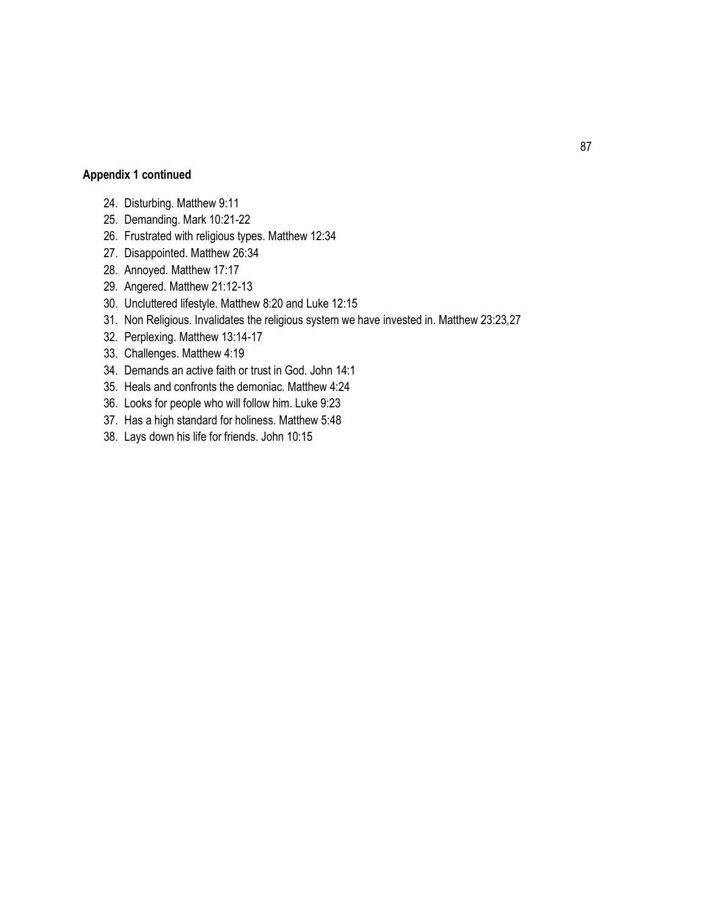### **Appendix 1 continued**

- 24. Disturbing. Matthew 9:11
- 25. Demanding. Mark 10:21-22
- 26. Frustrated with religious types. Matthew 12:34
- 27. Disappointed. Matthew 26:34
- 28. Annoyed. Matthew 17:17
- 29. Angered. Matthew 21:12-13
- 30. Uncluttered lifestyle. Matthew 8:20 and Luke 12:15
- 31. Non Religious. Invalidates the religious system we have invested in. Matthew 23:23,27
- 32. Perplexing. Matthew 13:14-17
- 33. Challenges. Matthew 4:19
- 34. Demands an active faith or trust in God. John 14:1
- 35. Heals and confronts the demoniac. Matthew 4:24
- 36. Looks for people who will follow him. Luke 9:23
- 37. Has a high standard for holiness. Matthew 5:48
- 38. Lays down his life for friends. John 10:15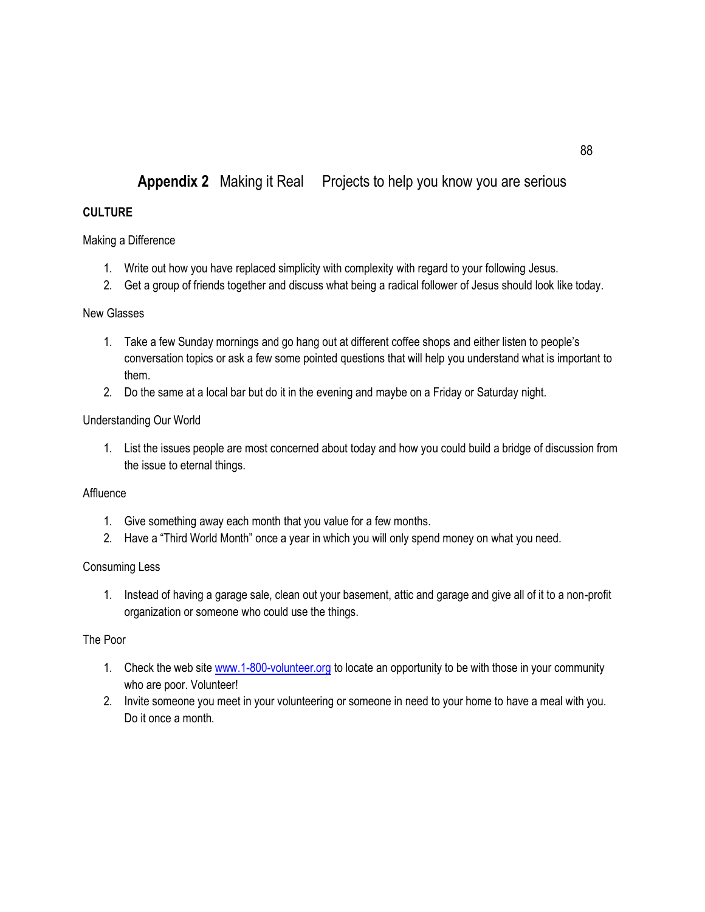# **Appendix 2** Making it Real Projects to help you know you are serious

#### **CULTURE**

#### Making a Difference

- 1. Write out how you have replaced simplicity with complexity with regard to your following Jesus.
- 2. Get a group of friends together and discuss what being a radical follower of Jesus should look like today.

#### New Glasses

- 1. Take a few Sunday mornings and go hang out at different coffee shops and either listen to people's conversation topics or ask a few some pointed questions that will help you understand what is important to them.
- 2. Do the same at a local bar but do it in the evening and maybe on a Friday or Saturday night.

#### Understanding Our World

1. List the issues people are most concerned about today and how you could build a bridge of discussion from the issue to eternal things.

#### **Affluence**

- 1. Give something away each month that you value for a few months.
- 2. Have a "Third World Month" once a year in which you will only spend money on what you need.

#### Consuming Less

1. Instead of having a garage sale, clean out your basement, attic and garage and give all of it to a non-profit organization or someone who could use the things.

#### The Poor

- 1. Check the web sit[e www.1-800-volunteer.org](http://www.1-800-volunteer.org/) to locate an opportunity to be with those in your community who are poor. Volunteer!
- 2. Invite someone you meet in your volunteering or someone in need to your home to have a meal with you. Do it once a month.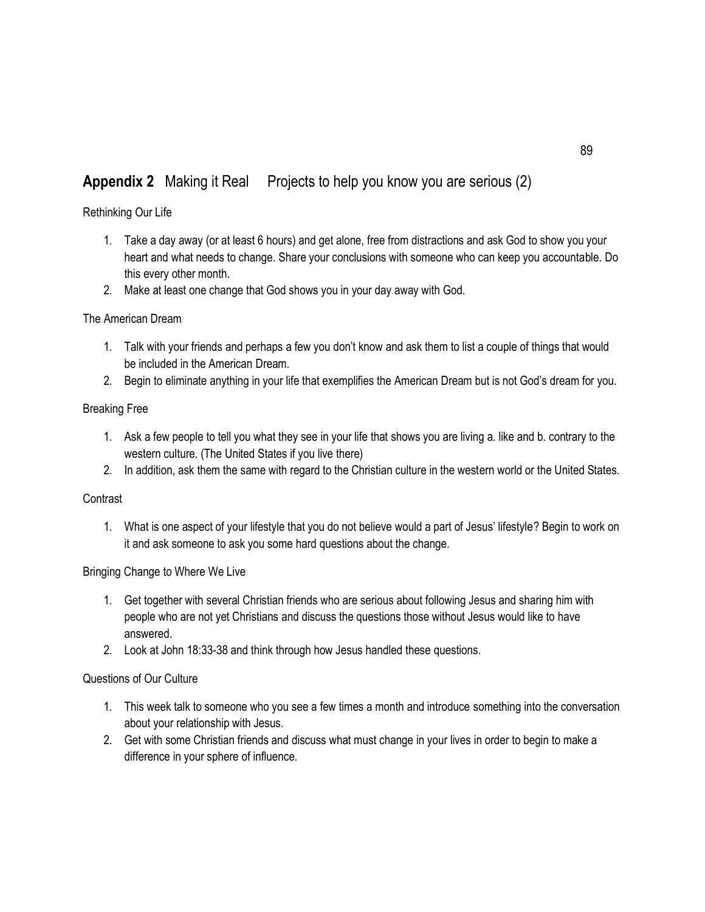# **Appendix 2** Making it Real Projects to help you know you are serious (2)

### Rethinking Our Life

- 1. Take a day away (or at least 6 hours) and get alone, free from distractions and ask God to show you your heart and what needs to change. Share your conclusions with someone who can keep you accountable. Do this every other month.
- 2. Make at least one change that God shows you in your day away with God.

#### The American Dream

- 1. Talk with your friends and perhaps a few you don't know and ask them to list a couple of things that would be included in the American Dream.
- 2. Begin to eliminate anything in your life that exemplifies the American Dream but is not God's dream for you.

#### Breaking Free

- 1. Ask a few people to tell you what they see in your life that shows you are living a. like and b. contrary to the western culture. (The United States if you live there)
- 2. In addition, ask them the same with regard to the Christian culture in the western world or the United States.

#### **Contrast**

1. What is one aspect of your lifestyle that you do not believe would a part of Jesus' lifestyle? Begin to work on it and ask someone to ask you some hard questions about the change.

#### Bringing Change to Where We Live

- 1. Get together with several Christian friends who are serious about following Jesus and sharing him with people who are not yet Christians and discuss the questions those without Jesus would like to have answered.
- 2. Look at John 18:33-38 and think through how Jesus handled these questions.

#### Questions of Our Culture

- 1. This week talk to someone who you see a few times a month and introduce something into the conversation about your relationship with Jesus.
- 2. Get with some Christian friends and discuss what must change in your lives in order to begin to make a difference in your sphere of influence.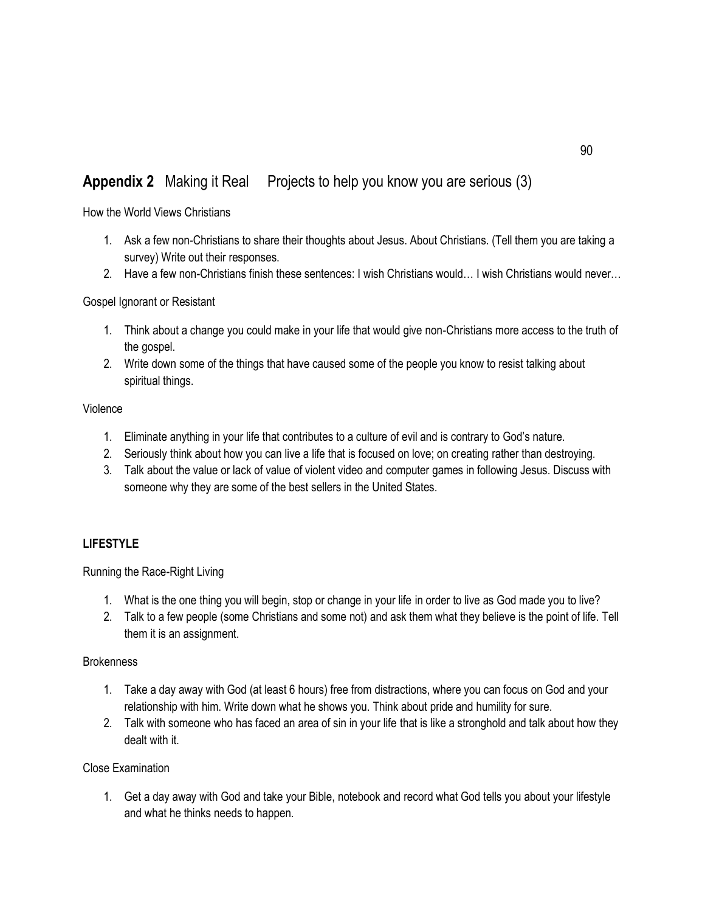# **Appendix 2** Making it Real Projects to help you know you are serious (3)

How the World Views Christians

- 1. Ask a few non-Christians to share their thoughts about Jesus. About Christians. (Tell them you are taking a survey) Write out their responses.
- 2. Have a few non-Christians finish these sentences: I wish Christians would… I wish Christians would never…

#### Gospel Ignorant or Resistant

- 1. Think about a change you could make in your life that would give non-Christians more access to the truth of the gospel.
- 2. Write down some of the things that have caused some of the people you know to resist talking about spiritual things.

#### Violence

- 1. Eliminate anything in your life that contributes to a culture of evil and is contrary to God's nature.
- 2. Seriously think about how you can live a life that is focused on love; on creating rather than destroying.
- 3. Talk about the value or lack of value of violent video and computer games in following Jesus. Discuss with someone why they are some of the best sellers in the United States.

### **LIFESTYLE**

Running the Race-Right Living

- 1. What is the one thing you will begin, stop or change in your life in order to live as God made you to live?
- 2. Talk to a few people (some Christians and some not) and ask them what they believe is the point of life. Tell them it is an assignment.

#### **Brokenness**

- 1. Take a day away with God (at least 6 hours) free from distractions, where you can focus on God and your relationship with him. Write down what he shows you. Think about pride and humility for sure.
- 2. Talk with someone who has faced an area of sin in your life that is like a stronghold and talk about how they dealt with it.

#### Close Examination

1. Get a day away with God and take your Bible, notebook and record what God tells you about your lifestyle and what he thinks needs to happen.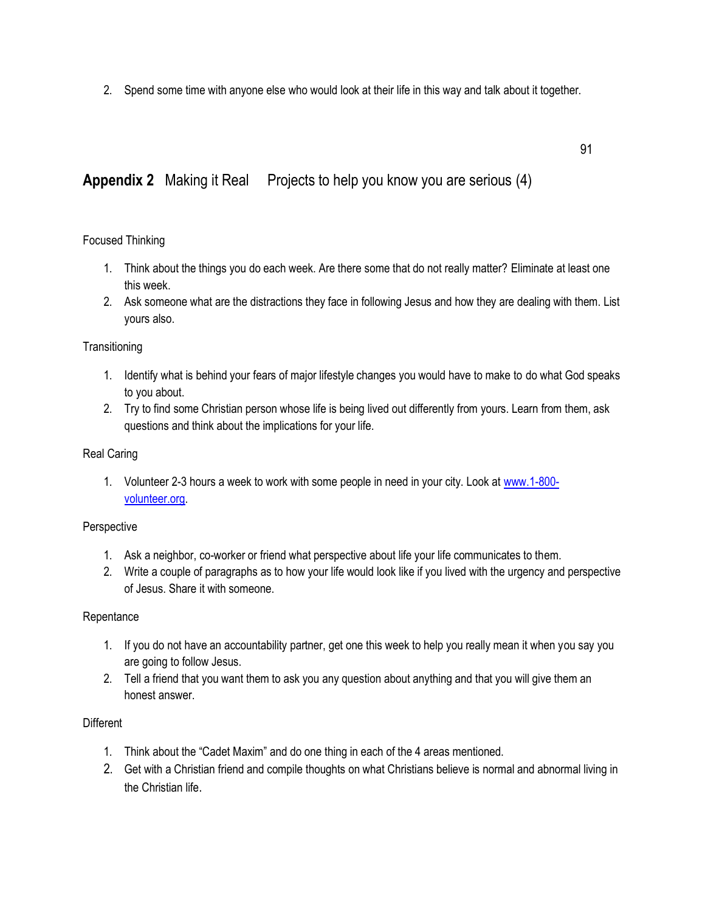2. Spend some time with anyone else who would look at their life in this way and talk about it together.

91

### **Appendix 2** Making it Real Projects to help you know you are serious (4)

#### Focused Thinking

- 1. Think about the things you do each week. Are there some that do not really matter? Eliminate at least one this week.
- 2. Ask someone what are the distractions they face in following Jesus and how they are dealing with them. List yours also.

#### **Transitioning**

- 1. Identify what is behind your fears of major lifestyle changes you would have to make to do what God speaks to you about.
- 2. Try to find some Christian person whose life is being lived out differently from yours. Learn from them, ask questions and think about the implications for your life.

#### Real Caring

1. Volunteer 2-3 hours a week to work with some people in need in your city. Look at [www.1-800](http://www.1-800-volunteer.org/) [volunteer.org.](http://www.1-800-volunteer.org/)

#### Perspective

- 1. Ask a neighbor, co-worker or friend what perspective about life your life communicates to them.
- 2. Write a couple of paragraphs as to how your life would look like if you lived with the urgency and perspective of Jesus. Share it with someone.

#### **Repentance**

- 1. If you do not have an accountability partner, get one this week to help you really mean it when you say you are going to follow Jesus.
- 2. Tell a friend that you want them to ask you any question about anything and that you will give them an honest answer.

#### **Different**

- 1. Think about the "Cadet Maxim" and do one thing in each of the 4 areas mentioned.
- 2. Get with a Christian friend and compile thoughts on what Christians believe is normal and abnormal living in the Christian life.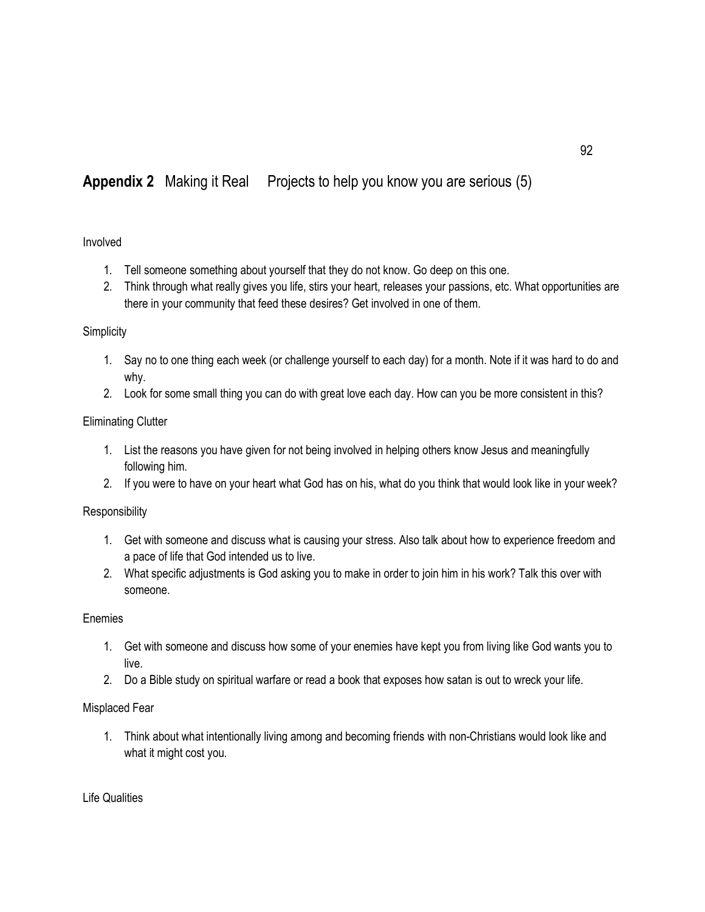# **Appendix 2** Making it Real Projects to help you know you are serious (5)

#### Involved

- 1. Tell someone something about yourself that they do not know. Go deep on this one.
- 2. Think through what really gives you life, stirs your heart, releases your passions, etc. What opportunities are there in your community that feed these desires? Get involved in one of them.

#### **Simplicity**

- 1. Say no to one thing each week (or challenge yourself to each day) for a month. Note if it was hard to do and why.
- 2. Look for some small thing you can do with great love each day. How can you be more consistent in this?

#### Eliminating Clutter

- 1. List the reasons you have given for not being involved in helping others know Jesus and meaningfully following him.
- 2. If you were to have on your heart what God has on his, what do you think that would look like in your week?

#### Responsibility

- 1. Get with someone and discuss what is causing your stress. Also talk about how to experience freedom and a pace of life that God intended us to live.
- 2. What specific adjustments is God asking you to make in order to join him in his work? Talk this over with someone.

#### Enemies

- 1. Get with someone and discuss how some of your enemies have kept you from living like God wants you to live.
- 2. Do a Bible study on spiritual warfare or read a book that exposes how satan is out to wreck your life.

#### Misplaced Fear

1. Think about what intentionally living among and becoming friends with non-Christians would look like and what it might cost you.

Life Qualities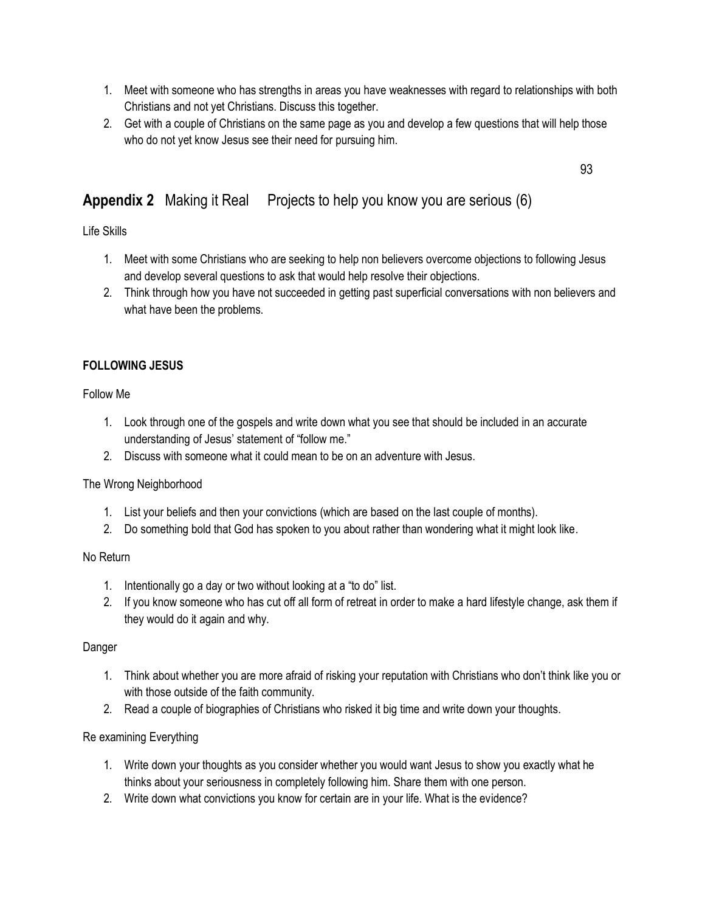- 1. Meet with someone who has strengths in areas you have weaknesses with regard to relationships with both Christians and not yet Christians. Discuss this together.
- 2. Get with a couple of Christians on the same page as you and develop a few questions that will help those who do not yet know Jesus see their need for pursuing him.

93

# **Appendix 2** Making it Real Projects to help you know you are serious (6)

Life Skills

- 1. Meet with some Christians who are seeking to help non believers overcome objections to following Jesus and develop several questions to ask that would help resolve their objections.
- 2. Think through how you have not succeeded in getting past superficial conversations with non believers and what have been the problems.

### **FOLLOWING JESUS**

Follow Me

- 1. Look through one of the gospels and write down what you see that should be included in an accurate understanding of Jesus' statement of "follow me."
- 2. Discuss with someone what it could mean to be on an adventure with Jesus.

#### The Wrong Neighborhood

- 1. List your beliefs and then your convictions (which are based on the last couple of months).
- 2. Do something bold that God has spoken to you about rather than wondering what it might look like.

#### No Return

- 1. Intentionally go a day or two without looking at a "to do" list.
- 2. If you know someone who has cut off all form of retreat in order to make a hard lifestyle change, ask them if they would do it again and why.

#### Danger

- 1. Think about whether you are more afraid of risking your reputation with Christians who don't think like you or with those outside of the faith community.
- 2. Read a couple of biographies of Christians who risked it big time and write down your thoughts.

#### Re examining Everything

- 1. Write down your thoughts as you consider whether you would want Jesus to show you exactly what he thinks about your seriousness in completely following him. Share them with one person.
- 2. Write down what convictions you know for certain are in your life. What is the evidence?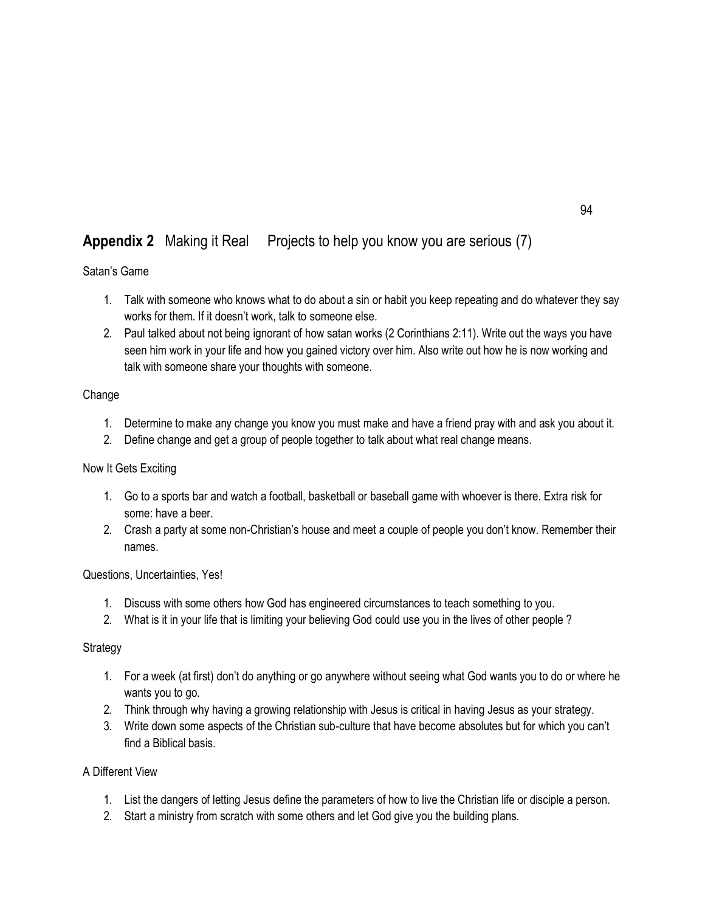# **Appendix 2** Making it Real Projects to help you know you are serious (7)

### Satan's Game

- 1. Talk with someone who knows what to do about a sin or habit you keep repeating and do whatever they say works for them. If it doesn't work, talk to someone else.
- 2. Paul talked about not being ignorant of how satan works (2 Corinthians 2:11). Write out the ways you have seen him work in your life and how you gained victory over him. Also write out how he is now working and talk with someone share your thoughts with someone.

### **Change**

- 1. Determine to make any change you know you must make and have a friend pray with and ask you about it.
- 2. Define change and get a group of people together to talk about what real change means.

#### Now It Gets Exciting

- 1. Go to a sports bar and watch a football, basketball or baseball game with whoever is there. Extra risk for some: have a beer.
- 2. Crash a party at some non-Christian's house and meet a couple of people you don't know. Remember their names.

#### Questions, Uncertainties, Yes!

- 1. Discuss with some others how God has engineered circumstances to teach something to you.
- 2. What is it in your life that is limiting your believing God could use you in the lives of other people ?

#### **Strategy**

- 1. For a week (at first) don't do anything or go anywhere without seeing what God wants you to do or where he wants you to go.
- 2. Think through why having a growing relationship with Jesus is critical in having Jesus as your strategy.
- 3. Write down some aspects of the Christian sub-culture that have become absolutes but for which you can't find a Biblical basis.

### A Different View

- 1. List the dangers of letting Jesus define the parameters of how to live the Christian life or disciple a person.
- 2. Start a ministry from scratch with some others and let God give you the building plans.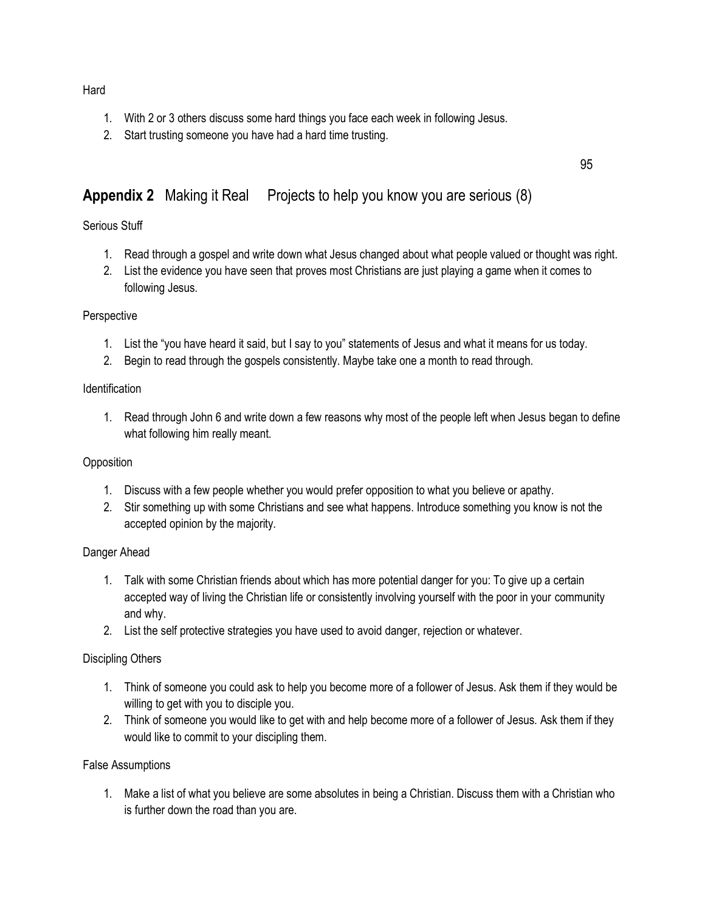#### **Hard**

- 1. With 2 or 3 others discuss some hard things you face each week in following Jesus.
- 2. Start trusting someone you have had a hard time trusting.

# **Appendix 2** Making it Real Projects to help you know you are serious (8)

### Serious Stuff

1. Read through a gospel and write down what Jesus changed about what people valued or thought was right.

95

2. List the evidence you have seen that proves most Christians are just playing a game when it comes to following Jesus.

#### **Perspective**

- 1. List the "you have heard it said, but I say to you" statements of Jesus and what it means for us today.
- 2. Begin to read through the gospels consistently. Maybe take one a month to read through.

#### **Identification**

1. Read through John 6 and write down a few reasons why most of the people left when Jesus began to define what following him really meant.

#### **Opposition**

- 1. Discuss with a few people whether you would prefer opposition to what you believe or apathy.
- 2. Stir something up with some Christians and see what happens. Introduce something you know is not the accepted opinion by the majority.

#### Danger Ahead

- 1. Talk with some Christian friends about which has more potential danger for you: To give up a certain accepted way of living the Christian life or consistently involving yourself with the poor in your community and why.
- 2. List the self protective strategies you have used to avoid danger, rejection or whatever.

#### Discipling Others

- 1. Think of someone you could ask to help you become more of a follower of Jesus. Ask them if they would be willing to get with you to disciple you.
- 2. Think of someone you would like to get with and help become more of a follower of Jesus. Ask them if they would like to commit to your discipling them.

#### False Assumptions

1. Make a list of what you believe are some absolutes in being a Christian. Discuss them with a Christian who is further down the road than you are.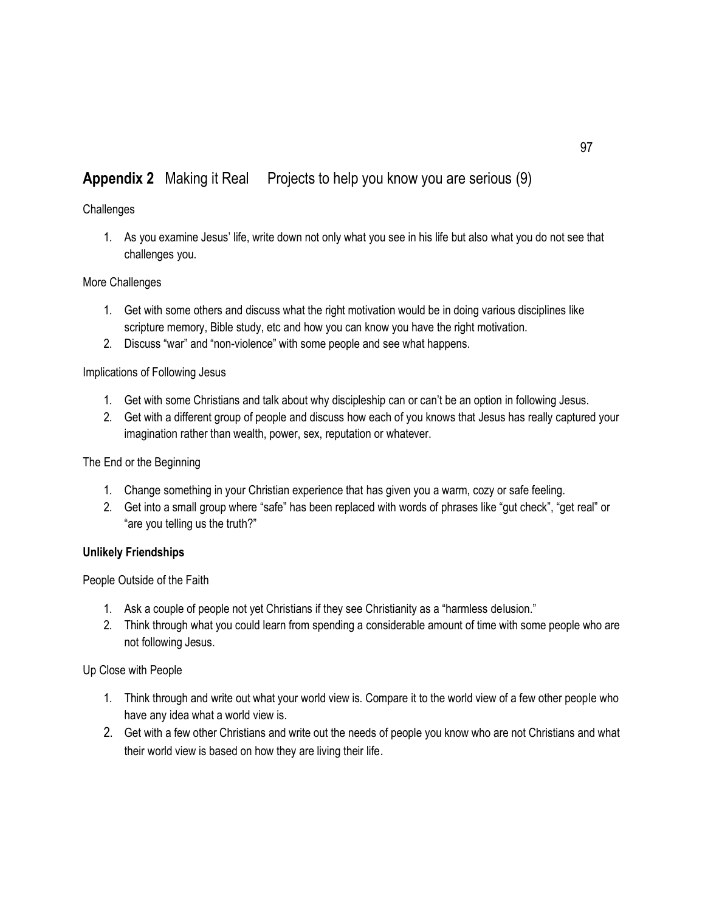# **Appendix 2** Making it Real Projects to help you know you are serious (9)

#### **Challenges**

1. As you examine Jesus' life, write down not only what you see in his life but also what you do not see that challenges you.

### More Challenges

- 1. Get with some others and discuss what the right motivation would be in doing various disciplines like scripture memory, Bible study, etc and how you can know you have the right motivation.
- 2. Discuss "war" and "non-violence" with some people and see what happens.

### Implications of Following Jesus

- 1. Get with some Christians and talk about why discipleship can or can't be an option in following Jesus.
- 2. Get with a different group of people and discuss how each of you knows that Jesus has really captured your imagination rather than wealth, power, sex, reputation or whatever.

#### The End or the Beginning

- 1. Change something in your Christian experience that has given you a warm, cozy or safe feeling.
- 2. Get into a small group where "safe" has been replaced with words of phrases like "gut check", "get real" or "are you telling us the truth?"

#### **Unlikely Friendships**

People Outside of the Faith

- 1. Ask a couple of people not yet Christians if they see Christianity as a "harmless delusion."
- 2. Think through what you could learn from spending a considerable amount of time with some people who are not following Jesus.

Up Close with People

- 1. Think through and write out what your world view is. Compare it to the world view of a few other people who have any idea what a world view is.
- 2. Get with a few other Christians and write out the needs of people you know who are not Christians and what their world view is based on how they are living their life.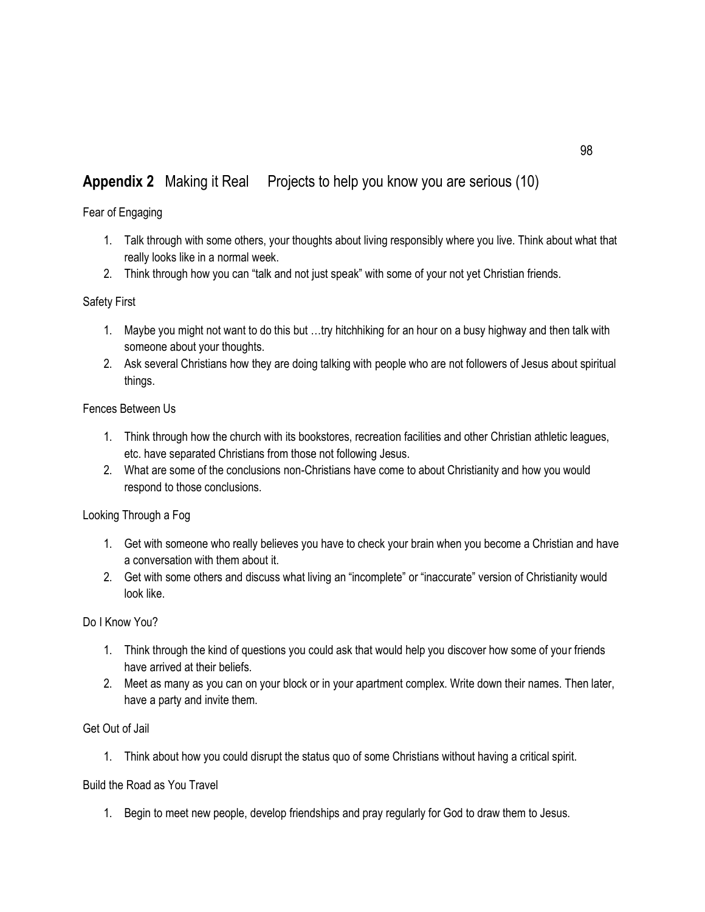# **Appendix 2** Making it Real Projects to help you know you are serious (10)

Fear of Engaging

- 1. Talk through with some others, your thoughts about living responsibly where you live. Think about what that really looks like in a normal week.
- 2. Think through how you can "talk and not just speak" with some of your not yet Christian friends.

#### Safety First

- 1. Maybe you might not want to do this but …try hitchhiking for an hour on a busy highway and then talk with someone about your thoughts.
- 2. Ask several Christians how they are doing talking with people who are not followers of Jesus about spiritual things.

#### Fences Between Us

- 1. Think through how the church with its bookstores, recreation facilities and other Christian athletic leagues, etc. have separated Christians from those not following Jesus.
- 2. What are some of the conclusions non-Christians have come to about Christianity and how you would respond to those conclusions.

Looking Through a Fog

- 1. Get with someone who really believes you have to check your brain when you become a Christian and have a conversation with them about it.
- 2. Get with some others and discuss what living an "incomplete" or "inaccurate" version of Christianity would look like.

#### Do I Know You?

- 1. Think through the kind of questions you could ask that would help you discover how some of your friends have arrived at their beliefs.
- 2. Meet as many as you can on your block or in your apartment complex. Write down their names. Then later, have a party and invite them.

#### Get Out of Jail

1. Think about how you could disrupt the status quo of some Christians without having a critical spirit.

#### Build the Road as You Travel

1. Begin to meet new people, develop friendships and pray regularly for God to draw them to Jesus.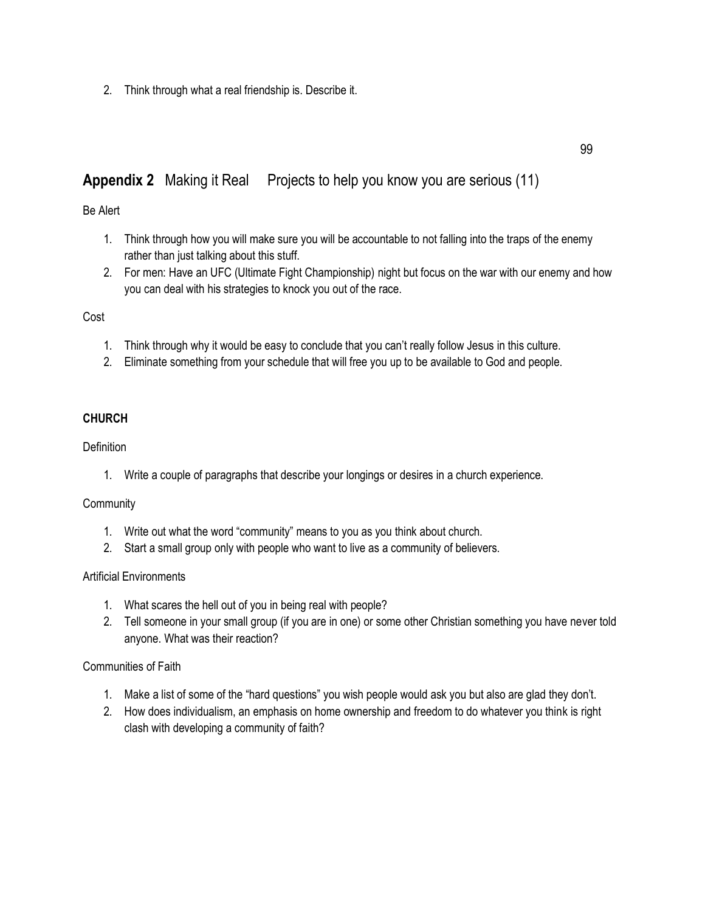2. Think through what a real friendship is. Describe it.

# **Appendix 2** Making it Real Projects to help you know you are serious (11)

#### Be Alert

- 1. Think through how you will make sure you will be accountable to not falling into the traps of the enemy rather than just talking about this stuff.
- 2. For men: Have an UFC (Ultimate Fight Championship) night but focus on the war with our enemy and how you can deal with his strategies to knock you out of the race.

### Cost

- 1. Think through why it would be easy to conclude that you can't really follow Jesus in this culture.
- 2. Eliminate something from your schedule that will free you up to be available to God and people.

### **CHURCH**

#### **Definition**

1. Write a couple of paragraphs that describe your longings or desires in a church experience.

#### **Community**

- 1. Write out what the word "community" means to you as you think about church.
- 2. Start a small group only with people who want to live as a community of believers.

#### Artificial Environments

- 1. What scares the hell out of you in being real with people?
- 2. Tell someone in your small group (if you are in one) or some other Christian something you have never told anyone. What was their reaction?

#### Communities of Faith

- 1. Make a list of some of the "hard questions" you wish people would ask you but also are glad they don't.
- 2. How does individualism, an emphasis on home ownership and freedom to do whatever you think is right clash with developing a community of faith?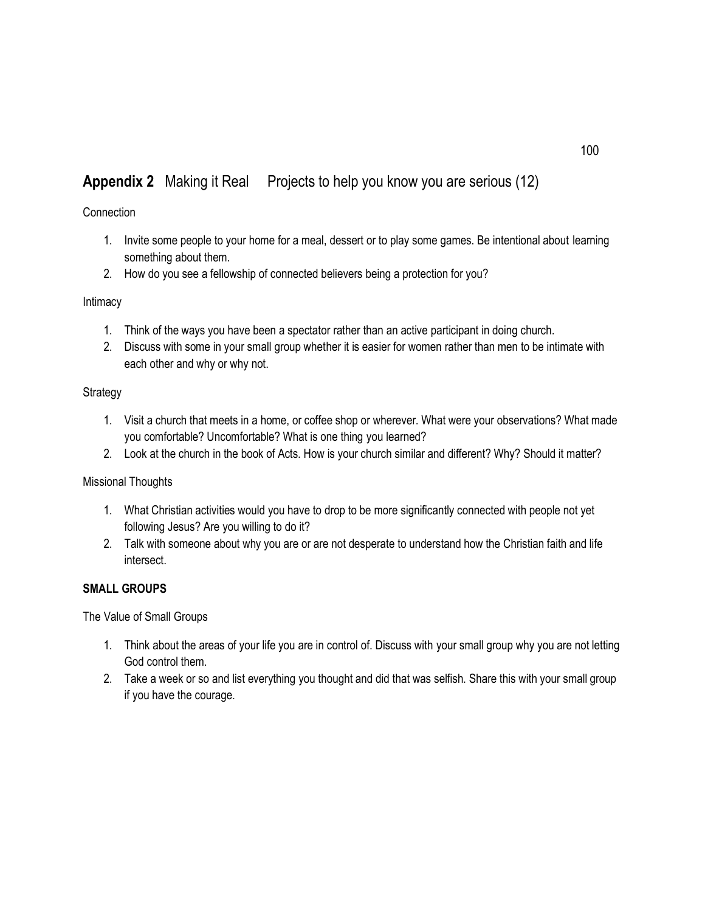# **Appendix 2** Making it Real Projects to help you know you are serious (12)

#### **Connection**

- 1. Invite some people to your home for a meal, dessert or to play some games. Be intentional about learning something about them.
- 2. How do you see a fellowship of connected believers being a protection for you?

#### Intimacy

- 1. Think of the ways you have been a spectator rather than an active participant in doing church.
- 2. Discuss with some in your small group whether it is easier for women rather than men to be intimate with each other and why or why not.

### Strategy

- 1. Visit a church that meets in a home, or coffee shop or wherever. What were your observations? What made you comfortable? Uncomfortable? What is one thing you learned?
- 2. Look at the church in the book of Acts. How is your church similar and different? Why? Should it matter?

#### Missional Thoughts

- 1. What Christian activities would you have to drop to be more significantly connected with people not yet following Jesus? Are you willing to do it?
- 2. Talk with someone about why you are or are not desperate to understand how the Christian faith and life intersect.

#### **SMALL GROUPS**

The Value of Small Groups

- 1. Think about the areas of your life you are in control of. Discuss with your small group why you are not letting God control them.
- 2. Take a week or so and list everything you thought and did that was selfish. Share this with your small group if you have the courage.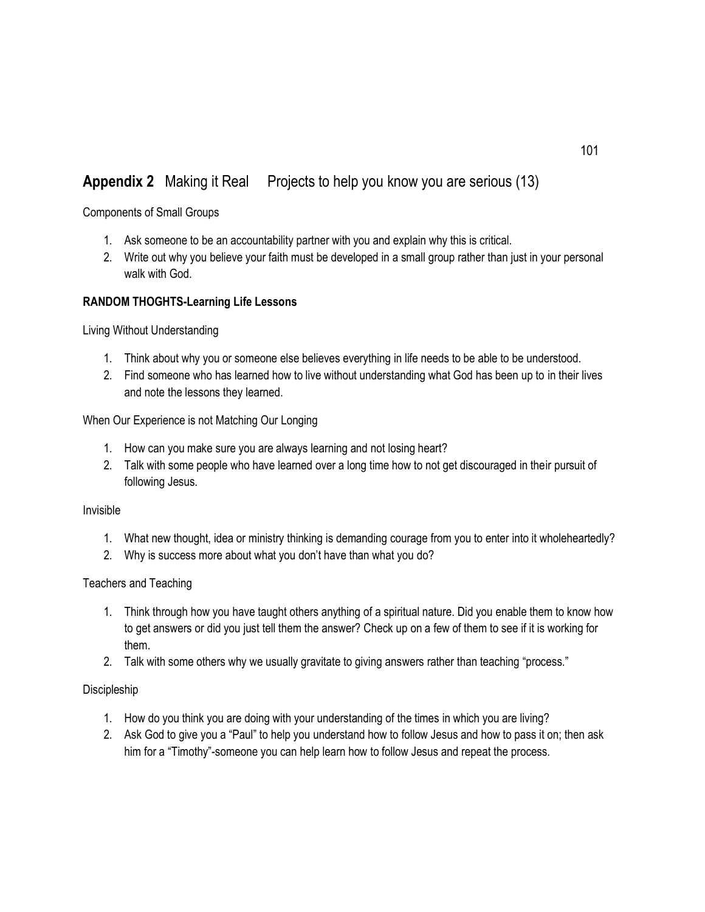# **Appendix 2** Making it Real Projects to help you know you are serious (13)

Components of Small Groups

- 1. Ask someone to be an accountability partner with you and explain why this is critical.
- 2. Write out why you believe your faith must be developed in a small group rather than just in your personal walk with God.

#### **RANDOM THOGHTS-Learning Life Lessons**

Living Without Understanding

- 1. Think about why you or someone else believes everything in life needs to be able to be understood.
- 2. Find someone who has learned how to live without understanding what God has been up to in their lives and note the lessons they learned.

When Our Experience is not Matching Our Longing

- 1. How can you make sure you are always learning and not losing heart?
- 2. Talk with some people who have learned over a long time how to not get discouraged in their pursuit of following Jesus.

Invisible

- 1. What new thought, idea or ministry thinking is demanding courage from you to enter into it wholeheartedly?
- 2. Why is success more about what you don't have than what you do?

#### Teachers and Teaching

- 1. Think through how you have taught others anything of a spiritual nature. Did you enable them to know how to get answers or did you just tell them the answer? Check up on a few of them to see if it is working for them.
- 2. Talk with some others why we usually gravitate to giving answers rather than teaching "process."

#### Discipleship

- 1. How do you think you are doing with your understanding of the times in which you are living?
- 2. Ask God to give you a "Paul" to help you understand how to follow Jesus and how to pass it on; then ask him for a "Timothy"-someone you can help learn how to follow Jesus and repeat the process.